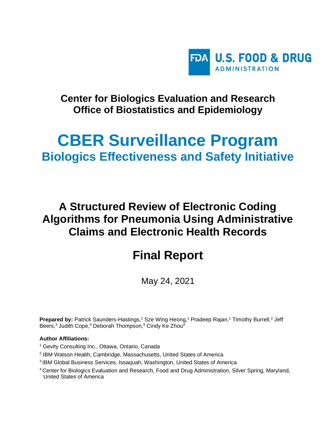

# **Center for Biologics Evaluation and Research Office of Biostatistics and Epidemiology**

# **CBER Surveillance Program Biologics Effectiveness and Safety Initiative**

# **A Structured Review of Electronic Coding Algorithms for Pneumonia Using Administrative Claims and Electronic Health Records**

# **Final Report**

May 24, 2021

**Prepared by:** Patrick Saunders-Hastings,<sup>1</sup> Sze Wing Heong,<sup>1</sup> Pradeep Rajan,<sup>1</sup> Timothy Burrell,<sup>2</sup> Jeff Beers,<sup>3</sup> Judith Cope,<sup>4</sup> Deborah Thompson,<sup>4</sup> Cindy Ke Zhou<sup>4</sup>

#### **Author Affiliations:**

- <sup>1</sup> Gevity Consulting Inc., Ottawa, Ontario, Canada
- 2 IBM Watson Health, Cambridge, Massachusetts, United States of America
- <sup>3</sup>IBM Global Business Services, Issaquah, Washington, United States of America
- <sup>4</sup>Center for Biologics Evaluation and Research, Food and Drug Administration, Silver Spring, Maryland, United States of America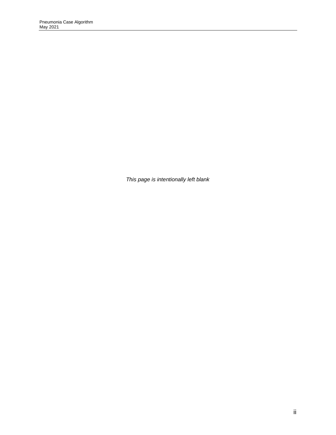*This page is intentionally left blank*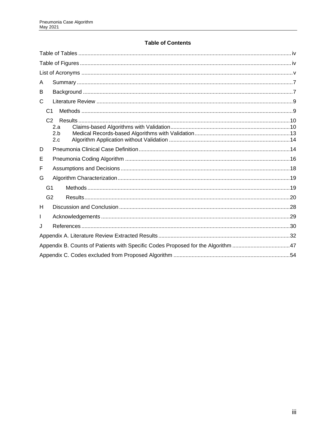#### **Table of Contents**

| A                 |
|-------------------|
| B                 |
| C                 |
| C <sub>1</sub>    |
| 2.a<br>2.h<br>2.c |
| D                 |
| Е                 |
| F                 |
| G                 |
| G <sub>1</sub>    |
| G <sub>2</sub>    |
| H                 |
| L                 |
| J                 |
|                   |
|                   |
|                   |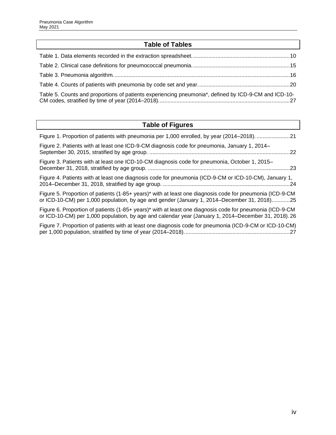# **Table of Tables**

<span id="page-3-0"></span>

| Table 5. Counts and proportions of patients experiencing pneumonia*, defined by ICD-9-CM and ICD-10- |  |
|------------------------------------------------------------------------------------------------------|--|

# **Table of Figures**

<span id="page-3-1"></span>

| Figure 1. Proportion of patients with pneumonia per 1,000 enrolled, by year (2014–2018). 21                                                                                                                      |
|------------------------------------------------------------------------------------------------------------------------------------------------------------------------------------------------------------------|
| Figure 2. Patients with at least one ICD-9-CM diagnosis code for pneumonia, January 1, 2014–<br>.22                                                                                                              |
| Figure 3. Patients with at least one ICD-10-CM diagnosis code for pneumonia, October 1, 2015–                                                                                                                    |
| Figure 4. Patients with at least one diagnosis code for pneumonia (ICD-9-CM or ICD-10-CM), January 1,                                                                                                            |
| Figure 5. Proportion of patients (1-85+ years)* with at least one diagnosis code for pneumonia (ICD-9-CM<br>or ICD-10-CM) per 1,000 population, by age and gender (January 1, 2014–December 31, 2018)25          |
| Figure 6. Proportion of patients (1-85+ years)* with at least one diagnosis code for pneumonia (ICD-9-CM<br>or ICD-10-CM) per 1,000 population, by age and calendar year (January 1, 2014–December 31, 2018). 26 |
| Figure 7. Proportion of patients with at least one diagnosis code for pneumonia (ICD-9-CM or ICD-10-CM)                                                                                                          |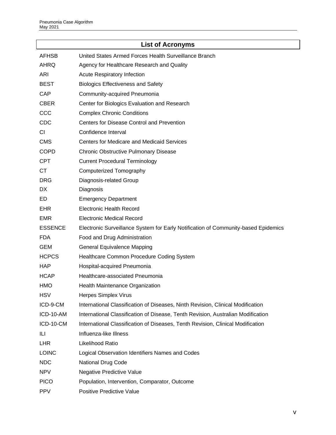<span id="page-4-0"></span>

|                | <b>List of Acronyms</b>                                                            |
|----------------|------------------------------------------------------------------------------------|
| <b>AFHSB</b>   | United States Armed Forces Health Surveillance Branch                              |
| <b>AHRQ</b>    | Agency for Healthcare Research and Quality                                         |
| ARI            | <b>Acute Respiratory Infection</b>                                                 |
| <b>BEST</b>    | <b>Biologics Effectiveness and Safety</b>                                          |
| CAP            | Community-acquired Pneumonia                                                       |
| <b>CBER</b>    | Center for Biologics Evaluation and Research                                       |
| CCC            | <b>Complex Chronic Conditions</b>                                                  |
| <b>CDC</b>     | Centers for Disease Control and Prevention                                         |
| <b>CI</b>      | Confidence Interval                                                                |
| <b>CMS</b>     | <b>Centers for Medicare and Medicaid Services</b>                                  |
| <b>COPD</b>    | <b>Chronic Obstructive Pulmonary Disease</b>                                       |
| <b>CPT</b>     | <b>Current Procedural Terminology</b>                                              |
| <b>CT</b>      | Computerized Tomography                                                            |
| <b>DRG</b>     | Diagnosis-related Group                                                            |
| DX             | Diagnosis                                                                          |
| ED             | <b>Emergency Department</b>                                                        |
| <b>EHR</b>     | <b>Electronic Health Record</b>                                                    |
| <b>EMR</b>     | <b>Electronic Medical Record</b>                                                   |
| <b>ESSENCE</b> | Electronic Surveillance System for Early Notification of Community-based Epidemics |
| <b>FDA</b>     | Food and Drug Administration                                                       |
| <b>GEM</b>     | <b>General Equivalence Mapping</b>                                                 |
| <b>HCPCS</b>   | Healthcare Common Procedure Coding System                                          |
| <b>HAP</b>     | Hospital-acquired Pneumonia                                                        |
| <b>HCAP</b>    | Healthcare-associated Pneumonia                                                    |
| HMO            | Health Maintenance Organization                                                    |
| <b>HSV</b>     | <b>Herpes Simplex Virus</b>                                                        |
| ICD-9-CM       | International Classification of Diseases, Ninth Revision, Clinical Modification    |
| ICD-10-AM      | International Classification of Disease, Tenth Revision, Australian Modification   |
| ICD-10-CM      | International Classification of Diseases, Tenth Revision, Clinical Modification    |
| ILI            | Influenza-like Illness                                                             |
| <b>LHR</b>     | Likelihood Ratio                                                                   |
| <b>LOINC</b>   | Logical Observation Identifiers Names and Codes                                    |
| <b>NDC</b>     | National Drug Code                                                                 |
| <b>NPV</b>     | Negative Predictive Value                                                          |
| <b>PICO</b>    | Population, Intervention, Comparator, Outcome                                      |
| <b>PPV</b>     | Positive Predictive Value                                                          |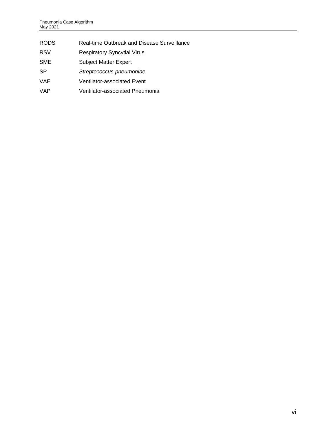| <b>RODS</b> | Real-time Outbreak and Disease Surveillance |
|-------------|---------------------------------------------|
| RSV         | <b>Respiratory Syncytial Virus</b>          |
| SME         | <b>Subject Matter Expert</b>                |
| SP          | Streptococcus pneumoniae                    |
| VAE         | Ventilator-associated Event                 |
| VAP         | Ventilator-associated Pneumonia             |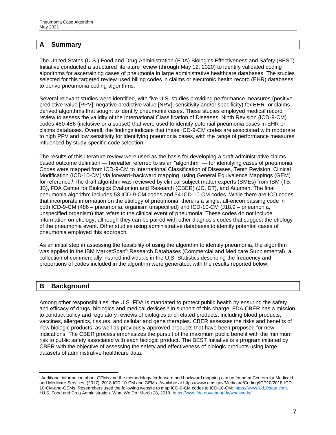#### <span id="page-6-0"></span>**A Summary**

The United States (U.S.) Food and Drug Administration (FDA) Biologics Effectiveness and Safety (BEST) Initiative conducted a structured literature review (through May 12, 2020) to identify validated coding algorithms for ascertaining cases of pneumonia in large administrative healthcare databases. The studies selected for this targeted review used billing codes in claims or electronic health record (EHR) databases to derive pneumonia coding algorithms.

Several relevant studies were identified, with five U.S. studies providing performance measures (positive predictive value [PPV], negative predictive value [NPV], sensitivity and/or specificity) for EHR- or claimsderived algorithms that sought to identify pneumonia cases. These studies employed medical record review to assess the validity of the International Classification of Diseases, Ninth Revision (ICD-9-CM) codes 480-486 (inclusive or a subset) that were used to identify potential pneumonia cases in EHR or claims databases. Overall, the findings indicate that these ICD-9-CM codes are associated with moderate to high PPV and low sensitivity for identifying pneumonia cases, with the range of performance measures influenced by study-specific code selection.

The results of this literature review were used as the basis for developing a draft administrative claimsbased outcome definition — hereafter referred to as an "algorithm" — for identifying cases of pneumonia. Codes were mapped from ICD-9-CM to International Classification of Diseases, Tenth Revision, Clinical Modification (ICD-10-CM) via forward–backward mapping, using General Equivalence Mappings (GEM) for reference.<sup>j</sup> The draft algorithm was reviewed by clinical subject matter experts (SMEs) from IBM (TB, JB), FDA Center for Biologics Evaluation and Research (CBER) (JC, DT), and Acumen. The final pneumonia algorithm includes 53 ICD-9-CM codes and 54 ICD-10-CM codes. While there are ICD codes that incorporate information on the etiology of pneumonia, there is a single, all-encompassing code in both ICD-9-CM (486 – pneumonia, organism unspecified) and ICD-10-CM (J18.9 – pneumonia, unspecified organism) that refers to the clinical event of pneumonia. These codes do not include information on etiology, although they can be paired with other diagnosis codes that suggest the etiology of the pneumonia event. Other studies using administrative databases to identify potential cases of pneumonia employed this approach.

As an initial step in assessing the feasibility of using the algorithm to identify pneumonia, the algorithm was applied in the IBM MarketScan® Research Databases (Commercial and Medicare Supplemental), a collection of commercially insured individuals in the U.S. Statistics describing the frequency and proportions of codes included in the algorithm were generated, with the results reported below.

#### <span id="page-6-1"></span>**B Background**

Among other responsibilities, the U.S. FDA is mandated to protect public health by ensuring the safety and efficacy of drugs, biologics and medical devices.<sup>ii</sup> In support of this charge, FDA CBER has a mission to conduct policy and regulatory reviews of biologics and related products, including blood products, vaccines, allergenics, tissues, and cellular and gene therapies. CBER assesses the risks and benefits of new biologic products, as well as previously approved products that have been proposed for new indications. The CBER process emphasizes the pursuit of the maximum public benefit with the minimum risk to public safety associated with each biologic product. The BEST Initiative is a program initiated by CBER with the objective of assessing the safety and effectiveness of biologic products using large datasets of administrative healthcare data.

<sup>i</sup> Additional information about GEMs and the methodology for forward and backward mapping can be found at Centers for Medicaid and Medicare Services. (2017). 2018 ICD-10-CM and GEMs. Available at https://www.cms.gov/Medicare/Coding/ICD10/2018-ICD-10-CM-and-GEMs. Researchers used the following website to map ICD-9-CM codes to ICD-10-CM[: https://www.icd10data.com.](https://www.icd10data.com/)

ii U.S. Food and Drug Administration. What We Do. March 28, 2018.<https://www.fda.gov/aboutfda/whatwedo/>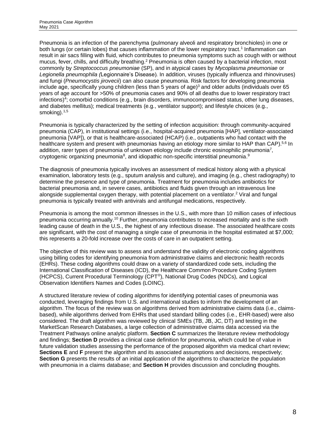Pneumonia is an infection of the parenchyma (pulmonary alveoli and respiratory bronchioles) in one or both lungs (or certain lobes) that causes inflammation of the lower respiratory tract.<sup>1</sup> Inflammation can result in air sacs filling with fluid, which contributes to pneumonia symptoms such as cough with or without mucus, fever, chills, and difficulty breathing.<sup>2</sup> Pneumonia is often caused by a bacterial infection, most commonly by *Streptococcus pneumoniae* (SP), and in atypical cases by *Mycoplasma pneumoniae* or *Legionella pneumophila (*Legionnaire's Disease)*.* In addition, viruses (typically influenza and rhinoviruses) and fungi (*Pneumocystis jirovecii*) can also cause pneumonia. Risk factors for developing pneumonia include age, specifically young children (less than 5 years of age) <sup>3</sup> and older adults (individuals over 65 years of age account for >50% of pneumonia cases and 90% of all deaths due to lower respiratory tract infections) 4 ; comorbid conditions (e.g., brain disorders, immunocompromised status, other lung diseases, and diabetes mellitus); medical treatments (e.g., ventilator support); and lifestyle choices (e.g., smoking).<sup>1,5</sup>

Pneumonia is typically characterized by the setting of infection acquisition: through community-acquired pneumonia (CAP), in institutional settings (i.e., hospital-acquired pneumonia [HAP], ventilator-associated pneumonia [VAP]), or that is healthcare-associated (HCAP) (i.e., outpatients who had contact with the healthcare system and present with pneumonias having an etiology more similar to HAP than CAP).<sup>5,6</sup> In addition, rarer types of pneumonia of unknown etiology include chronic eosinophilic pneumonia<sup>7</sup>, cryptogenic organizing pneumonia $^8$ , and idiopathic non-specific interstitial pneumonia. $^9$ 

The diagnosis of pneumonia typically involves an assessment of medical history along with a physical examination, laboratory tests (e.g., sputum analysis and culture), and imaging (e.g., chest radiography) to determine the presence and type of pneumonia. Treatment for pneumonia includes antibiotics for bacterial pneumonia and, in severe cases, antibiotics and fluids given through an intravenous line alongside supplemental oxygen therapy, with potential placement on a ventilator.<sup>2</sup> Viral and fungal pneumonia is typically treated with antivirals and antifungal medications, respectively.

Pneumonia is among the most common illnesses in the U.S., with more than 10 million cases of infectious pneumonia occurring annually.<sup>10</sup> Further, pneumonia contributes to increased mortality and is the sixth leading cause of death in the U.S., the highest of any infectious disease. The associated healthcare costs are significant, with the cost of managing a single case of pneumonia in the hospital estimated at \$7,000; this represents a 20-fold increase over the costs of care in an outpatient setting.

The objective of this review was to assess and understand the validity of electronic coding algorithms using billing codes for identifying pneumonia from administrative claims and electronic health records (EHRs). These coding algorithms could draw on a variety of standardized code sets, including the International Classification of Diseases (ICD), the Healthcare Common Procedure Coding System (HCPCS), Current Procedural Terminology (CPT®), National Drug Codes (NDCs), and Logical Observation Identifiers Names and Codes (LOINC).

A structured literature review of coding algorithms for identifying potential cases of pneumonia was conducted, leveraging findings from U.S. and international studies to inform the development of an algorithm. The focus of the review was on algorithms derived from administrative claims data (i.e., claimsbased), while algorithms derived from EHRs that used standard billing codes (i.e., EHR-based) were also considered. The draft algorithm was reviewed by clinical SMEs (TB, JB, JC, DT) and testing in the MarketScan Research Databases, a large collection of administrative claims data accessed via the Treatment Pathways online analytic platform. **Section C** summarizes the literature review methodology and findings; **Section D** provides a clinical case definition for pneumonia, which could be of value in future validation studies assessing the performance of the proposed algorithm via medical chart review; **Sections E** and **F** present the algorithm and its associated assumptions and decisions, respectively; **Section G** presents the results of an initial application of the algorithms to characterize the population with pneumonia in a claims database; and **Section H** provides discussion and concluding thoughts.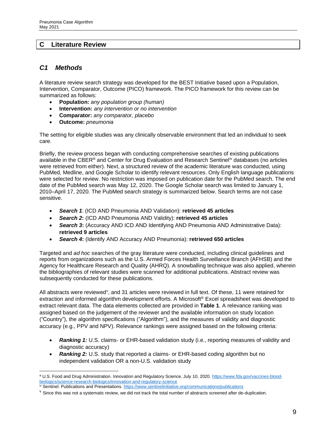#### <span id="page-8-0"></span>**C Literature Review**

#### <span id="page-8-1"></span>*C1 Methods*

A literature review search strategy was developed for the BEST Initiative based upon a Population, Intervention, Comparator, Outcome (PICO) framework. The PICO framework for this review can be summarized as follows:

- **Population:** *any population group (human)*
- **Intervention:** *any intervention or no intervention*
- **Comparator:** *any comparator, placebo*
- **Outcome:** *pneumonia*

The setting for eligible studies was any clinically observable environment that led an individual to seek care.

Briefly, the review process began with conducting comprehensive searches of existing publications available in the CBER<sup>iii</sup> and Center for Drug Evaluation and Research Sentinel<sup>iv</sup> databases (no articles were retrieved from either). Next, a structured review of the academic literature was conducted, using PubMed, Medline, and Google Scholar to identify relevant resources. Only English language publications were selected for review. No restriction was imposed on publication date for the PubMed search. The end date of the PubMed search was May 12, 2020. The Google Scholar search was limited to January 1, 2010–April 17, 2020. The PubMed search strategy is summarized below. Search terms are not case sensitive.

- *Search 1*: (ICD AND Pneumonia AND Validation): **retrieved 45 articles**
- *Search 2***:** (ICD AND Pneumonia AND Validity): **retrieved 45 articles**
- **Search 3:** (Accuracy AND ICD AND Identifying AND Pneumonia AND Administrative Data): **retrieved 9 articles**
- *Search 4***:** (Identify AND Accuracy AND Pneumonia): **retrieved 650 articles**

Targeted and *ad hoc* searches of the gray literature were conducted, including clinical guidelines and reports from organizations such as the U.S. Armed Forces Health Surveillance Branch (AFHSB) and the Agency for Healthcare Research and Quality (AHRQ). A snowballing technique was also applied, wherein the bibliographies of relevant studies were scanned for additional publications. Abstract review was subsequently conducted for these publications.

All abstracts were reviewed<sup>v</sup>, and 31 articles were reviewed in full text. Of these, 11 were retained for extraction and informed algorithm development efforts. A Microsoft® Excel spreadsheet was developed to extract relevant data. The data elements collected are provided in **[Table 1](#page-9-2)**. A relevance ranking was assigned based on the judgement of the reviewer and the available information on study location ("Country"), the algorithm specifications ("Algorithm"), and the measures of validity and diagnostic accuracy (e.g., PPV and NPV). Relevance rankings were assigned based on the following criteria:

- *Ranking 1:* U.S. claims- or EHR-based validation study (i.e., reporting measures of validity and diagnostic accuracy)
- **Ranking 2:** U.S. study that reported a claims- or EHR-based coding algorithm but no independent validation OR a non-U.S. validation study

iii U.S. Food and Drug Administration. Innovation and Regulatory Science. July 10, 2020[. https://www.fda.gov/vaccines-blood](https://www.fda.gov/vaccines-blood-biologics/science-research-biologics/innovation-and-regulatory-science)[biologics/science-research-biologics/innovation-and-regulatory-science](https://www.fda.gov/vaccines-blood-biologics/science-research-biologics/innovation-and-regulatory-science)

iv Sentinel. Publications and Presentations[. https://www.sentinelinitiative.org/communications/publications](https://www.sentinelinitiative.org/communications/publications)

 $V$  Since this was not a systematic review, we did not track the total number of abstracts screened after de-duplication.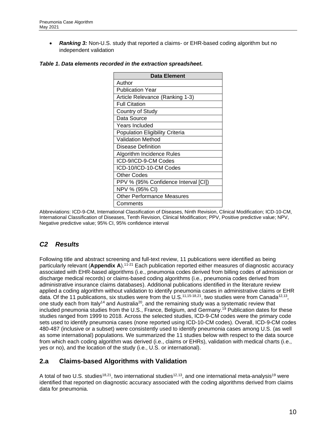• **Ranking 3:** Non-U.S. study that reported a claims- or EHR-based coding algorithm but no independent validation

| Data Element                           |
|----------------------------------------|
| Author                                 |
| <b>Publication Year</b>                |
| Article Relevance (Ranking 1-3)        |
| <b>Full Citation</b>                   |
| Country of Study                       |
| Data Source                            |
| Years Included                         |
| <b>Population Eligibility Criteria</b> |
| <b>Validation Method</b>               |
| Disease Definition                     |
| Algorithm Incidence Rules              |
| ICD-9/ICD-9-CM Codes                   |
| ICD-10/ICD-10-CM Codes                 |
| Other Codes                            |
| PPV % (95% Confidence Interval [CI])   |
| NPV % (95% CI)                         |
| <b>Other Performance Measures</b>      |
| Comments                               |

#### <span id="page-9-2"></span>*Table 1***.** *Data elements recorded in the extraction spreadsheet.*

Abbreviations: ICD-9-CM, International Classification of Diseases, Ninth Revision, Clinical Modification; ICD-10-CM, International Classification of Diseases, Tenth Revision, Clinical Modification; PPV, Positive predictive value; NPV, Negative predictive value; 95% CI, 95% confidence interval

### <span id="page-9-0"></span>*C2 Results*

Following title and abstract screening and full-text review, 11 publications were identified as being particularly relevant ([Appendix A](#page-31-0)).<sup>11-21</sup> Each publication reported either measures of diagnostic accuracy associated with EHR-based algorithms (i.e., pneumonia codes derived from billing codes of admission or discharge medical records) or claims-based coding algorithms (i.e., pneumonia codes derived from administrative insurance claims databases). Additional publications identified in the literature review applied a coding algorithm without validation to identify pneumonia cases in administrative claims or EHR data. Of the 11 publications, six studies were from the U.S. $11,15$ -18,21, two studies were from Canada<sup>12,13</sup>, one study each from Italy<sup>14</sup> and Australia<sup>20</sup>, and the remaining study was a systematic review that included pneumonia studies from the U.S., France, Belgium, and Germany. <sup>19</sup> Publication dates for these studies ranged from 1999 to 2018. Across the selected studies, ICD-9-CM codes were the primary code sets used to identify pneumonia cases (none reported using ICD-10-CM codes). Overall, ICD-9-CM codes 480-487 (inclusive or a subset) were consistently used to identify pneumonia cases among U.S. (as well as some international) populations. We summarized the 11 studies below with respect to the data source from which each coding algorithm was derived (i.e., claims or EHRs), validation with medical charts (i.e., yes or no), and the location of the study (i.e., U.S. or international).

### <span id="page-9-1"></span>**2.a Claims-based Algorithms with Validation**

A total of two U.S. studies<sup>18,21</sup>, two international studies<sup>12,13</sup>, and one international meta-analysis<sup>19</sup> were identified that reported on diagnostic accuracy associated with the coding algorithms derived from claims data for pneumonia.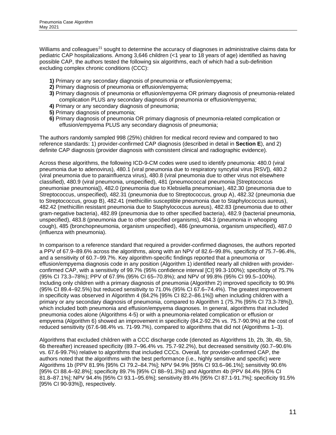Williams and colleagues<sup>21</sup> sought to determine the accuracy of diagnoses in administrative claims data for pediatric CAP hospitalizations. Among 3,646 children (<1 year to 18 years of age) identified as having possible CAP, the authors tested the following six algorithms, each of which had a sub-definition excluding complex chronic conditions (CCC):

- **1)** Primary or any secondary diagnosis of pneumonia or effusion/empyema;
- **2)** Primary diagnosis of pneumonia or effusion/empyema;
- **3)** Primary diagnosis of pneumonia or effusion/empyema OR primary diagnosis of pneumonia-related complication PLUS any secondary diagnosis of pneumonia or effusion/empyema;
- **4)** Primary or any secondary diagnosis of pneumonia;
- **5)** Primary diagnosis of pneumonia;
- **6)** Primary diagnosis of pneumonia OR primary diagnosis of pneumonia-related complication or effusion/empyema PLUS any secondary diagnosis of pneumonia;

The authors randomly sampled 998 (25%) children for medical record review and compared to two reference standards: 1) provider-confirmed CAP diagnosis (described in detail in **Section E**), and 2) definite CAP diagnosis (provider diagnosis with consistent clinical and radiographic evidence).

Across these algorithms, the following ICD-9-CM codes were used to identify pneumonia: 480.0 (viral pneumonia due to adenovirus), 480.1 (viral pneumonia due to respiratory syncytial virus [RSV]), 480.2 (viral pneumonia due to parainfluenza virus), 480.8 (viral pneumonia due to other virus not elsewhere classified), 480.9 (viral pneumonia, unspecified), 481 (pneumococcal pneumonia [Streptococcus pneumoniae pneumonia]), 482.0 (pneumonia due to Klebsiella pneumoniae), 482.30 (pneumonia due to Streptococcus, unspecified), 482.31 (pneumonia due to Streptococcus, group A), 482.32 (pneumonia due to Streptococcus, group B), 482.41 (methicillin susceptible pneumonia due to Staphylococcus aureus), 482.42 (methicillin resistant pneumonia due to Staphylococcus aureus), 482.83 (pneumonia due to other gram-negative bacteria), 482.89 (pneumonia due to other specified bacteria), 482.9 (bacterial pneumonia, unspecified), 483.8 (pneumonia due to other specified organisms), 484.3 (pneumonia in whooping cough), 485 (bronchopneumonia, organism unspecified), 486 (pneumonia, organism unspecified), 487.0 (influenza with pneumonia).

In comparison to a reference standard that required a provider-confirmed diagnoses, the authors reported a PPV of 67.9–89.6% across the algorithms, along with an NPV of 82.6–99.8%, specificity of 75.7–96.4%, and a sensitivity of 60.7–99.7%. Key algorithm-specific findings reported that a pneumonia or effusion/empyema diagnosis code in any position (Algorithm 1) identified nearly all children with providerconfirmed CAP, with a sensitivity of 99.7% (95% confidence interval [CI] 99.3-100%); specificity of 75.7% (95% CI 73.3–78%); PPV of 67.9% (95% CI 65–70.8%); and NPV of 99.8% (95% CI 99.5–100%). Including only children with a primary diagnosis of pneumonia (Algorithm 2) improved specificity to 90.9% (95% CI 89.4–92.5%) but reduced sensitivity to 71.0% (95% CI 67.6–74.4%). The greatest improvement in specificity was observed in Algorithm 4 (84.2% [95% CI 82.2–86.1%]) when including children with a primary or any secondary diagnosis of pneumonia, compared to Algorithm 1 (75.7% [95% CI 73.3-78%]), which included both pneumonia and effusion/empyema diagnoses. In general, algorithms that included pneumonia codes alone (Algorithms 4-5) or with a pneumonia-related complication or effusion or empyema (Algorithm 6) showed an improvement in specificity (84.2-92.2% vs. 75.7-90.9%) at the cost of reduced sensitivity (67.6-98.4% vs. 71-99.7%), compared to algorithms that did not (Algorithms 1–3).

Algorithms that excluded children with a CCC discharge code (denoted as Algorithms 1b, 2b, 3b, 4b, 5b, 6b thereafter) increased specificity (89.7–96.4% vs. 75.7-92.2%), but decreased sensitivity (60.7–90.6% vs. 67.6-99.7%) relative to algorithms that included CCCs. Overall, for provider-confirmed CAP, the authors noted that the algorithms with the best performance (i.e., highly sensitive and specific) were Algorithms 1b (PPV 81.9% [95% CI 79.2–84.7%]; NPV 94.9% [95% CI 93.6–96.1%]; sensitivity 90.6% [95% CI 88.4–92.8%]; specificity 89.7% [95% CI 88–91.3%]) and Algorithm 4b (PPV 84.4% [95% CI 81.8–87.1%]; NPV 94.4% [95% CI 93.1–95.6%]; sensitivity 89.4% [95% CI 87.1-91.7%]; specificity 91.5% [95% CI 90-93%]), respectively.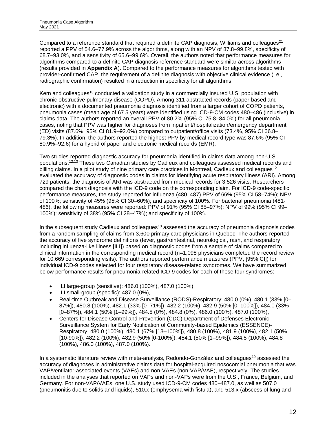Compared to a reference standard that required a definite CAP diagnosis, Williams and colleagues $21$ reported a PPV of 54.6–77.9% across the algorithms, along with an NPV of 87.8–99.8%, specificity of 68.7–93.0%, and a sensitivity of 65.6–99.6%. Overall, the authors noted that performance measures for algorithms compared to a definite CAP diagnosis reference standard were similar across algorithms (results provided in **[Appendix A](#page-31-0)**). Compared to the performance measures for algorithms tested with provider-confirmed CAP, the requirement of a definite diagnosis with objective clinical evidence (i.e., radiographic confirmation) resulted in a reduction in specificity for all algorithms.

Kern and colleagues<sup>18</sup> conducted a validation study in a commercially insured U.S. population with chronic obstructive pulmonary disease (COPD). Among 311 abstracted records (paper-based and electronic) with a documented pneumonia diagnosis identified from a larger cohort of COPD patients, pneumonia cases (mean age of 67.5 years) were identified using ICD-9-CM codes 480–486 (inclusive) in claims data. The authors reported an overall PPV of 80.2% (95% CI 75.8–84.0%) for all pneumonia cases, noting that PPV was higher for diagnoses from inpatient/hospitalization/emergency department (ED) visits (87.6%, 95% CI 81.9–92.0%) compared to outpatient/office visits (73.4%, 95% CI 66.8– 79.3%). In addition, the authors reported the highest PPV by medical record type was 87.6% (95% CI 80.9%–92.6) for a hybrid of paper and electronic medical records (EMR).

Two studies reported diagnostic accuracy for pneumonia identified in claims data among non-U.S. populations.<sup>12,13</sup> These two Canadian studies by Cadieux and colleagues assessed medical records and billing claims. In a pilot study of nine primary care practices in Montreal, Cadieux and colleagues<sup>12</sup> evaluated the accuracy of diagnostic codes in claims for identifying acute respiratory illness (ARI). Among 729 patients, the diagnosis of ARI was abstracted from medical records for 3,526 visits. Researchers compared the chart diagnosis with the ICD-9 code on the corresponding claim. For ICD-9 code-specific performance measures, the study reported for influenza (480, 487) PPV of 66% (95% CI 58–74%); NPV of 100%; sensitivity of 45% (95% CI 30–60%); and specificity of 100%. For bacterial pneumonia (481- 486), the following measures were reported: PPV of 91% (95% CI 85–97%); NPV of 99% (95% CI 99– 100%); sensitivity of 38% (95% CI 28–47%); and specificity of 100%.

In the subsequent study Cadieux and colleagues<sup>13</sup> assessed the accuracy of pneumonia diagnosis codes from a random sampling of claims from 3,600 primary care physicians in Quebec. The authors reported the accuracy of five syndrome definitions (fever, gastrointestinal, neurological, rash, and respiratory including influenza-like illness [ILI]) based on diagnostic codes from a sample of claims compared to clinical information in the corresponding medical record (n=1,098 physicians completed the record review for 10,669 corresponding visits). The authors reported performance measures (PPV, [95% CI]) for individual ICD-9 codes selected for four respiratory disease-related syndromes. We have summarized below performance results for pneumonia-related ICD-9 codes for each of these four syndromes:

- ILI large-group (sensitive): 486.0 (100%), 487.0 (100%),
- ILI small-group (specific): 487.0 (0%),
- Real-time Outbreak and Disease Surveillance (RODS)-Respiratory: 480.0 (0%), 480.1 (33% [0– 87%]), 480.8 (100%), 482.1 (33% [0–71%]), 482.2 (100%), 482.9 (50% [0–100%]), 484.0 (33% [0–87%]), 484.1 (50% [1–99%]), 484.5 (0%), 484.8 (0%), 486.0 (100%), 487.0 (100%),
- Centers for Disease Control and Prevention (CDC)-Department of Defenses Electronic Surveillance System for Early Notification of Community-based Epidemics (ESSENCE)- Respiratory: 480.0 (100%), 480.1 (67% [13–100%]), 480.8 (100%), 481.9 (100%), 482.1 (50% [10-90%]), 482.2 (100%), 482.9 (50% [0-100%]), 484.1 (50% [1–99%]), 484.5 (100%), 484.8 (100%), 486.0 (100%), 487.0 (100%).

In a systematic literature review with meta-analysis, Redondo-González and colleagues<sup>19</sup> assessed the accuracy of diagnoses in administrative claims data for hospital-acquired nosocomial pneumonia that was VAP/ventilator-associated events (VAEs) and non-VAEs (non-VAP/VAE), respectively. The studies included in the analyses that reported on VAPs and non-VAPs were from the U.S., France, Belgium, and Germany. For non-VAP/VAEs, one U.S. study used ICD-9-CM codes 480–487.0, as well as 507.0 (pneumonitis due to solids and liquids), 510.x (emphysema with fistula), and 513.x (abscess of lung and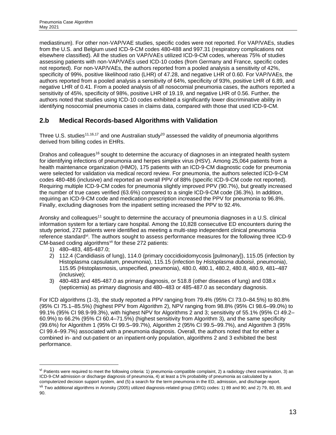mediastinum). For other non-VAP/VAE studies, specific codes were not reported. For VAP/VAEs, studies from the U.S. and Belgium used ICD-9-CM codes 480-488 and 997.31 (respiratory complications not elsewhere classified). All the studies on VAP/VAEs utilized ICD-9-CM codes, whereas 75% of studies assessing patients with non-VAP/VAEs used ICD-10 codes (from Germany and France, specific codes not reported). For non-VAP/VAEs, the authors reported from a pooled analysis a sensitivity of 42%, specificity of 99%, positive likelihood ratio (LHR) of 47.28, and negative LHR of 0.60. For VAP/VAEs, the authors reported from a pooled analysis a sensitivity of 64%, specificity of 93%, positive LHR of 6.89, and negative LHR of 0.41. From a pooled analysis of all nosocomial pneumonia cases, the authors reported a sensitivity of 45%, specificity of 98%, positive LHR of 19.19, and negative LHR of 0.56. Further, the authors noted that studies using ICD-10 codes exhibited a significantly lower discriminative ability in identifying nosocomial pneumonia cases in claims data, compared with those that used ICD-9-CM.

### <span id="page-12-0"></span>**2.b Medical Records-based Algorithms with Validation**

Three U.S. studies<sup>11,16,17</sup> and one Australian study<sup>20</sup> assessed the validity of pneumonia algorithms derived from billing codes in EHRs.

Drahos and colleagues<sup>16</sup> sought to determine the accuracy of diagnoses in an integrated health system for identifying infections of pneumonia and herpes simplex virus (HSV). Among 25,064 patients from a health maintenance organization (HMO), 175 patients with an ICD-9-CM diagnostic code for pneumonia were selected for validation via medical record review. For pneumonia, the authors selected ICD-9-CM codes 480-486 (inclusive) and reported an overall PPV of 88% (specific ICD-9-CM code not reported). Requiring multiple ICD-9-CM codes for pneumonia slightly improved PPV (90.7%), but greatly increased the number of true cases verified (63.6%) compared to a single ICD-9-CM code (36.3%). In addition, requiring an ICD-9-CM code and medication prescription increased the PPV for pneumonia to 96.8%. Finally, excluding diagnoses from the inpatient setting increased the PPV to 92.4%.

Aronsky and colleagues<sup>11</sup> sought to determine the accuracy of pneumonia diagnoses in a U.S. clinical information system for a tertiary care hospital. Among the 10,828 consecutive ED encounters during the study period, 272 patients were identified as meeting a multi-step independent clinical pneumonia reference standard<sup>vi</sup>. The authors sought to assess performance measures for the following three ICD-9 CM-based coding algorithms<sup>vii</sup> for these 272 patients:

- 1) 480–483, 485-487.0;
- 2) 112.4 (Candidiasis of lung), 114.0 (primary coccidioidomycosis [pulmonary]), 115.05 (infection by Histoplasma capsulatum, pneumonia), 115.15 (infection by *Histoplasma duboisii*, pneumonia), 115.95 (Histoplasmosis, unspecified, pneumonia), 480.0, 480.1, 480.2, 480.8, 480.9, 481–487 (inclusive);
- 3) 480-483 and 485-487.0 as primary diagnosis, or 518.8 (other diseases of lung) and 038.x (septicemia) as primary diagnosis and 480–483 or 485-487.0 as secondary diagnosis.

For ICD algorithms (1-3), the study reported a PPV ranging from 79.4% (95% CI 73.0–84.5%) to 80.8% (95% CI 75.1–85.5%) (highest PPV from Algorithm 2), NPV ranging from 98.8% (95% CI 98.6–99.0%) to 99.1% (95% CI 98.9-99.3%), with highest NPV for Algorithms 2 and 3; sensitivity of 55.1% (95% CI 49.2– 60.9%) to 66.2% (95% CI 60.4–71.5%) (highest sensitivity from Algorithm 3), and the same specificity (99.6%) for Algorithm 1 (95% CI 99.5–99.7%), Algorithm 2 (95% CI 99.5–99.7%), and Algorithm 3 (95% CI 99.4–99.7%) associated with a pneumonia diagnosis. Overall, the authors noted that for either a combined in- and out-patient or an inpatient-only population, algorithms 2 and 3 exhibited the best performance.

vi Patients were required to meet the following criteria: 1) pneumonia-compatible complaint, 2) a radiology chest examination, 3) an ICD-9-CM admission or discharge diagnosis of pneumonia, 4) at least a 1% probability of pneumonia as calculated by a computerized decision support system, and (5) a search for the term pneumonia in the ED, admission, and discharge report.

vii Two additional algorithms in Aronsky (2005) utilized diagnosis-related group (DRG) codes: 1) 89 and 90; and 2) 79, 80, 89, and 90.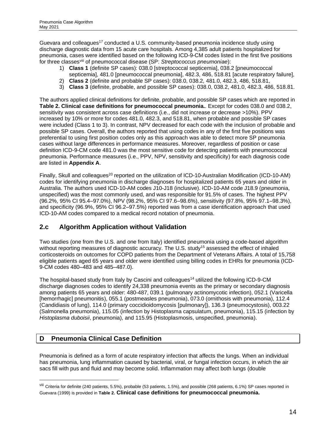Guevara and colleagues<sup>17</sup> conducted a U.S. community-based pneumonia incidence study using discharge diagnostic data from 15 acute care hospitals. Among 4,385 adult patients hospitalized for pneumonia, cases were identified based on the following ICD-9-CM codes listed in the first five positions for three classesviii of pneumococcal disease (SP: *Streptococcus pneumoniae*):

- 1) **Class 1** (definite SP cases): 038.0 [streptococcal septicemia], 038.2 [pneumococcal septicemia], 481.0 [pneumococcal pneumonia], 482.3, 486, 518.81 [acute respiratory failure],
- 2) **Class 2** (definite and probable SP cases): 038.0, 038.2, 481.0, 482.3, 486, 518.81,
- 3) **Class 3** (definite, probable, and possible SP cases): 038.0, 038.2, 481.0, 482.3, 486, 518.81.

The authors applied clinical definitions for definite, probable, and possible SP cases which are reported in **[Table 2. Clinical case definitions for pneumococcal pneumonia.](#page-14-0)**. Except for codes 038.0 and 038.2, sensitivity was consistent across case definitions (i.e., did not increase or decrease >10%). PPV increased by 10% or more for codes 481.0, 482.3, and 518.81, when probable and possible SP cases were included (Class 1 to 3). In contrast, NPV decreased for each code with the inclusion of probable and possible SP cases. Overall, the authors reported that using codes in any of the first five positions was preferential to using first position codes only as this approach was able to detect more SP pneumonia cases without large differences in performance measures. Moreover, regardless of position or case definition ICD-9-CM code 481.0 was the most sensitive code for detecting patients with pneumococcal pneumonia. Performance measures (i.e., PPV, NPV, sensitivity and specificity) for each diagnosis code are listed in **[Appendix A](#page-31-0)**.

Finally, Skull and colleagues<sup>20</sup> reported on the utilization of ICD-10-Australian Modification (ICD-10-AM) codes for identifying pneumonia in discharge diagnoses for hospitalized patients 65 years and older in Australia. The authors used ICD-10-AM codes J10-J18 (inclusive). ICD-10-AM code J18.9 (pneumonia, unspecified) was the most commonly used, and was responsible for 91.5% of cases. The highest PPV (96.2%, 95% CI 95.4–97.0%), NPV (98.2%, 95% CI 97.6–98.6%), sensitivity (97.8%, 95% 97.1–98.3%), and specificity (96.9%, 95% CI 96.2–97.5%) reported was from a case identification approach that used ICD-10-AM codes compared to a medical record notation of pneumonia.

#### <span id="page-13-0"></span>**2.c Algorithm Application without Validation**

Two studies (one from the U.S. and one from Italy) identified pneumonia using a code-based algorithm without reporting measures of diagnostic accuracy. The U.S. study<sup>15</sup> assessed the effect of inhaled corticosteroids on outcomes for COPD patients from the Department of Veterans Affairs. A total of 15,758 eligible patients aged 65 years and older were identified using billing codes in EHRs for pneumonia (ICD-9-CM codes 480–483 and 485–487.0).

The hospital-based study from Italy by Cascini and colleagues<sup>14</sup> utilized the following ICD-9-CM discharge diagnoses codes to identify 24,338 pneumonia events as the primary or secondary diagnosis among patients 65 years and older: 480-487, 039.1 (pulmonary actinomycotic infection), 052.1 (Varicella [hemorrhagic] pneumonitis), 055.1 (postmeasles pneumonia), 073.0 (ornithosis with pneumonia), 112.4 (Candidiasis of lung), 114.0 (primary coccidioidomycosis [pulmonary]), 136.3 (pneumocystosis), 003.22 (Salmonella pneumonia), 115.05 (infection by Histoplasma capsulatum, pneumonia), 115.15 (infection by *Histoplasma duboisii*, pneumonia), and 115.95 (Histoplasmosis, unspecified, pneumonia).

#### <span id="page-13-1"></span>**D Pneumonia Clinical Case Definition**

Pneumonia is defined as a form of acute respiratory infection that affects the lungs. When an individual has pneumonia, lung inflammation caused by bacterial, viral, or fungal infection occurs, in which the air sacs fill with pus and fluid and may become solid. Inflammation may affect both lungs (double

viii Criteria for definite (240 patients, 5.5%), probable (53 patients, 1.5%), and possible (268 patients, 6.1%) SP cases reported in Guevara (1999) is provided in **Table 2. [Clinical case definitions for pneumococcal pneumonia.](#page-14-0)**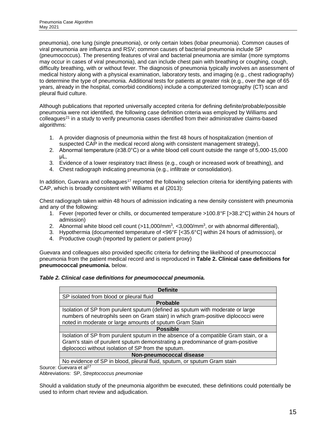pneumonia), one lung (single pneumonia), or only certain lobes (lobar pneumonia). Common causes of viral pneumonia are influenza and RSV; common causes of bacterial pneumonia include SP (pneumococcus). The presenting features of viral and bacterial pneumonia are similar (more symptoms may occur in cases of viral pneumonia), and can include chest pain with breathing or coughing, cough, difficulty breathing, with or without fever. The diagnosis of pneumonia typically involves an assessment of medical history along with a physical examination, laboratory tests, and imaging (e.g., chest radiography) to determine the type of pneumonia. Additional tests for patients at greater risk (e.g., over the age of 65 years, already in the hospital, comorbid conditions) include a computerized tomography (CT) scan and pleural fluid culture.

Although publications that reported universally accepted criteria for defining definite/probable/possible pneumonia were not identified, the following case definition criteria was employed by Williams and colleagues<sup>21</sup> in a study to verify pneumonia cases identified from their administrative claims-based algorithms:

- 1. A provider diagnosis of pneumonia within the first 48 hours of hospitalization (mention of suspected CAP in the medical record along with consistent management strategy),
- 2. Abnormal temperature (≥38.0°C) or a white blood cell count outside the range of 5,000-15,000 μL,
- 3. Evidence of a lower respiratory tract illness (e.g., cough or increased work of breathing), and
- 4. Chest radiograph indicating pneumonia (e.g., infiltrate or consolidation).

In addition, Guevara and colleagues<sup>17</sup> reported the following selection criteria for identifying patients with CAP, which is broadly consistent with Williams et al (2013):

Chest radiograph taken within 48 hours of admission indicating a new density consistent with pneumonia and any of the following:

- 1. Fever (reported fever or chills, or documented temperature >100.8°F [>38.2°C] within 24 hours of admission)
- 2. Abnormal white blood cell count  $($ >11,000/mm<sup>3</sup>, <3,000/mm<sup>3</sup>, or with abnormal differential),
- 3. Hypothermia (documented temperature of <96°F [<35.6°C] within 24 hours of admission), or
- 4. Productive cough (reported by patient or patient proxy)

Guevara and colleagues also provided specific criteria for defining the likelihood of pneumococcal pneumonia from the patient medical record and is reproduced in **[Table 2. Clinical case definitions for](#page-14-0)  [pneumococcal pneumonia.](#page-14-0)** below.

<span id="page-14-0"></span>*Table 2. Clinical case definitions for pneumococcal pneumonia.*

| SP isolated from blood or pleural fluid<br><b>Probable</b><br>Isolation of SP from purulent sputum (defined as sputum with moderate or large<br>numbers of neutrophils seen on Gram stain) in which gram-positive diplococci were<br>noted in moderate or large amounts of sputum Gram Stain |  |  |
|----------------------------------------------------------------------------------------------------------------------------------------------------------------------------------------------------------------------------------------------------------------------------------------------|--|--|
|                                                                                                                                                                                                                                                                                              |  |  |
|                                                                                                                                                                                                                                                                                              |  |  |
|                                                                                                                                                                                                                                                                                              |  |  |
|                                                                                                                                                                                                                                                                                              |  |  |
|                                                                                                                                                                                                                                                                                              |  |  |
| <b>Possible</b>                                                                                                                                                                                                                                                                              |  |  |
| Isolation of SP from purulent sputum in the absence of a compatible Gram stain, or a                                                                                                                                                                                                         |  |  |
| Gram's stain of purulent sputum demonstrating a predominance of gram-positive                                                                                                                                                                                                                |  |  |
| diplococci without isolation of SP from the sputum.                                                                                                                                                                                                                                          |  |  |
| Non-pneumococcal disease                                                                                                                                                                                                                                                                     |  |  |
| No evidence of SP in blood, pleural fluid, sputum, or sputum Gram stain                                                                                                                                                                                                                      |  |  |

Source: Guevara et al<sup>17</sup>

Abbreviations: SP, *Streptococcus pneumoniae*

Should a validation study of the pneumonia algorithm be executed, these definitions could potentially be used to inform chart review and adjudication.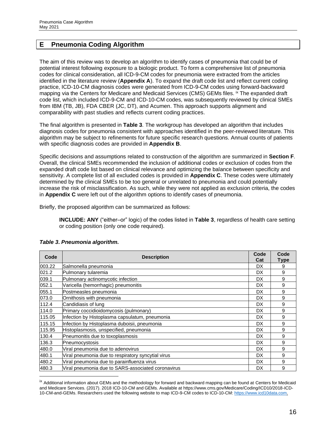## <span id="page-15-0"></span>**E Pneumonia Coding Algorithm**

The aim of this review was to develop an algorithm to identify cases of pneumonia that could be of potential interest following exposure to a biologic product. To form a comprehensive list of pneumonia codes for clinical consideration, all ICD-9-CM codes for pneumonia were extracted from the articles identified in the literature review (**Appendix A**). To expand the draft code list and reflect current coding practice, ICD-10-CM diagnosis codes were generated from ICD-9-CM codes using forward-backward mapping via the Centers for Medicare and Medicaid Services (CMS) GEMs files. <sup>ix</sup> The expanded draft code list, which included ICD-9-CM and ICD-10-CM codes, was subsequently reviewed by clinical SMEs from IBM (TB, JB), FDA CBER (JC, DT), and Acumen. This approach supports alignment and comparability with past studies and reflects current coding practices.

The final algorithm is presented in **[Table 3](#page-15-1)**. The workgroup has developed an algorithm that includes diagnosis codes for pneumonia consistent with approaches identified in the peer-reviewed literature. This algorithm may be subject to refinements for future specific research questions. Annual counts of patients with specific diagnosis codes are provided in **Appendix B**.

Specific decisions and assumptions related to construction of the algorithm are summarized in **Section F**. Overall, the clinical SMEs recommended the inclusion of additional codes or exclusion of codes from the expanded draft code list based on clinical relevance and optimizing the balance between specificity and sensitivity. A complete list of all excluded codes is provided in **Appendix C**. These codes were ultimately determined by the clinical SMEs to be too general or unrelated to pneumonia and could potentially increase the risk of misclassification. As such, while they were not applied as exclusion criteria, the codes in **Appendix C** were left out of the algorithm options to identify cases of pneumonia.

Briefly, the proposed algorithm can be summarized as follows:

**INCLUDE: ANY** ("either–or" logic) of the codes listed in **[Table 3](#page-15-1)**, regardless of health care setting or coding position (only one code required).

| Code   | <b>Description</b>                                 | Code<br>Cat | Code<br><b>Type</b> |
|--------|----------------------------------------------------|-------------|---------------------|
| 003.22 | Salmonella pneumonia                               | DX          | 9                   |
| 021.2  | Pulmonary tularemia                                | <b>DX</b>   | 9                   |
| 039.1  | Pulmonary actinomycotic infection                  | <b>DX</b>   | 9                   |
| 052.1  | Varicella (hemorrhagic) pneumonitis                | <b>DX</b>   | 9                   |
| 055.1  | Postmeasles pneumonia                              | <b>DX</b>   | 9                   |
| 073.0  | Ornithosis with pneumonia                          | <b>DX</b>   | 9                   |
| 112.4  | Candidiasis of lung                                | <b>DX</b>   | 9                   |
| 114.0  | Primary coccidioidomycosis (pulmonary)             | DX          | 9                   |
| 115.05 | Infection by Histoplasma capsulatum, pneumonia     | <b>DX</b>   | 9                   |
| 115.15 | Infection by Histoplasma duboisii, pneumonia       | <b>DX</b>   | 9                   |
| 115.95 | Histoplasmosis, unspecified, pneumonia             | <b>DX</b>   | 9                   |
| 130.4  | Pneumonitis due to toxoplasmosis                   | DX          | 9                   |
| 136.3  | Pneumocystosis                                     | DX          | 9                   |
| 480.0  | Viral pneumonia due to adenovirus                  | DX.         | 9                   |
| 480.1  | Viral pneumonia due to respiratory syncytial virus | DX          | 9                   |
| 480.2  | Viral pneumonia due to parainfluenza virus         | DX          | 9                   |
| 480.3  | Viral pneumonia due to SARS-associated coronavirus | DX          | 9                   |

#### <span id="page-15-1"></span>*Table 3***.** *Pneumonia algorithm.*

ix Additional information about GEMs and the methodology for forward and backward mapping can be found at Centers for Medicaid and Medicare Services. (2017). 2018 ICD-10-CM and GEMs. Available at https://www.cms.gov/Medicare/Coding/ICD10/2018-ICD-10-CM-and-GEMs. Researchers used the following website to map ICD-9-CM codes to ICD-10-CM[: https://www.icd10data.com.](https://www.icd10data.com/)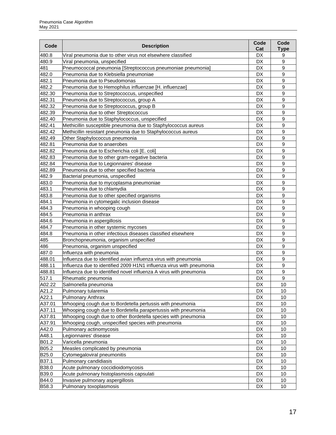| Code   | <b>Description</b>                                                   | Code<br>Cat | Code<br><b>Type</b> |
|--------|----------------------------------------------------------------------|-------------|---------------------|
| 480.8  | Viral pneumonia due to other virus not elsewhere classified          | DX          | 9                   |
| 480.9  | Viral pneumonia, unspecified                                         | <b>DX</b>   | 9                   |
| 481    | Pneumococcal pneumonia [Streptococcus pneumoniae pneumonia]          | DX          | 9                   |
| 482.0  | Pneumonia due to Klebsiella pneumoniae                               | DX          | 9                   |
| 482.1  | Pneumonia due to Pseudomonas                                         | <b>DX</b>   | $\boldsymbol{9}$    |
| 482.2  | Pneumonia due to Hemophilus influenzae [H. influenzae]               | DX          | $\mathsf g$         |
| 482.30 | Pneumonia due to Streptococcus, unspecified                          | DX          | 9                   |
| 482.31 | Pneumonia due to Streptococcus, group A                              | DX          | 9                   |
| 482.32 | Pneumonia due to Streptococcus, group B                              | DX          | 9                   |
| 482.39 | Pneumonia due to other Streptococcus                                 | DX          | 9                   |
| 482.40 | Pneumonia due to Staphylococcus, unspecified                         | DX          | 9                   |
| 482.41 | Methicillin susceptible pneumonia due to Staphylococcus aureus       | DX          | $\mathsf g$         |
| 482.42 | Methicillin resistant pneumonia due to Staphylococcus aureus         | DX          | 9                   |
| 482.49 | Other Staphylococcus pneumonia                                       | DX          | 9                   |
| 482.81 | Pneumonia due to anaerobes                                           | DX          | 9                   |
| 482.82 | Pneumonia due to Escherichia coli [E. coli]                          | DX          | 9                   |
| 482.83 | Pneumonia due to other gram-negative bacteria                        | DX          | 9                   |
| 482.84 | Pneumonia due to Legionnaires' disease                               | <b>DX</b>   | 9                   |
| 482.89 | Pneumonia due to other specified bacteria                            | DX          | 9                   |
| 482.9  | Bacterial pneumonia, unspecified                                     | DX          | $\mathsf g$         |
| 483.0  | Pneumonia due to mycoplasma pneumoniae                               | DX          | 9                   |
| 483.1  | Pneumonia due to chlamydia                                           | DX          | 9                   |
| 483.8  | Pneumonia due to other specified organisms                           | DX          | 9                   |
| 484.1  | Pneumonia in cytomegalic inclusion disease                           | DX          | 9                   |
| 484.3  | Pneumonia in whooping cough                                          | DX          | 9                   |
| 484.5  | Pneumonia in anthrax                                                 | DX          | 9                   |
| 484.6  | Pneumonia in aspergillosis                                           | DX          | $\mathsf g$         |
| 484.7  | Pneumonia in other systemic mycoses                                  | DX          | $\boldsymbol{9}$    |
| 484.8  | Pneumonia in other infectious diseases classified elsewhere          | DX          | 9                   |
| 485    | Bronchopneumonia, organism unspecified                               | DX          | 9                   |
| 486    | Pneumonia, organism unspecified                                      | DX          | 9                   |
| 487.0  | Influenza with pneumonia                                             | DX          | 9                   |
| 488.01 | Influenza due to identified avian influenza virus with pneumonia     | DX          | 9                   |
| 488.11 | Influenza due to identified 2009 H1N1 influenza virus with pneumonia | DX          | 9                   |
| 488.81 | Influenza due to identified novel influenza A virus with pneumonia   | <b>DX</b>   | $\mathsf g$         |
| 517.1  | Rheumatic pneumonia                                                  | <b>DX</b>   | $\mathsf g$         |
| A02.22 | Salmonella pneumonia                                                 | DX          | 10                  |
| A21.2  | Pulmonary tularemia                                                  | DX          | 10                  |
| A22.1  | Pulmonary Anthrax                                                    | DX          | 10                  |
| A37.01 | Whooping cough due to Bordetella pertussis with pneumonia            | DX          | 10                  |
| A37.11 | Whooping cough due to Bordetella parapertussis with pneumonia        | DX          | 10                  |
| A37.81 | Whooping cough due to other Bordetella species with pneumonia        | DX          | 10                  |
| A37.91 | Whooping cough, unspecified species with pneumonia                   | DX          | 10                  |
| A42.0  | Pulmonary actinomycosis                                              | DX          | 10                  |
| A48.1  | egionnaires' disease                                                 | DX          | 10                  |
| B01.2  | Varicella pneumonia                                                  | DX          | 10                  |
| B05.2  | Measles complicated by pneumonia                                     | DX          | 10                  |
| B25.0  | Cytomegaloviral pneumonitis                                          | DX          | 10                  |
| B37.1  | Pulmonary candidiasis                                                | DX          | 10                  |
| B38.0  | Acute pulmonary coccidioidomycosis                                   | DX          | 10                  |
| B39.0  | Acute pulmonary histoplasmosis capsulati                             | DX          | 10                  |
| B44.0  | Invasive pulmonary aspergillosis                                     | DX          | 10                  |
| B58.3  | Pulmonary toxoplasmosis                                              | DX          | 10                  |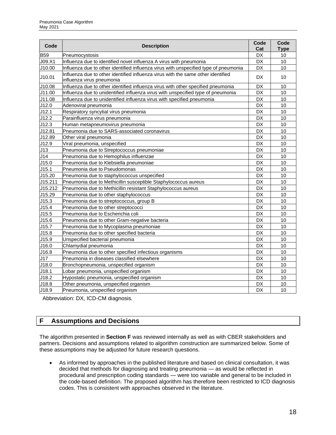| Code       | <b>Description</b>                                                                                            |           | Code<br><b>Type</b> |
|------------|---------------------------------------------------------------------------------------------------------------|-----------|---------------------|
| <b>B59</b> | Pneumocystosis                                                                                                | DX        | $10$                |
| J09.X1     | Influenza due to identified novel influenza A virus with pneumonia                                            | DX        | 10                  |
| J10.00     | Influenza due to other identified influenza virus with unspecified type of pneumonia                          |           | 10                  |
| J10.01     | Influenza due to other identified influenza virus with the same other identified<br>influenza virus pneumonia | <b>DX</b> | 10                  |
| J10.08     | Influenza due to other identified influenza virus with other specified pneumonia                              | <b>DX</b> | 10                  |
| J11.00     | Influenza due to unidentified influenza virus with unspecified type of pneumonia                              | DX        | 10                  |
| J11.08     | Influenza due to unidentified influenza virus with specified pneumonia                                        | <b>DX</b> | 10                  |
| J12.0      | Adenoviral pneumonia                                                                                          | DX        | 10                  |
| J12.1      | Respiratory syncytial virus pneumonia                                                                         | DX        | 10                  |
| J12.2      | Parainfluenza virus pneumonia                                                                                 | DX        | 10                  |
| J12.3      | Human metapneumovirus pneumonia                                                                               | DX        | 10                  |
| J12.81     | Pneumonia due to SARS-associated coronavirus                                                                  | DX        | 10                  |
| J12.89     | Other viral pneumonia                                                                                         | DX        | 10                  |
| J12.9      | Viral pneumonia, unspecified                                                                                  | <b>DX</b> | 10                  |
| J13        | Pneumonia due to Streptococcus pneumoniae                                                                     | DX        | 10                  |
| J14        | Pneumonia due to Hemophilus influenzae                                                                        | DX        | 10                  |
| J15.0      | Pneumonia due to Klebsiella pneumoniae                                                                        | DX        | 10                  |
| J15.1      | Pneumonia due to Pseudomonas                                                                                  | DX        | 10                  |
| J15.20     | Pneumonia due to staphylococcus unspecified                                                                   | DX        | 10                  |
| J15.211    | Pneumonia due to Methicillin susceptible Staphylococcus aureus                                                | DX        | 10                  |
| J15.212    | Pneumonia due to Methicillin resistant Staphylococcus aureus                                                  | DX        | 10                  |
| J15.29     | Pneumonia due to other staphylococcus                                                                         | <b>DX</b> | 10                  |
| J15.3      | Pneumonia due to streptococcus, group B                                                                       | DX        | 10                  |
| J15.4      | Pneumonia due to other streptococci                                                                           | <b>DX</b> | 10                  |
| J15.5      | Pneumonia due to Escherichia coli                                                                             | DX        | 10                  |
| J15.6      | Pneumonia due to other Gram-negative bacteria                                                                 | DX        | 10                  |
| J15.7      | Pneumonia due to Mycoplasma pneumoniae                                                                        | DX        | 10                  |
| J15.8      | Pneumonia due to other specified bacteria                                                                     | <b>DX</b> | 10                  |
| J15.9      | Unspecified bacterial pneumonia                                                                               | <b>DX</b> | 10                  |
| J16.0      | Chlamydial pneumonia                                                                                          | <b>DX</b> | 10                  |
| J16.8      | Pneumonia due to other specified infectious organisms                                                         | DX        | 10                  |
| J17        | Pneumonia in diseases classified elsewhere                                                                    | <b>DX</b> | 10                  |
| J18.0      | Bronchopneumonia, unspecified organism                                                                        | DX        | 10                  |
| J18.1      | obar pneumonia, unspecified organism                                                                          | DX        | 10                  |
| J18.2      | Hypostatic pneumonia, unspecified organism                                                                    | DX        | 10                  |
| J18.8      | Other pneumonia, unspecified organism                                                                         | <b>DX</b> | 10                  |
| J18.9      | Pneumonia, unspecified organism                                                                               | <b>DX</b> | 10                  |

Abbreviation: DX, ICD-CM diagnosis.

#### <span id="page-17-0"></span>**F Assumptions and Decisions**

The algorithm presented in **Section F** was reviewed internally as well as with CBER stakeholders and partners. Decisions and assumptions related to algorithm construction are summarized below. Some of these assumptions may be adjusted for future research questions.

• As informed by approaches in the published literature and based on clinical consultation, it was decided that methods for diagnosing and treating pneumonia — as would be reflected in procedural and prescription coding standards — were too variable and general to be included in the code-based definition. The proposed algorithm has therefore been restricted to ICD diagnosis codes. This is consistent with approaches observed in the literature.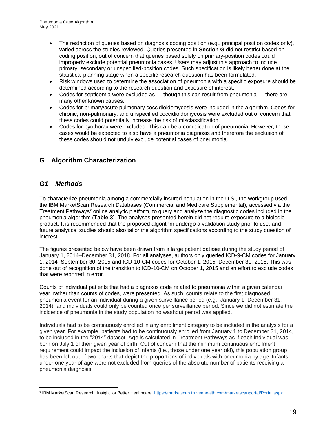- The restriction of queries based on diagnosis coding position (e.g., principal position codes only), varied across the studies reviewed. Queries presented in **Section G** did not restrict based on coding position, out of concern that queries based solely on primary-position codes could improperly exclude potential pneumonia cases. Users may adjust this approach to include primary, secondary or unspecified-position codes. Such specification is likely better done at the statistical planning stage when a specific research question has been formulated.
- Risk windows used to determine the association of pneumonia with a specific exposure should be determined according to the research question and exposure of interest.
- Codes for septicemia were excluded as though this can result from pneumonia there are many other known causes.
- Codes for primary/acute pulmonary coccidioidomycosis were included in the algorithm. Codes for chronic, non-pulmonary, and unspecified coccidioidomycosis were excluded out of concern that these codes could potentially increase the risk of misclassification.
- Codes for pyothorax were excluded. This can be a complication of pneumonia. However, those cases would be expected to also have a pneumonia diagnosis and therefore the exclusion of these codes should not unduly exclude potential cases of pneumonia.

### <span id="page-18-0"></span>**G Algorithm Characterization**

#### <span id="page-18-1"></span>*G1 Methods*

To characterize pneumonia among a commercially insured population in the U.S., the workgroup used the IBM MarketScan Research Databases (Commercial and Medicare Supplemental), accessed via the Treatment Pathways<sup>x</sup> online analytic platform, to query and analyze the diagnostic codes included in the pneumonia algorithm (**[Table 3](#page-15-1)**). The analyses presented herein did not require exposure to a biologic product. It is recommended that the proposed algorithm undergo a validation study prior to use, and future analytical studies should also tailor the algorithm specifications according to the study question of interest.

The figures presented below have been drawn from a large patient dataset during the study period of January 1, 2014–December 31, 2018. For all analyses, authors only queried ICD-9-CM codes for January 1, 2014–September 30, 2015 and ICD-10-CM codes for October 1, 2015–December 31, 2018. This was done out of recognition of the transition to ICD-10-CM on October 1, 2015 and an effort to exclude codes that were reported in error.

Counts of individual patients that had a diagnosis code related to pneumonia within a given calendar year, rather than counts of codes, were presented. As such, counts relate to the first diagnosed pneumonia event for an individual during a given surveillance period (e.g., January 1–December 31, 2014), and individuals could only be counted once per surveillance period. Since we did not estimate the incidence of pneumonia in the study population no washout period was applied.

Individuals had to be continuously enrolled in any enrollment category to be included in the analysis for a given year. For example, patients had to be continuously enrolled from January 1 to December 31, 2014, to be included in the "2014" dataset. Age is calculated in Treatment Pathways as if each individual was born on July 1 of their given year of birth. Out of concern that the minimum continuous enrollment requirement could impact the inclusion of infants (i.e., those under one year old), this population group has been left out of two charts that depict the proportions of individuals with pneumonia by age. Infants under one year of age were not excluded from queries of the absolute number of patients receiving a pneumonia diagnosis.

x IBM MarketScan Research. Insight for Better Healthcare.<https://marketscan.truvenhealth.com/marketscanportal/Portal.aspx>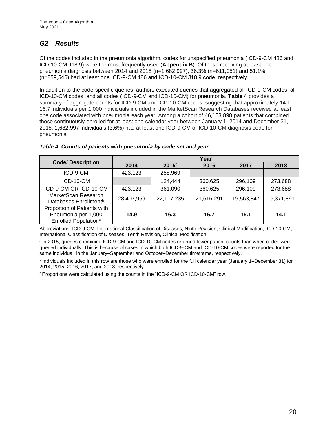## <span id="page-19-0"></span>*G2 Results*

Of the codes included in the pneumonia algorithm, codes for unspecified pneumonia (ICD-9-CM 486 and ICD-10-CM J18.9) were the most frequently used (**Appendix B**). Of those receiving at least one pneumonia diagnosis between 2014 and 2018 (n=1,682,997), 36.3% (n=611,051) and 51.1% (n=859,546) had at least one ICD-9-CM 486 and ICD-10-CM J18.9 code, respectively.

In addition to the code-specific queries, authors executed queries that aggregated all ICD-9-CM codes, all ICD-10-CM codes, and all codes (ICD-9-CM and ICD-10-CM) for pneumonia. **[Table 4](#page-19-1)** provides a summary of aggregate counts for ICD-9-CM and ICD-10-CM codes, suggesting that approximately 14.1– 16.7 individuals per 1,000 individuals included in the MarketScan Research Databases received at least one code associated with pneumonia each year. Among a cohort of 46,153,898 patients that combined those continuously enrolled for at least one calendar year between January 1, 2014 and December 31, 2018, 1,682,997 individuals (3.6%) had at least one ICD-9-CM or ICD-10-CM diagnosis code for pneumonia.

|                                                                                        | Year       |                   |            |            |            |
|----------------------------------------------------------------------------------------|------------|-------------------|------------|------------|------------|
| <b>Code/ Description</b>                                                               | 2014       | 2015 <sup>a</sup> | 2016       | 2017       | 2018       |
| ICD-9-CM                                                                               | 423,123    | 258,969           |            |            |            |
| ICD-10-CM                                                                              |            | 124,444           | 360,625    | 296,109    | 273,688    |
| ICD-9-CM OR ICD-10-CM                                                                  | 423,123    | 361,090           | 360,625    | 296,109    | 273,688    |
| MarketScan Research<br>Databases Enrollment <sup>b</sup>                               | 28,407,959 | 22,117,235        | 21,616,291 | 19,563,847 | 19,371,891 |
| Proportion of Patients with<br>Pneumonia per 1,000<br>Enrolled Population <sup>c</sup> | 14.9       | 16.3              | 16.7       | 15.1       | 14.1       |

#### <span id="page-19-1"></span>*Table 4. Counts of patients with pneumonia by code set and year.*

Abbreviations: ICD-9-CM, International Classification of Diseases, Ninth Revision, Clinical Modification; ICD-10-CM, International Classification of Diseases, Tenth Revision, Clinical Modification.

a In 2015, queries combining ICD-9-CM and ICD-10-CM codes returned lower patient counts than when codes were queried individually. This is because of cases in which both ICD-9-CM and ICD-10-CM codes were reported for the same individual, in the January–September and October–December timeframe, respectively.

<sup>b</sup> Individuals included in this row are those who were enrolled for the full calendar year (January 1–December 31) for 2014, 2015, 2016, 2017, and 2018, respectively.

<sup>c</sup> Proportions were calculated using the counts in the "ICD-9-CM OR ICD-10-CM" row.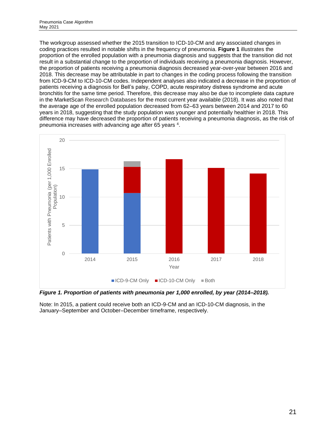The workgroup assessed whether the 2015 transition to ICD-10-CM and any associated changes in coding practices resulted in notable shifts in the frequency of pneumonia. **[Figure 1](#page-20-0)** illustrates the proportion of the enrolled population with a pneumonia diagnosis and suggests that the transition did not result in a substantial change to the proportion of individuals receiving a pneumonia diagnosis. However, the proportion of patients receiving a pneumonia diagnosis decreased year-over-year between 2016 and 2018. This decrease may be attributable in part to changes in the coding process following the transition from ICD-9-CM to ICD-10-CM codes. Independent analyses also indicated a decrease in the proportion of patients receiving a diagnosis for Bell's palsy, COPD, acute respiratory distress syndrome and acute bronchitis for the same time period. Therefore, this decrease may also be due to incomplete data capture in the MarketScan Research Databases for the most current year available (2018). It was also noted that the average age of the enrolled population decreased from 62–63 years between 2014 and 2017 to 60 years in 2018, suggesting that the study population was younger and potentially healthier in 2018. This difference may have decreased the proportion of patients receiving a pneumonia diagnosis, as the risk of pneumonia increases with advancing age after 65 years <sup>4</sup>.



<span id="page-20-0"></span>*Figure 1. Proportion of patients with pneumonia per 1,000 enrolled, by year (2014–2018).*

Note: In 2015, a patient could receive both an ICD-9-CM and an ICD-10-CM diagnosis, in the January–September and October–December timeframe, respectively.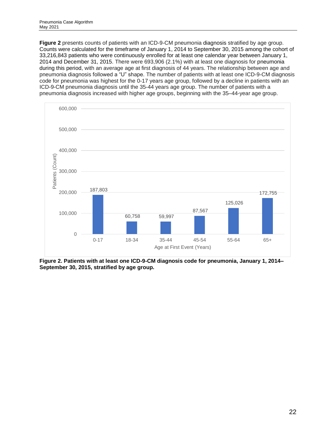**[Figure 2](#page-21-0)** presents counts of patients with an ICD-9-CM pneumonia diagnosis stratified by age group. Counts were calculated for the timeframe of January 1, 2014 to September 30, 2015 among the cohort of 33,216,843 patients who were continuously enrolled for at least one calendar year between January 1, 2014 and December 31, 2015. There were 693,906 (2.1%) with at least one diagnosis for pneumonia during this period, with an average age at first diagnosis of 44 years. The relationship between age and pneumonia diagnosis followed a "U" shape. The number of patients with at least one ICD-9-CM diagnosis code for pneumonia was highest for the 0-17 years age group, followed by a decline in patients with an ICD-9-CM pneumonia diagnosis until the 35-44 years age group. The number of patients with a pneumonia diagnosis increased with higher age groups, beginning with the 35–44-year age group.



<span id="page-21-0"></span>**Figure 2. Patients with at least one ICD-9-CM diagnosis code for pneumonia, January 1, 2014– September 30, 2015, stratified by age group.**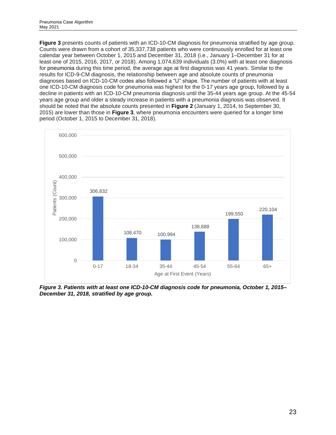**[Figure 3](#page-22-0)** presents counts of patients with an ICD-10-CM diagnosis for pneumonia stratified by age group. Counts were drawn from a cohort of 35,337,738 patients who were continuously enrolled for at least one calendar year between October 1, 2015 and December 31, 2018 (i.e., January 1–December 31 for at least one of 2015, 2016, 2017, or 2018). Among 1,074,639 individuals (3.0%) with at least one diagnosis for pneumonia during this time period, the average age at first diagnosis was 41 years. Similar to the results for ICD-9-CM diagnosis, the relationship between age and absolute counts of pneumonia diagnoses based on ICD-10-CM codes also followed a "U" shape. The number of patients with at least one ICD-10-CM diagnosis code for pneumonia was highest for the 0-17 years age group, followed by a decline in patients with an ICD-10-CM pneumonia diagnosis until the 35-44 years age group. At the 45-54 years age group and older a steady increase in patients with a pneumonia diagnosis was observed. It should be noted that the absolute counts presented in **[Figure 2](#page-21-0)** (January 1, 2014, to September 30, 2015) are lower than those in **[Figure 3](#page-22-0)**, where pneumonia encounters were queried for a longer time period (October 1, 2015 to December 31, 2018).



<span id="page-22-0"></span>*Figure 3. Patients with at least one ICD-10-CM diagnosis code for pneumonia, October 1, 2015– December 31, 2018, stratified by age group.*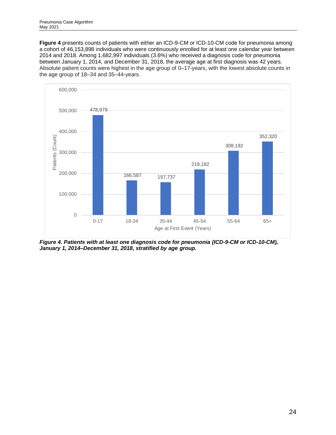**[Figure 4](#page-23-0)** presents counts of patients with either an ICD-9-CM or ICD-10-CM code for pneumonia among a cohort of 46,153,898 individuals who were continuously enrolled for at least one calendar year between 2014 and 2018. Among 1,682,997 individuals (3.6%) who received a diagnosis code for pneumonia between January 1, 2014, and December 31, 2018, the average age at first diagnosis was 42 years. Absolute patient counts were highest in the age group of 0–17-years, with the lowest absolute counts in the age group of 18–34 and 35–44-years.



<span id="page-23-0"></span>*Figure 4. Patients with at least one diagnosis code for pneumonia (ICD-9-CM or ICD-10-CM), January 1, 2014–December 31, 2018, stratified by age group.*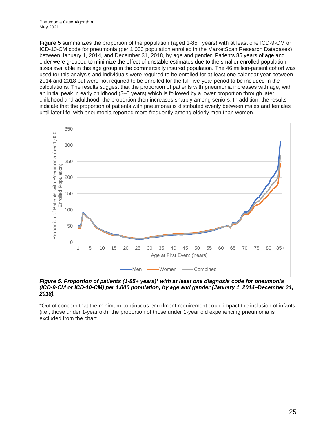**[Figure 5](#page-24-0)** summarizes the proportion of the population (aged 1-85+ years) with at least one ICD-9-CM or ICD-10-CM code for pneumonia (per 1,000 population enrolled in the MarketScan Research Databases) between January 1, 2014, and December 31, 2018, by age and gender. Patients 85 years of age and older were grouped to minimize the effect of unstable estimates due to the smaller enrolled population sizes available in this age group in the commercially insured population. The 46 million-patient cohort was used for this analysis and individuals were required to be enrolled for at least one calendar year between 2014 and 2018 but were not required to be enrolled for the full five-year period to be included in the calculations. The results suggest that the proportion of patients with pneumonia increases with age, with an initial peak in early childhood (3–5 years) which is followed by a lower proportion through later childhood and adulthood; the proportion then increases sharply among seniors. In addition, the results indicate that the proportion of patients with pneumonia is distributed evenly between males and females until later life, with pneumonia reported more frequently among elderly men than women.



<span id="page-24-0"></span>*Figure 5. Proportion of patients (1-85+ years)\* with at least one diagnosis code for pneumonia (ICD-9-CM or ICD-10-CM) per 1,000 population, by age and gender (January 1, 2014–December 31, 2018).*

\*Out of concern that the minimum continuous enrollment requirement could impact the inclusion of infants (i.e., those under 1-year old), the proportion of those under 1-year old experiencing pneumonia is excluded from the chart.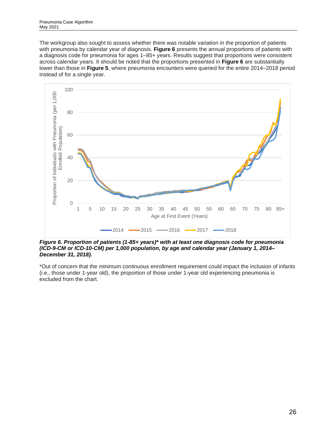The workgroup also sought to assess whether there was notable variation in the proportion of patients with pneumonia by calendar year of diagnosis. **[Figure 6](#page-25-0)** presents the annual proportions of patients with a diagnosis code for pneumonia for ages 1–85+ years. Results suggest that proportions were consistent across calendar years. It should be noted that the proportions presented in **[Figure 6](#page-25-0)** are substantially lower than those in **[Figure 5](#page-24-0)**, where pneumonia encounters were queried for the entire 2014–2018 period instead of for a single year.



<span id="page-25-0"></span>*Figure 6. Proportion of patients (1-85+ years)\* with at least one diagnosis code for pneumonia (ICD-9-CM or ICD-10-CM) per 1,000 population, by age and calendar year (January 1, 2014– December 31, 2018).*

\*Out of concern that the minimum continuous enrollment requirement could impact the inclusion of infants (i.e., those under 1-year old), the proportion of those under 1-year old experiencing pneumonia is excluded from the chart.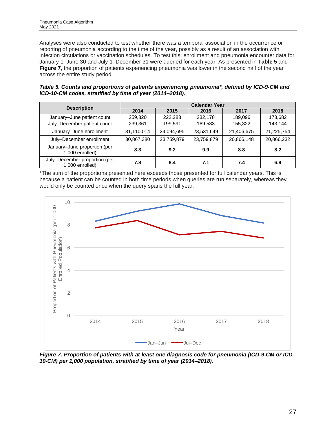Analyses were also conducted to test whether there was a temporal association in the occurrence or reporting of pneumonia according to the time of the year, possibly as a result of an association with infection circulations or vaccination schedules. To test this, enrollment and pneumonia encounter data for January 1–June 30 and July 1–December 31 were queried for each year. As presented in **[Table 5](#page-26-0)** and **[Figure 7](#page-26-1)**, the proportion of patients experiencing pneumonia was lower in the second half of the year across the entire study period.

<span id="page-26-0"></span>

| Table 5. Counts and proportions of patients experiencing pneumonia*, defined by ICD-9-CM and |
|----------------------------------------------------------------------------------------------|
| ICD-10-CM codes, stratified by time of year (2014–2018).                                     |

|                                                  | <b>Calendar Year</b> |            |            |            |            |  |  |  |
|--------------------------------------------------|----------------------|------------|------------|------------|------------|--|--|--|
| <b>Description</b>                               | 2014                 | 2015       | 2016       | 2017       | 2018       |  |  |  |
| January-June patient count                       | 259,320              | 222,283    | 232,178    | 189,096    | 173,682    |  |  |  |
| July-December patient count                      | 239,361              | 199,591    | 169,533    | 155,322    | 143,144    |  |  |  |
| January-June enrollment                          | 31,110,014           | 24,094,695 | 23,531,649 | 21,406,675 | 21,225,754 |  |  |  |
| July-December enrollment                         | 30,867,380           | 23,759,879 | 23,759,879 | 20,866,148 | 20,866,232 |  |  |  |
| January-June proportion (per<br>1,000 enrolled)  | 8.3                  | 9.2        | 9.9        | 8.8        | 8.2        |  |  |  |
| July-December proportion (per<br>1.000 enrolled) | 7.8                  | 8.4        | 7.1        | 7.4        | 6.9        |  |  |  |

\*The sum of the proportions presented here exceeds those presented for full calendar years. This is because a patient can be counted in both time periods when queries are run separately, whereas they would only be counted once when the query spans the full year.



<span id="page-26-1"></span>*Figure 7. Proportion of patients with at least one diagnosis code for pneumonia (ICD-9-CM or ICD-10-CM) per 1,000 population, stratified by time of year (2014–2018).*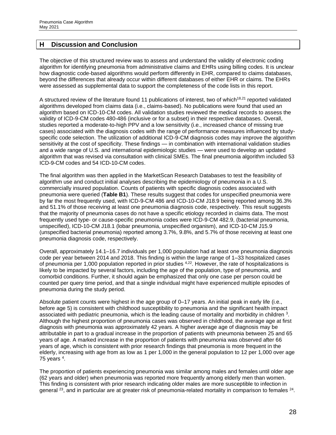### <span id="page-27-0"></span>**H Discussion and Conclusion**

The objective of this structured review was to assess and understand the validity of electronic coding algorithm for identifying pneumonia from administrative claims and EHRs using billing codes. It is unclear how diagnostic code-based algorithms would perform differently in EHR, compared to claims databases, beyond the differences that already occur within different databases of either EHR or claims. The EHRs were assessed as supplemental data to support the completeness of the code lists in this report.

A structured review of the literature found 11 publications of interest, two of which<sup>18,21</sup> reported validated algorithms developed from claims data (i.e., claims-based). No publications were found that used an algorithm based on ICD-10-CM codes. All validation studies reviewed the medical records to assess the validity of ICD-9-CM codes 480-486 (inclusive or for a subset) in their respective databases. Overall, studies reported a moderate-to-high PPV and a low sensitivity (i.e., increased chance of missing true cases) associated with the diagnosis codes with the range of performance measures influenced by studyspecific code selection. The utilization of additional ICD-9-CM diagnosis codes may improve the algorithm sensitivity at the cost of specificity. These findings — in combination with international validation studies and a wide range of U.S. and international epidemiologic studies — were used to develop an updated algorithm that was revised via consultation with clinical SMEs. The final pneumonia algorithm included 53 ICD-9-CM codes and 54 ICD-10-CM codes.

The final algorithm was then applied in the MarketScan Research Databases to test the feasibility of algorithm use and conduct initial analyses describing the epidemiology of pneumonia in a U.S. commercially insured population. Counts of patients with specific diagnosis codes associated with pneumonia were queried (**[Table B1](#page-47-0)**). These results suggest that codes for unspecified pneumonia were by far the most frequently used, with ICD-9-CM 486 and ICD-10-CM J18.9 being reported among 36.3% and 51.1% of those receiving at least one pneumonia diagnosis code, respectively. This result suggests that the majority of pneumonia cases do not have a specific etiology recorded in claims data. The most frequently used type- or cause-specific pneumonia codes were ICD-9-CM 482.9, (bacterial pneumonia, unspecified), ICD-10-CM J18.1 (lobar pneumonia, unspecified organism), and ICD-10-CM J15.9 (unspecified bacterial pneumonia) reported among 3.7%, 9.8%, and 5.7% of those receiving at least one pneumonia diagnosis code, respectively.

Overall, approximately 14.1–16.7 individuals per 1,000 population had at least one pneumonia diagnosis code per year between 2014 and 2018. This finding is within the large range of 1–33 hospitalized cases of pneumonia per 1,000 population reported in prior studies  $4,22$ . However, the rate of hospitalizations is likely to be impacted by several factors, including the age of the population, type of pneumonia, and comorbid conditions. Further, it should again be emphasized that only one case per person could be counted per query time period, and that a single individual might have experienced multiple episodes of pneumonia during the study period.

Absolute patient counts were highest in the age group of 0–17 years. An initial peak in early life (i.e., before age 5) is consistent with childhood susceptibility to pneumonia and the significant health impact associated with pediatric pneumonia, which is the leading cause of mortality and morbidity in children  $3$ . Although the highest proportion of pneumonia cases was observed in childhood, the average age at first diagnosis with pneumonia was approximately 42 years. A higher average age of diagnosis may be attributable in part to a gradual increase in the proportion of patients with pneumonia between 25 and 65 years of age. A marked increase in the proportion of patients with pneumonia was observed after 66 years of age, which is consistent with prior research findings that pneumonia is more frequent in the elderly, increasing with age from as low as 1 per 1,000 in the general population to 12 per 1,000 over age 75 years  $4$ .

The proportion of patients experiencing pneumonia was similar among males and females until older age (62 years and older) when pneumonia was reported more frequently among elderly men than women. This finding is consistent with prior research indicating older males are more susceptible to infection in general <sup>23</sup>, and in particular are at greater risk of pneumonia-related mortality in comparison to females <sup>24</sup>.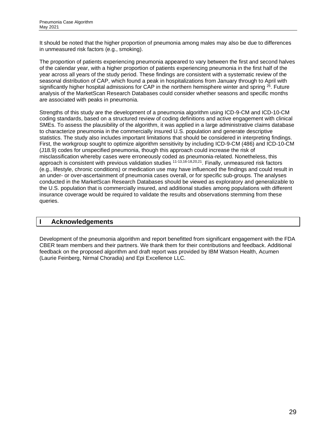It should be noted that the higher proportion of pneumonia among males may also be due to differences in unmeasured risk factors (e.g., smoking).

The proportion of patients experiencing pneumonia appeared to vary between the first and second halves of the calendar year, with a higher proportion of patients experiencing pneumonia in the first half of the year across all years of the study period. These findings are consistent with a systematic review of the seasonal distribution of CAP, which found a peak in hospitalizations from January through to April with significantly higher hospital admissions for CAP in the northern hemisphere winter and spring  $25$ . Future analysis of the MarketScan Research Databases could consider whether seasons and specific months are associated with peaks in pneumonia.

Strengths of this study are the development of a pneumonia algorithm using ICD-9-CM and ICD-10-CM coding standards, based on a structured review of coding definitions and active engagement with clinical SMEs. To assess the plausibility of the algorithm, it was applied in a large administrative claims database to characterize pneumonia in the commercially insured U.S. population and generate descriptive statistics. The study also includes important limitations that should be considered in interpreting findings. First, the workgroup sought to optimize algorithm sensitivity by including ICD-9-CM (486) and ICD-10-CM (J18.9) codes for unspecified pneumonia, though this approach could increase the risk of misclassification whereby cases were erroneously coded as pneumonia-related. Nonetheless, this approach is consistent with previous validation studies <sup>11-13,16-18,20,21</sup>. Finally, unmeasured risk factors (e.g., lifestyle, chronic conditions) or medication use may have influenced the findings and could result in an under- or over-ascertainment of pneumonia cases overall, or for specific sub-groups. The analyses conducted in the MarketScan Research Databases should be viewed as exploratory and generalizable to the U.S. population that is commercially insured, and additional studies among populations with different insurance coverage would be required to validate the results and observations stemming from these queries.

#### <span id="page-28-0"></span>**I Acknowledgements**

Development of the pneumonia algorithm and report benefitted from significant engagement with the FDA CBER team members and their partners. We thank them for their contributions and feedback. Additional feedback on the proposed algorithm and draft report was provided by IBM Watson Health, Acumen (Laurie Feinberg, Nirmal Choradia) and Epi Excellence LLC.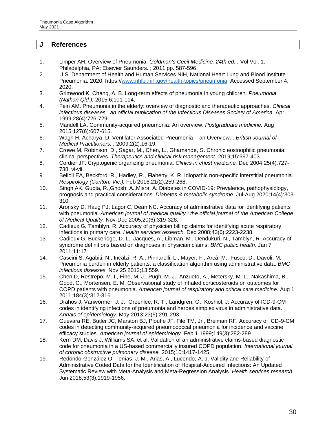#### <span id="page-29-0"></span>**J References**

- 1. Limper AH. Overview of Pneumonia. *Goldman's Cecil Medicine. 24th ed. .* Vol Vol. 1. Philadelphia, PA: Elsevier Saunders. ; 2011:pp. 587-596.
- 2. U.S. Department of Health and Human Services NIH, National Heart Lung and Blood Institute. Pneumonia. 2020; https:/[/www.nhlbi.nih.gov/health-topics/pneumonia.](http://www.nhlbi.nih.gov/health-topics/pneumonia) Accessed September 4, 2020.
- 3. Grimwood K, Chang, A. B. Long-term effects of pneumonia in young children. *Pneumonia (Nathan Qld.).* 2015;6:101-114.
- 4. Fein AM. Pneumonia in the elderly: overview of diagnostic and therapeutic approaches. *Clinical infectious diseases : an official publication of the Infectious Diseases Society of America.* Apr 1999;28(4):726-729.
- 5. Mandell LA. Community-acquired pneumonia: An overview. *Postgraduate medicine.* Aug 2015;127(6):607-615.
- 6. Wagh H, Acharya, D. Ventilator Associated Pneumonia an Overview. . *British Journal of Medical Practitioners. .* 2009;2(2):16-19.
- 7. Crowe M, Robinson, D., Sagar, M., Chen, L., Ghamande, S. Chronic eosinophilic pneumonia: clinical perspectives. *Therapeutics and clinical risk management.* 2019;15:397-403.
- 8. Cordier JF. Cryptogenic organizing pneumonia. *Clinics in chest medicine.* Dec 2004;25(4):727- 738, vi-vii.
- 9. Belloli EA, Beckford, R., Hadley, R., Flaherty, K. R. Idiopathic non-specific interstitial pneumonia. *Respirology (Carlton, Vic.).* Feb 2016;21(2):259-268.
- 10. Singh AK, Gupta, R.,Ghosh, A.,Misra, A. Diabetes in COVID-19: Prevalence, pathophysiology, prognosis and practical considerations. *Diabetes & metabolic syndrome.* Jul-Aug 2020;14(4):303- 310.
- 11. Aronsky D, Haug PJ, Lagor C, Dean NC. Accuracy of administrative data for identifying patients with pneumonia. *American journal of medical quality : the official journal of the American College of Medical Quality.* Nov-Dec 2005;20(6):319-328.
- 12. Cadieux G, Tamblyn, R. Accuracy of physician billing claims for identifying acute respiratory infections in primary care. *Health services research.* Dec 2008;43(6):2223-2238.
- 13. Cadieux G, Buckeridge, D. L., Jacques, A., Libman, M., Dendukuri, N., Tamblyn, R. Accuracy of syndrome definitions based on diagnoses in physician claims. *BMC public health.* Jan 7 2011;11:17.
- 14. Cascini S, Agabiti, N., Incalzi, R. A., Pinnarelli, L., Mayer, F., Arcà, M., Fusco, D., Davoli, M. Pneumonia burden in elderly patients: a classification algorithm using administrative data. *BMC infectious diseases.* Nov 25 2013;13:559.
- 15. Chen D, Restrepo, M. I., Fine, M. J., Pugh, M. J., Anzueto, A., Metersky, M. L., Nakashima, B., Good, C., Mortensen, E. M. Observational study of inhaled corticosteroids on outcomes for COPD patients with pneumonia. *American journal of respiratory and critical care medicine.* Aug 1 2011;184(3):312-316.
- 16. Drahos J, Vanwormer, J. J., Greenlee, R. T., Landgren, O., Koshiol, J. Accuracy of ICD-9-CM codes in identifying infections of pneumonia and herpes simplex virus in administrative data. *Annals of epidemiology.* May 2013;23(5):291-293.
- 17. Guevara RE, Butler JC, Marston BJ, Plouffe JF, File TM, Jr., Breiman RF. Accuracy of ICD-9-CM codes in detecting community-acquired pneumococcal pneumonia for incidence and vaccine efficacy studies. *American journal of epidemiology.* Feb 1 1999;149(3):282-289.
- 18. Kern DM, Davis J, Williams SA, et al. Validation of an administrative claims-based diagnostic code for pneumonia in a US-based commercially insured COPD population. *International journal of chronic obstructive pulmonary disease.* 2015;10:1417-1425.
- 19. Redondo-González O, Tenías, J. M., Arias, Á., Lucendo, A. J. Validity and Reliability of Administrative Coded Data for the Identification of Hospital-Acquired Infections: An Updated Systematic Review with Meta-Analysis and Meta-Regression Analysis. *Health services research.*  Jun 2018;53(3):1919-1956.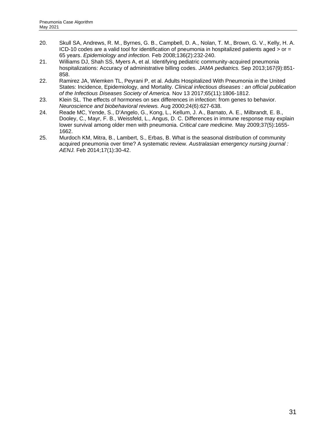- 20. Skull SA, Andrews, R. M., Byrnes, G. B., Campbell, D. A., Nolan, T. M., Brown, G. V., Kelly, H. A. ICD-10 codes are a valid tool for identification of pneumonia in hospitalized patients aged  $>$  or  $=$ 65 years. *Epidemiology and infection.* Feb 2008;136(2):232-240.
- 21. Williams DJ, Shah SS, Myers A, et al. Identifying pediatric community-acquired pneumonia hospitalizations: Accuracy of administrative billing codes. *JAMA pediatrics.* Sep 2013;167(9):851- 858.
- 22. Ramirez JA, Wiemken TL, Peyrani P, et al. Adults Hospitalized With Pneumonia in the United States: Incidence, Epidemiology, and Mortality. *Clinical infectious diseases : an official publication of the Infectious Diseases Society of America.* Nov 13 2017;65(11):1806-1812.
- 23. Klein SL. The effects of hormones on sex differences in infection: from genes to behavior. *Neuroscience and biobehavioral reviews.* Aug 2000;24(6):627-638.
- 24. Reade MC, Yende, S., D'Angelo, G., Kong, L., Kellum, J. A., Barnato, A. E., Milbrandt, E. B., Dooley, C., Mayr, F. B., Weissfeld, L., Angus, D. C. Differences in immune response may explain lower survival among older men with pneumonia. *Critical care medicine.* May 2009;37(5):1655- 1662.
- 25. Murdoch KM, Mitra, B., Lambert, S., Erbas, B. What is the seasonal distribution of community acquired pneumonia over time? A systematic review. *Australasian emergency nursing journal : AENJ.* Feb 2014;17(1):30-42.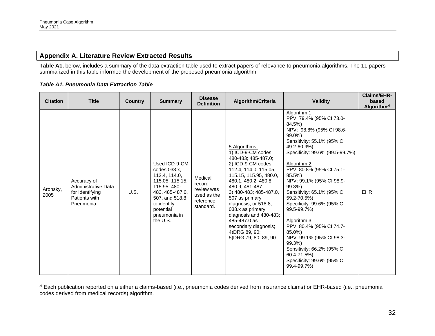#### **Appendix A. Literature Review Extracted Results**

**Table A1,** below, includes a summary of the data extraction table used to extract papers of relevance to pneumonia algorithms. The 11 papers summarized in this table informed the development of the proposed pneumonia algorithm.

|  |  | <b>Table A1. Pneumonia Data Extraction Table</b> |  |  |  |
|--|--|--------------------------------------------------|--|--|--|
|--|--|--------------------------------------------------|--|--|--|

<span id="page-31-0"></span>

| <b>Citation</b>  | <b>Title</b>                                                                        | <b>Country</b> | <b>Summary</b>                                                                                                                                                                 | <b>Disease</b><br><b>Definition</b>                                      | Algorithm/Criteria                                                                                                                                                                                                                                                                                                                                                                 | Validity                                                                                                                                                                                                                                                                                                                                                                                                                                                                                                                                          | <b>Claims/EHR-</b><br>based<br><b>Algorithm<sup>xi</sup></b> |
|------------------|-------------------------------------------------------------------------------------|----------------|--------------------------------------------------------------------------------------------------------------------------------------------------------------------------------|--------------------------------------------------------------------------|------------------------------------------------------------------------------------------------------------------------------------------------------------------------------------------------------------------------------------------------------------------------------------------------------------------------------------------------------------------------------------|---------------------------------------------------------------------------------------------------------------------------------------------------------------------------------------------------------------------------------------------------------------------------------------------------------------------------------------------------------------------------------------------------------------------------------------------------------------------------------------------------------------------------------------------------|--------------------------------------------------------------|
| Aronsky,<br>2005 | Accuracy of<br>Administrative Data<br>for Identifying<br>Patients with<br>Pneumonia | <b>U.S.</b>    | Used ICD-9-CM<br>codes 038.x.<br>112.4, 114.0,<br>115.05, 115.15,<br>115.95, 480-<br>483, 485-487.0,<br>507, and 518.8<br>to identify<br>potential<br>pneumonia in<br>the U.S. | Medical<br>record<br>review was<br>used as the<br>reference<br>standard. | 5 Algorithms:<br>1) ICD-9-CM codes:<br>480-483; 485-487.0;<br>2) ICD-9-CM codes:<br>112.4, 114.0, 115.05,<br>115.15, 115.95, 480.0,<br>480.1, 480.2, 480.8,<br>480.9, 481-487<br>3) 480-483; 485-487.0,<br>507 as primary<br>diagnosis; or 518.8,<br>038.x as primary<br>diagnosis and 480-483;<br>485-487.0 as<br>secondary diagnosis;<br>4) DRG 89, 90;<br>5) DRG 79, 80, 89, 90 | Algorithm 1<br>PPV: 79.4% (95% CI 73.0-<br>84.5%)<br>NPV: 98.8% (95% CI 98.6-<br>99.0%)<br>Sensitivity: 55.1% (95% CI<br>49.2-60.9%)<br>Specificity: 99.6% (99.5-99.7%)<br>Algorithm 2<br>PPV: 80.8% (95% CI 75.1-<br>85.5%)<br>NPV: 99.1% (95% CI 98.9-<br>99.3%)<br>Sensitivity: 65.1% (95% CI<br>59.2-70.5%)<br>Specificity: 99.6% (95% CI<br>99.5-99.7%)<br>Algorithm 3<br>PPV: 80.4% (95% CI 74.7-<br>85.0%)<br>NPV: 99.1% (95% CI 98.3-<br>99.3%)<br>Sensitivity: 66.2% (95% CI<br>60.4-71.5%)<br>Specificity: 99.6% (95% CI<br>99.4-99.7%) | <b>EHR</b>                                                   |

<sup>&</sup>lt;sup>xi</sup> Each publication reported on a either a claims-based (i.e., pneumonia codes derived from insurance claims) or EHR-based (i.e., pneumonia codes derived from medical records) algorithm.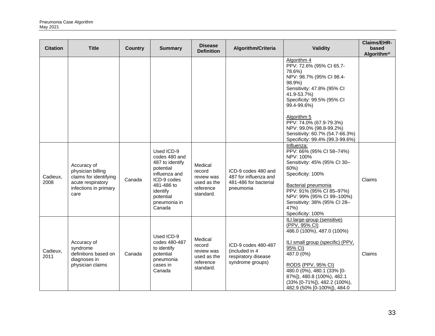| <b>Citation</b>  | <b>Title</b>                                                                                                     | <b>Country</b> | <b>Summary</b>                                                                                                                                               | <b>Disease</b><br><b>Definition</b>                                      | Algorithm/Criteria                                                                 | <b>Validity</b>                                                                                                                                                                                                                                                                                                              | Claims/EHR-<br>based<br>Algorithm <sup>xi</sup> |
|------------------|------------------------------------------------------------------------------------------------------------------|----------------|--------------------------------------------------------------------------------------------------------------------------------------------------------------|--------------------------------------------------------------------------|------------------------------------------------------------------------------------|------------------------------------------------------------------------------------------------------------------------------------------------------------------------------------------------------------------------------------------------------------------------------------------------------------------------------|-------------------------------------------------|
|                  |                                                                                                                  |                |                                                                                                                                                              |                                                                          |                                                                                    | Algorithm 4<br>PPV: 72.6% (95% CI 65.7-<br>78.6%)<br>NPV: 98.7% (95% CI 98.4-<br>98.9%)<br>Sensitivity: 47.8% (95% CI<br>41.9-53.7%)<br>Specificity: 99.5% (95% CI<br>99.4-99.6%)<br>Algorithm 5<br>PPV: 74.0% (67.9-79.3%)<br>NPV: 99.0% (98.8-99.2%)<br>Sensitivity: 60.7% (54.7-66.3%)<br>Specificity: 99.4% (99.3-99.6%) |                                                 |
| Cadieux,<br>2008 | Accuracy of<br>physician billing<br>claims for identifying<br>acute respiratory<br>infections in primary<br>care | Canada         | Used ICD-9<br>codes 480 and<br>487 to identify<br>potential<br>influenza and<br>ICD-9 codes<br>481-486 to<br>identify<br>potential<br>pneumonia in<br>Canada | Medical<br>record<br>review was<br>used as the<br>reference<br>standard. | ICD-9 codes 480 and<br>487 for influenza and<br>481-486 for bacterial<br>pneumonia | Influenza:<br>PPV: 66% (95% CI 58-74%)<br>NPV: 100%<br>Sensitivity: 45% (95% CI 30-<br>60%<br>Specificity: 100%<br>Bacterial pneumonia<br>PPV: 91% (95% CI 85-97%)<br>NPV: 99% (95% CI 99-100%)<br>Sensitivity: 38% (95% CI 28-<br>47%)<br>Specificity: 100%                                                                 | Claims                                          |
| Cadieux,<br>2011 | Accuracy of<br>syndrome<br>definitions based on<br>diagnoses in<br>physician claims                              | Canada         | Used ICD-9<br>codes 480-487<br>to identify<br>potential<br>pneumonia<br>cases in<br>Canada                                                                   | Medical<br>record<br>review was<br>used as the<br>reference<br>standard. | ICD-9 codes 480-487<br>(included in 4<br>respiratory disease<br>syndrome groups)   | ILI large-group (sensitive)<br>(PPV, 95% CI)<br>486.0 (100%), 487.0 (100%)<br>ILI small group (specific) (PPV,<br>95% CI)<br>487.0 (0%)<br><b>RODS (PPV, 95% CI)</b><br>480.0 (0%), 480.1 (33% [0-<br>87%]), 480.8 (100%), 482.1<br>(33% [0-71%]), 482.2 (100%),<br>482.9 (50% [0-100%]), 484.0                              | Claims                                          |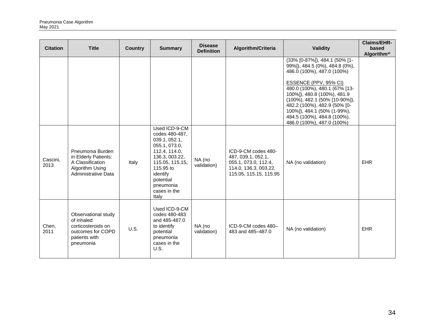| <b>Citation</b>  | <b>Title</b>                                                                                               | <b>Country</b> | <b>Summary</b>                                                                                                                                                                                      | <b>Disease</b><br><b>Definition</b> | Algorithm/Criteria                                                                                                   | Validity                                                                                                                                                                               | <b>Claims/EHR-</b><br>based<br>Algorithm <sup>xi</sup> |
|------------------|------------------------------------------------------------------------------------------------------------|----------------|-----------------------------------------------------------------------------------------------------------------------------------------------------------------------------------------------------|-------------------------------------|----------------------------------------------------------------------------------------------------------------------|----------------------------------------------------------------------------------------------------------------------------------------------------------------------------------------|--------------------------------------------------------|
|                  |                                                                                                            |                |                                                                                                                                                                                                     |                                     |                                                                                                                      | (33% [0-87%]), 484.1 (50% [1-<br>99%]), 484.5 (0%), 484.8 (0%),<br>486.0 (100%), 487.0 (100%)<br>ESSENCE (PPV, 95% CI)<br>480.0 (100%), 480.1 (67% [13-<br>100%]), 480.8 (100%), 481.9 |                                                        |
|                  |                                                                                                            |                |                                                                                                                                                                                                     |                                     |                                                                                                                      | (100%), 482.1 (50% [10-90%]),<br>482.2 (100%), 482.9 (50% [0-<br>100%]), 484.1 (50% (1-99%),<br>484.5 (100%), 484.8 (100%),<br>486.0 (100%), 487.0 (100%)                              |                                                        |
| Cascini,<br>2013 | Pneumonia Burden<br>in Elderly Patients:<br>A Classification<br>Algorithm Using<br>Administrative Data     | Italy          | Used ICD-9-CM<br>codes 480-487,<br>039.1, 052.1,<br>055.1, 073.0,<br>112.4, 114.0,<br>136.3, 003.22,<br>115.05, 115.15,<br>115.95 to<br>identify<br>potential<br>pneumonia<br>cases in the<br>Italy | NA (no<br>validation)               | ICD-9-CM codes 480-<br>487, 039.1, 052.1,<br>055.1, 073.0, 112.4,<br>114.0, 136.3, 003.22,<br>115.05, 115.15, 115.95 | NA (no validation)                                                                                                                                                                     | <b>EHR</b>                                             |
| Chen,<br>2011    | Observational study<br>of inhaled<br>corticosteroids on<br>outcomes for COPD<br>patients with<br>pneumonia | U.S.           | Used ICD-9-CM<br>codes 480-483<br>and 485-487.0<br>to identify<br>potential<br>pneumonia<br>cases in the<br>U.S.                                                                                    | NA (no<br>validation)               | ICD-9-CM codes 480-<br>483 and 485-487.0                                                                             | NA (no validation)                                                                                                                                                                     | EHR                                                    |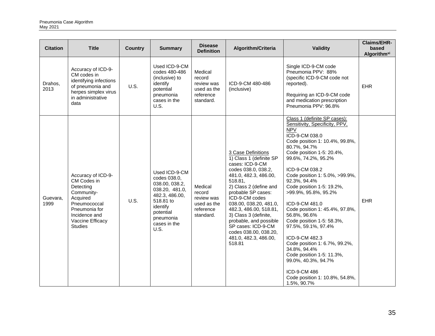| <b>Citation</b>  | <b>Title</b>                                                                                                                                                     | <b>Country</b> | <b>Summary</b>                                                                                                                                                 | <b>Disease</b><br><b>Definition</b>                                      | Algorithm/Criteria                                                                                                                                                                                                                                                                                                                                                                     | <b>Validity</b>                                                                                                                                                                                                                                                                                                                                                                                                                                                                                                                                                                                                                               | Claims/EHR-<br>based<br>Algorithm <sup>xi</sup> |
|------------------|------------------------------------------------------------------------------------------------------------------------------------------------------------------|----------------|----------------------------------------------------------------------------------------------------------------------------------------------------------------|--------------------------------------------------------------------------|----------------------------------------------------------------------------------------------------------------------------------------------------------------------------------------------------------------------------------------------------------------------------------------------------------------------------------------------------------------------------------------|-----------------------------------------------------------------------------------------------------------------------------------------------------------------------------------------------------------------------------------------------------------------------------------------------------------------------------------------------------------------------------------------------------------------------------------------------------------------------------------------------------------------------------------------------------------------------------------------------------------------------------------------------|-------------------------------------------------|
| Drahos,<br>2013  | Accuracy of ICD-9-<br>CM codes in<br>identifying infections<br>of pneumonia and<br>herpes simplex virus<br>in administrative<br>data                             | U.S.           | Used ICD-9-CM<br>codes 480-486<br>(inclusive) to<br>identify<br>potential<br>pneumonia<br>cases in the<br>U.S.                                                 | Medical<br>record<br>review was<br>used as the<br>reference<br>standard. | ICD-9-CM 480-486<br>(inclusive)                                                                                                                                                                                                                                                                                                                                                        | Single ICD-9-CM code<br>Pneumonia PPV: 88%<br>(specific ICD-9-CM code not<br>reported).<br>Requiring an ICD-9-CM code<br>and medication prescription<br>Pneumonia PPV: 96.8%                                                                                                                                                                                                                                                                                                                                                                                                                                                                  | <b>EHR</b>                                      |
| Guevara,<br>1999 | Accuracy of ICD-9-<br>CM Codes in<br>Detecting<br>Community-<br>Acquired<br>Pneumococcal<br>Pneumonia for<br>Incidence and<br>Vaccine Efficacy<br><b>Studies</b> | U.S.           | Used ICD-9-CM<br>codes 038.0,<br>038.00, 038.2,<br>038.20, 481.0,<br>482.3, 486.00,<br>518.81 to<br>identify<br>potential<br>pneumonia<br>cases in the<br>U.S. | Medical<br>record<br>review was<br>used as the<br>reference<br>standard. | 3 Case Definitions<br>1) Class 1 (definite SP<br>cases: ICD-9-CM<br>codes 038.0, 038.2,<br>481.0, 482.3, 486.00,<br>518.81,<br>2) Class 2 (define and<br>probable SP cases:<br>ICD-9-CM codes<br>038.00, 038.20, 481.0,<br>482.3, 486.00, 518.81,<br>3) Class 3 (definite,<br>probable, and possible<br>SP cases: ICD-9-CM<br>codes 038.00, 038.20,<br>481.0, 482.3, 486.00,<br>518.81 | Class 1 (definite SP cases):<br>Sensitivity, Specificity, PPV,<br><b>NPV</b><br>ICD-9-CM 038.0<br>Code position 1: 10.4%, 99.8%,<br>80.7%, 94.7%<br>Code position 1-5: 20.4%,<br>99.6%, 74.2%, 95.2%<br>ICD-9-CM 038.2<br>Code position 1: 5.0%, >99.9%,<br>92.3%, 94.4%<br>Code position 1-5: 19.2%,<br>>99.9%, 95.8%, 95.2%<br>ICD-9-CM 481.0<br>Code position 1: 45.4%, 97.8%,<br>56.8%, 96.6%<br>Code position 1-5: 58.3%,<br>97.5%, 59.1%, 97.4%<br>ICD-9-CM 482.3<br>Code position 1: 6.7%, 99.2%,<br>34.8%, 94.4%<br>Code position 1-5: 11.3%,<br>99.0%, 40.3%, 94.7%<br>ICD-9-CM 486<br>Code position 1: 10.8%, 54.8%,<br>1.5%, 90.7% | EHR                                             |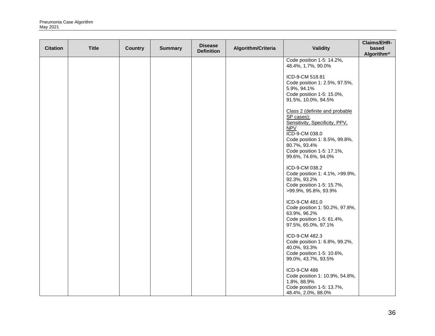| <b>Citation</b> | <b>Title</b> | <b>Country</b> | <b>Summary</b> | <b>Disease</b><br><b>Definition</b> | Algorithm/Criteria | <b>Validity</b>                                                                                                                                                                                                     | <b>Claims/EHR-</b><br>based<br>Algorithm <sup>xi</sup> |
|-----------------|--------------|----------------|----------------|-------------------------------------|--------------------|---------------------------------------------------------------------------------------------------------------------------------------------------------------------------------------------------------------------|--------------------------------------------------------|
|                 |              |                |                |                                     |                    | Code position 1-5: 14.2%,<br>48.4%, 1.7%, 90.0%                                                                                                                                                                     |                                                        |
|                 |              |                |                |                                     |                    | ICD-9-CM 518.81<br>Code position 1: 2.5%, 97.5%,<br>5.9%, 94.1%<br>Code position 1-5: 15.0%,<br>91.5%, 10.0%, 94.5%                                                                                                 |                                                        |
|                 |              |                |                |                                     |                    | Class 2 (definite and probable<br>SP cases):<br>Sensitivity, Specificity, PPV,<br><b>NPV</b><br>ICD-9-CM 038.0<br>Code position 1: 8.5%, 99.8%,<br>80.7%, 93.4%<br>Code position 1-5: 17.1%,<br>99.6%, 74.6%, 94.0% |                                                        |
|                 |              |                |                |                                     |                    | ICD-9-CM 038.2<br>Code position 1: 4.1%, >99.9%,<br>92.3%, 93.2%<br>Code position 1-5: 15.7%,<br>>99.9%, 95.8%, 93.9%                                                                                               |                                                        |
|                 |              |                |                |                                     |                    | ICD-9-CM 481.0<br>Code position 1: 50.2%, 97.8%,<br>63.9%, 96.2%<br>Code position 1-5: 61.4%,<br>97.5%, 65.0%, 97.1%                                                                                                |                                                        |
|                 |              |                |                |                                     |                    | ICD-9-CM 482.3<br>Code position 1: 6.8%, 99.2%,<br>40.0%, 93.3%<br>Code position 1-5: 10.6%,<br>99.0%, 43.7%, 93.5%                                                                                                 |                                                        |
|                 |              |                |                |                                     |                    | ICD-9-CM 486<br>Code position 1: 10.9%, 54.8%,<br>1.8%, 88.9%<br>Code position 1-5: 13.7%,<br>48.4%, 2.0%, 88.0%                                                                                                    |                                                        |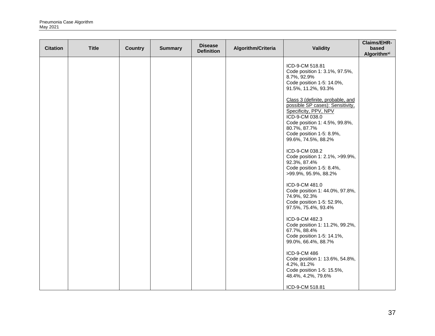| <b>Citation</b> | <b>Title</b> | <b>Country</b> | <b>Summary</b> | <b>Disease</b><br><b>Definition</b> | Algorithm/Criteria | <b>Validity</b>                                                                                                                                                                                                                                                                                                                                                                                                                                                                                                                                                                                                                                                                                                                                                                                                                        | <b>Claims/EHR-</b><br>based<br>Algorithm <sup>xi</sup> |
|-----------------|--------------|----------------|----------------|-------------------------------------|--------------------|----------------------------------------------------------------------------------------------------------------------------------------------------------------------------------------------------------------------------------------------------------------------------------------------------------------------------------------------------------------------------------------------------------------------------------------------------------------------------------------------------------------------------------------------------------------------------------------------------------------------------------------------------------------------------------------------------------------------------------------------------------------------------------------------------------------------------------------|--------------------------------------------------------|
|                 |              |                |                |                                     |                    | ICD-9-CM 518.81<br>Code position 1: 3.1%, 97.5%,<br>8.7%, 92.9%<br>Code position 1-5: 14.0%,<br>91.5%, 11.2%, 93.3%<br>Class 3 (definite, probable, and<br>possible SP cases): Sensitivity,<br>Specificity, PPV, NPV<br>ICD-9-CM 038.0<br>Code position 1: 4.5%, 99.8%,<br>80.7%, 87.7%<br>Code position 1-5: 8.9%,<br>99.6%, 74.5%, 88.2%<br>ICD-9-CM 038.2<br>Code position 1: 2.1%, >99.9%,<br>92.3%, 87.4%<br>Code position 1-5: 8.4%,<br>>99.9%, 95.9%, 88.2%<br>ICD-9-CM 481.0<br>Code position 1: 44.0%, 97.8%,<br>74.9%, 92.3%<br>Code position 1-5: 52.9%,<br>97.5%, 75.4%, 93.4%<br>ICD-9-CM 482.3<br>Code position 1: 11.2%, 99.2%,<br>67.7%, 88.4%<br>Code position 1-5: 14.1%,<br>99.0%, 66.4%, 88.7%<br>ICD-9-CM 486<br>Code position 1: 13.6%, 54.8%,<br>4.2%, 81.2%<br>Code position 1-5: 15.5%,<br>48.4%, 4.2%, 79.6% |                                                        |
|                 |              |                |                |                                     |                    | ICD-9-CM 518.81                                                                                                                                                                                                                                                                                                                                                                                                                                                                                                                                                                                                                                                                                                                                                                                                                        |                                                        |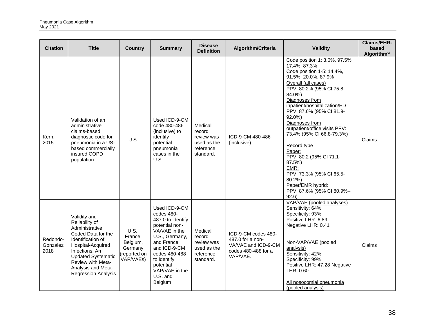| <b>Citation</b>              | <b>Title</b>                                                                                                                                                                                                                             | <b>Country</b>                                                       | <b>Summary</b>                                                                                                                                                                                                             | <b>Disease</b><br><b>Definition</b>                                      | Algorithm/Criteria                                                                                | <b>Validity</b>                                                                                                                                                                                                                                                                                                                                                                                         | <b>Claims/EHR-</b><br>based<br><b>Algorithm<sup>xi</sup></b> |
|------------------------------|------------------------------------------------------------------------------------------------------------------------------------------------------------------------------------------------------------------------------------------|----------------------------------------------------------------------|----------------------------------------------------------------------------------------------------------------------------------------------------------------------------------------------------------------------------|--------------------------------------------------------------------------|---------------------------------------------------------------------------------------------------|---------------------------------------------------------------------------------------------------------------------------------------------------------------------------------------------------------------------------------------------------------------------------------------------------------------------------------------------------------------------------------------------------------|--------------------------------------------------------------|
|                              |                                                                                                                                                                                                                                          |                                                                      |                                                                                                                                                                                                                            |                                                                          |                                                                                                   | Code position 1: 3.6%, 97.5%,<br>17.4%, 87.3%<br>Code position 1-5: 14.4%,<br>91.5%, 20.0%, 87.9%                                                                                                                                                                                                                                                                                                       |                                                              |
| Kern,<br>2015                | Validation of an<br>administrative<br>claims-based<br>diagnostic code for<br>pneumonia in a US-<br>based commercially<br>insured COPD<br>population                                                                                      | U.S.                                                                 | Used ICD-9-CM<br>code 480-486<br>(inclusive) to<br>identify<br>potential<br>pneumonia<br>cases in the<br>U.S.                                                                                                              | Medical<br>record<br>review was<br>used as the<br>reference<br>standard. | ICD-9-CM 480-486<br>(inclusive)                                                                   | Overall (all cases)<br>PPV: 80.2% (95% CI 75.8-<br>84.0%)<br>Diagnoses from<br>inpatient/hospitalization/ED<br>PPV: 87.6% (95% CI 81.9-<br>92.0%)<br>Diagnoses from<br>outpatient/office visits PPV:<br>73.4% (95% CI 66.8-79.3%)<br>Record type<br>Paper:<br>PPV: 80.2 (95% CI 71.1-<br>87.5%)<br>EMR:<br>PPV: 73.3% (95% CI 65.5-<br>80.2%)<br>Paper/EMR hybrid:<br>PPV: 87.6% (95% CI 80.9%-<br>92.6 | Claims                                                       |
| Redondo-<br>González<br>2018 | Validity and<br>Reliability of<br>Administrative<br>Coded Data for the<br>Identification of<br>Hospital-Acquired<br>Infections: An<br><b>Updated Systematic</b><br>Review with Meta-<br>Analysis and Meta-<br><b>Regression Analysis</b> | U.S.,<br>France,<br>Belgium,<br>Germany<br>(reported on<br>VAP/VAEs) | Used ICD-9-CM<br>codes 480-<br>487.0 to identify<br>potential non-<br>VA/VAE in the<br>U.S., Germany,<br>and France;<br>and ICD-9-CM<br>codes 480-488<br>to identify<br>potential<br>VAP/VAE in the<br>U.S. and<br>Belgium | Medical<br>record<br>review was<br>used as the<br>reference<br>standard. | ICD-9-CM codes 480-<br>487.0 for a non-<br>VA/VAE and ICD-9-CM<br>codes 480-488 for a<br>VAP/VAE. | VAP/VAE (pooled analyses)<br>Sensitivity: 64%<br>Specificity: 93%<br>Positive LHR: 6.89<br>Negative LHR: 0.41<br>Non-VAP/VAE (pooled<br>analysis)<br>Sensitivity: 42%<br>Specificity: 99%<br>Positive LHR: 47.28 Negative<br>LHR: 0.60<br>All nosocomial pneumonia<br>(pooled analysis)                                                                                                                 | Claims                                                       |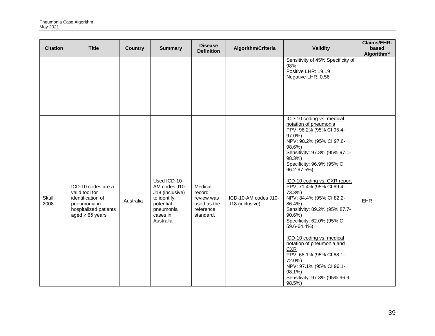| <b>Citation</b> | <b>Title</b>                                                                                                               | <b>Country</b> | <b>Summary</b>                                                                                                     | <b>Disease</b><br><b>Definition</b>                                      | Algorithm/Criteria                      | <b>Validity</b>                                                                                                                                                                                                                                                                                                                                                                                                                                                                                                                                                                                                           | <b>Claims/EHR-</b><br>based<br>Algorithm <sup>xi</sup> |
|-----------------|----------------------------------------------------------------------------------------------------------------------------|----------------|--------------------------------------------------------------------------------------------------------------------|--------------------------------------------------------------------------|-----------------------------------------|---------------------------------------------------------------------------------------------------------------------------------------------------------------------------------------------------------------------------------------------------------------------------------------------------------------------------------------------------------------------------------------------------------------------------------------------------------------------------------------------------------------------------------------------------------------------------------------------------------------------------|--------------------------------------------------------|
|                 |                                                                                                                            |                |                                                                                                                    |                                                                          |                                         | Sensitivity of 45% Specificity of<br>98%<br>Positive LHR: 19.19<br>Negative LHR: 0.56                                                                                                                                                                                                                                                                                                                                                                                                                                                                                                                                     |                                                        |
| Skull,<br>2008  | ICD-10 codes are a<br>valid tool for<br>identification of<br>pneumonia in<br>hospitalized patients<br>aged $\geq 65$ years | Australia      | Used ICD-10-<br>AM codes J10-<br>J18 (inclusive)<br>to identify<br>potential<br>pneumonia<br>cases in<br>Australia | Medical<br>record<br>review was<br>used as the<br>reference<br>standard. | ICD-10-AM codes J10-<br>J18 (inclusive) | ICD-10 coding vs. medical<br>notation of pneumonia<br>PPV: 96.2% (95% CI 95.4-<br>97.0%)<br>NPV: 98.2% (95% CI 97.6-<br>98.6%)<br>Sensitivity: 97.8% (95% 97.1-<br>98.3%)<br>Specificity: 96.9% (95% CI<br>96.2-97.5%)<br>ICD-10 coding vs. CXR report<br>PPV: 71.4% (95% CI 69.4-<br>73.3%)<br>NPV: 84.4% (95% CI 82.2-<br>86.4%)<br>Sensitivity: 89.2% (95% 87.7-<br>90.6%)<br>Specificity: 62.0% (95% CI<br>59.6-64.4%)<br>ICD-10 coding vs. medical<br>notation of pneumonia and<br><b>CXR</b><br>PPV: 68.1% (95% CI 68.1-<br>72.0%)<br>NPV: 97.1% (95% CI 96.1-<br>98.1%)<br>Sensitivity: 97.8% (95% 96.9-<br>98.5%) | <b>EHR</b>                                             |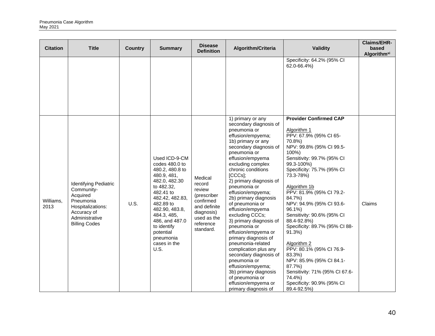| <b>Citation</b>   | <b>Title</b>                                                                                                                                      | <b>Country</b> | <b>Summary</b>                                                                                                                                                                                                                                                    | <b>Disease</b><br><b>Definition</b>                                                                                            | Algorithm/Criteria                                                                                                                                                                                                                                                                                                                                                                                                                                                                                                                                                                                                                                                              | <b>Validity</b>                                                                                                                                                                                                                                                                                                                                                                                                                                                                                                                                                                       | <b>Claims/EHR-</b><br>based<br>Algorithm <sup>xi</sup> |
|-------------------|---------------------------------------------------------------------------------------------------------------------------------------------------|----------------|-------------------------------------------------------------------------------------------------------------------------------------------------------------------------------------------------------------------------------------------------------------------|--------------------------------------------------------------------------------------------------------------------------------|---------------------------------------------------------------------------------------------------------------------------------------------------------------------------------------------------------------------------------------------------------------------------------------------------------------------------------------------------------------------------------------------------------------------------------------------------------------------------------------------------------------------------------------------------------------------------------------------------------------------------------------------------------------------------------|---------------------------------------------------------------------------------------------------------------------------------------------------------------------------------------------------------------------------------------------------------------------------------------------------------------------------------------------------------------------------------------------------------------------------------------------------------------------------------------------------------------------------------------------------------------------------------------|--------------------------------------------------------|
|                   |                                                                                                                                                   |                |                                                                                                                                                                                                                                                                   |                                                                                                                                |                                                                                                                                                                                                                                                                                                                                                                                                                                                                                                                                                                                                                                                                                 | Specificity: 64.2% (95% CI<br>62.0-66.4%)                                                                                                                                                                                                                                                                                                                                                                                                                                                                                                                                             |                                                        |
| Williams,<br>2013 | <b>Identifying Pediatric</b><br>Community-<br>Acquired<br>Pneumonia<br>Hospitalizations:<br>Accuracy of<br>Administrative<br><b>Billing Codes</b> | U.S.           | Used ICD-9-CM<br>codes 480.0 to<br>480.2, 480.8 to<br>480.9, 481,<br>482.0, 482.30<br>to 482.32,<br>482.41 to<br>482.42, 482.83,<br>482.89 to<br>482.90, 483.8,<br>484.3, 485,<br>486, and 487.0<br>to identify<br>potential<br>pneumonia<br>cases in the<br>U.S. | Medical<br>record<br>review<br>(prescriber<br>confirmed<br>and definite<br>diagnosis)<br>used as the<br>reference<br>standard. | 1) primary or any<br>secondary diagnosis of<br>pneumonia or<br>effusion/empyema;<br>1b) primary or any<br>secondary diagnosis of<br>pneumonia or<br>effusion/empyema<br>excluding complex<br>chronic conditions<br>[CCCs];<br>2) primary diagnosis of<br>pneumonia or<br>effusion/empyema;<br>2b) primary diagnosis<br>of pneumonia or<br>effusion/empyema<br>excluding CCCs;<br>3) primary diagnosis of<br>pneumonia or<br>effusion/empyema or<br>primary diagnosis of<br>pneumonia-related<br>complication plus any<br>secondary diagnosis of<br>pneumonia or<br>effusion/empyema;<br>3b) primary diagnosis<br>of pneumonia or<br>effusion/empyema or<br>primary diagnosis of | <b>Provider Confirmed CAP</b><br>Algorithm 1<br>PPV: 67.9% (95% CI 65-<br>70.8%)<br>NPV: 99.8% (95% CI 99.5-<br>100%)<br>Sensitivity: 99.7% (95% CI<br>99.3-100%)<br>Specificity: 75.7% (95% CI<br>73.3-78%)<br>Algorithm 1b<br>PPV: 81.9% (95% CI 79.2-<br>84.7%)<br>NPV: 94.9% (95% CI 93.6-<br>96.1%)<br>Sensitivity: 90.6% (95% CI<br>88.4-92.8%)<br>Specificity: 89.7% (95% CI 88-<br>91.3%)<br>Algorithm 2<br>PPV: 80.1% (95% CI 76.9-<br>83.3%)<br>NPV: 85.9% (95% CI 84.1-<br>87.7%)<br>Sensitivity: 71% (95% CI 67.6-<br>74.4%)<br>Specificity: 90.9% (95% CI<br>89.4-92.5%) | Claims                                                 |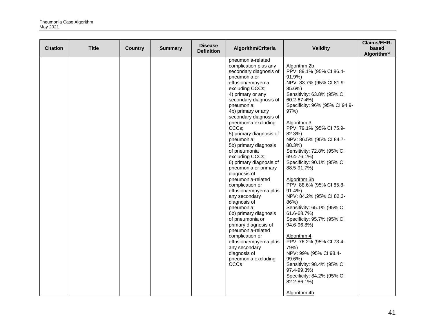| <b>Citation</b> | <b>Title</b> | <b>Country</b> | <b>Summary</b> | <b>Disease</b><br><b>Definition</b> | Algorithm/Criteria                                                                                                                                                                                                                                                                                                                                                                                                                                                                                                                                                                                                                                                                                                                                                    | <b>Validity</b>                                                                                                                                                                                                                                                                                                                                                                                                                                                                                                                                                                                                                                                                                                                                              | <b>Claims/EHR-</b><br>based<br><b>Algorithm<sup>xi</sup></b> |
|-----------------|--------------|----------------|----------------|-------------------------------------|-----------------------------------------------------------------------------------------------------------------------------------------------------------------------------------------------------------------------------------------------------------------------------------------------------------------------------------------------------------------------------------------------------------------------------------------------------------------------------------------------------------------------------------------------------------------------------------------------------------------------------------------------------------------------------------------------------------------------------------------------------------------------|--------------------------------------------------------------------------------------------------------------------------------------------------------------------------------------------------------------------------------------------------------------------------------------------------------------------------------------------------------------------------------------------------------------------------------------------------------------------------------------------------------------------------------------------------------------------------------------------------------------------------------------------------------------------------------------------------------------------------------------------------------------|--------------------------------------------------------------|
|                 |              |                |                |                                     | pneumonia-related<br>complication plus any<br>secondary diagnosis of<br>pneumonia or<br>effusion/empyema<br>excluding CCCs;<br>4) primary or any<br>secondary diagnosis of<br>pneumonia;<br>4b) primary or any<br>secondary diagnosis of<br>pneumonia excluding<br>CCCs;<br>5) primary diagnosis of<br>pneumonia;<br>5b) primary diagnosis<br>of pneumonia<br>excluding CCCs;<br>6) primary diagnosis of<br>pneumonia or primary<br>diagnosis of<br>pneumonia-related<br>complication or<br>effusion/empyema plus<br>any secondary<br>diagnosis of<br>pneumonia;<br>6b) primary diagnosis<br>of pneumonia or<br>primary diagnosis of<br>pneumonia-related<br>complication or<br>effusion/empyema plus<br>any secondary<br>diagnosis of<br>pneumonia excluding<br>CCCs | Algorithm 2b<br>PPV: 89.1% (95% CI 86.4-<br>91.9%)<br>NPV: 83.7% (95% CI 81.9-<br>85.6%)<br>Sensitivity: 63.8% (95% CI<br>$60.2 - 67.4\%)$<br>Specificity: 96% (95% CI 94.9-<br>97%<br>Algorithm 3<br>PPV: 79.1% (95% CI 75.9-<br>82.3%)<br>NPV: 86.5% (95% CI 84.7-<br>88.3%)<br>Sensitivity: 72.8% (95% CI<br>69.4-76.1%)<br>Specificity: 90.1% (95% CI<br>88.5-91.7%)<br>Algorithm 3b<br>PPV: 88.6% (95% CI 85.8-<br>91.4%<br>NPV: 84.2% (95% CI 82.3-<br>86%)<br>Sensitivity: 65.1% (95% CI<br>61.6-68.7%)<br>Specificity: 95.7% (95% CI<br>94.6-96.8%)<br>Algorithm 4<br>PPV: 76.2% (95% Cl 73.4-<br>79%)<br>NPV: 99% (95% CI 98.4-<br>99.6%)<br>Sensitivity: 98.4% (95% CI<br>97.4-99.3%)<br>Specificity: 84.2% (95% CI<br>82.2-86.1%)<br>Algorithm 4b |                                                              |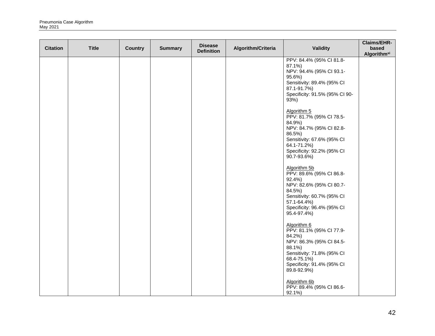| <b>Citation</b> | <b>Title</b> | <b>Country</b> | <b>Summary</b> | <b>Disease</b><br><b>Definition</b> | Algorithm/Criteria | <b>Validity</b>                                                                                                                                                                                                                                                                                                                                                                                                                                                                                                                                                                                                            | <b>Claims/EHR-</b><br>based |
|-----------------|--------------|----------------|----------------|-------------------------------------|--------------------|----------------------------------------------------------------------------------------------------------------------------------------------------------------------------------------------------------------------------------------------------------------------------------------------------------------------------------------------------------------------------------------------------------------------------------------------------------------------------------------------------------------------------------------------------------------------------------------------------------------------------|-----------------------------|
|                 |              |                |                |                                     |                    | PPV: 84.4% (95% CI 81.8-<br>87.1%)<br>NPV: 94.4% (95% CI 93.1-<br>95.6%)<br>Sensitivity: 89.4% (95% CI<br>87.1-91.7%)<br>Specificity: 91.5% (95% CI 90-<br>93%)<br>Algorithm 5<br>PPV: 81.7% (95% CI 78.5-<br>84.9%)<br>NPV: 84.7% (95% CI 82.8-<br>86.5%)<br>Sensitivity: 67.6% (95% CI<br>64.1-71.2%)<br>Specificity: 92.2% (95% CI<br>90.7-93.6%)<br>Algorithm 5b<br>PPV: 89.6% (95% CI 86.8-<br>92.4%<br>NPV: 82.6% (95% CI 80.7-<br>84.5%)<br>Sensitivity: 60.7% (95% CI<br>57.1-64.4%)<br>Specificity: 96.4% (95% CI<br>95.4-97.4%)<br>Algorithm 6<br>PPV: 81.1% (95% CI 77.9-<br>84.2%)<br>NPV: 86.3% (95% CI 84.5- | Algorithm <sup>xi</sup>     |
|                 |              |                |                |                                     |                    | 88.1%)<br>Sensitivity: 71.8% (95% CI<br>68.4-75.1%)<br>Specificity: 91.4% (95% CI<br>89.8-92.9%)                                                                                                                                                                                                                                                                                                                                                                                                                                                                                                                           |                             |
|                 |              |                |                |                                     |                    | Algorithm 6b<br>PPV: 89.4% (95% CI 86.6-<br>92.1%                                                                                                                                                                                                                                                                                                                                                                                                                                                                                                                                                                          |                             |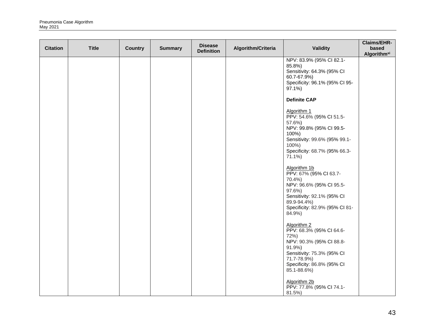| <b>Citation</b> | <b>Title</b> | <b>Country</b> | <b>Summary</b> | <b>Disease</b><br><b>Definition</b> | Algorithm/Criteria | <b>Validity</b>                                                                                                                                                                                                                                                                                                                                                | <b>Claims/EHR-</b><br>based<br><b>Algorithm<sup>xi</sup></b> |
|-----------------|--------------|----------------|----------------|-------------------------------------|--------------------|----------------------------------------------------------------------------------------------------------------------------------------------------------------------------------------------------------------------------------------------------------------------------------------------------------------------------------------------------------------|--------------------------------------------------------------|
|                 |              |                |                |                                     |                    | NPV: 83.9% (95% CI 82.1-<br>85.8%)<br>Sensitivity: 64.3% (95% CI<br>60.7-67.9%)<br>Specificity: 96.1% (95% CI 95-<br>97.1%                                                                                                                                                                                                                                     |                                                              |
|                 |              |                |                |                                     |                    | <b>Definite CAP</b>                                                                                                                                                                                                                                                                                                                                            |                                                              |
|                 |              |                |                |                                     |                    | Algorithm 1<br>PPV: 54.6% (95% CI 51.5-<br>57.6%)<br>NPV: 99.8% (95% CI 99.5-<br>100%)<br>Sensitivity: 99.6% (95% 99.1-<br>100%)<br>Specificity: 68.7% (95% 66.3-<br>71.1%)<br>Algorithm 1b<br>PPV: 67% (95% CI 63.7-<br>70.4%)<br>NPV: 96.6% (95% CI 95.5-<br>97.6%)<br>Sensitivity: 92.1% (95% CI<br>89.9-94.4%)<br>Specificity: 82.9% (95% CI 81-<br>84.9%) |                                                              |
|                 |              |                |                |                                     |                    | Algorithm 2<br>PPV: 68.3% (95% CI 64.6-<br>72%)<br>NPV: 90.3% (95% CI 88.8-<br>91.9%)<br>Sensitivity: 75.3% (95% CI<br>71.7-78.9%)<br>Specificity: 86.8% (95% CI<br>85.1-88.6%)<br>Algorithm 2b                                                                                                                                                                |                                                              |
|                 |              |                |                |                                     |                    | PPV: 77.8% (95% CI 74.1-<br>81.5%)                                                                                                                                                                                                                                                                                                                             |                                                              |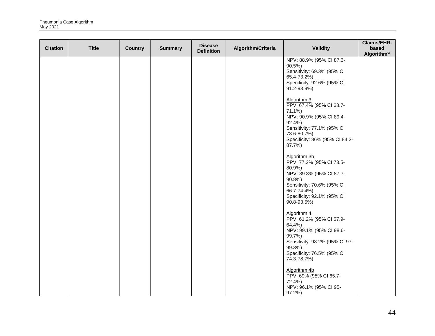| <b>Citation</b> | <b>Title</b> | <b>Country</b> | <b>Summary</b> | <b>Disease</b><br><b>Definition</b> | Algorithm/Criteria | <b>Validity</b>                                                                                                                                                                   | <b>Claims/EHR-</b><br>based<br>Algorithm <sup>xi</sup> |
|-----------------|--------------|----------------|----------------|-------------------------------------|--------------------|-----------------------------------------------------------------------------------------------------------------------------------------------------------------------------------|--------------------------------------------------------|
|                 |              |                |                |                                     |                    | NPV: 88.9% (95% CI 87.3-<br>90.5%<br>Sensitivity: 69.3% (95% CI<br>65.4-73.2%)<br>Specificity: 92.6% (95% CI<br>91.2-93.9%)                                                       |                                                        |
|                 |              |                |                |                                     |                    | Algorithm 3<br>PPV: 67.4% (95% CI 63.7-<br>71.1%)<br>NPV: 90.9% (95% CI 89.4-<br>92.4%<br>Sensitivity: 77.1% (95% CI<br>73.6-80.7%)<br>Specificity: 86% (95% Cl 84.2-<br>87.7%)   |                                                        |
|                 |              |                |                |                                     |                    | Algorithm 3b<br>PPV: 77.2% (95% CI 73.5-<br>80.9%)<br>NPV: 89.3% (95% CI 87.7-<br>90.8%<br>Sensitivity: 70.6% (95% CI<br>66.7-74.4%)<br>Specificity: 92.1% (95% CI<br>90.8-93.5%) |                                                        |
|                 |              |                |                |                                     |                    | Algorithm 4<br>PPV: 61.2% (95% CI 57.9-<br>64.4%)<br>NPV: 99.1% (95% CI 98.6-<br>99.7%)<br>Sensitivity: 98.2% (95% CI 97-<br>99.3%)<br>Specificity: 76.5% (95% CI<br>74.3-78.7%)  |                                                        |
|                 |              |                |                |                                     |                    | Algorithm 4b<br>PPV: 69% (95% CI 65.7-<br>72.4%)<br>NPV: 96.1% (95% CI 95-<br>97.2%)                                                                                              |                                                        |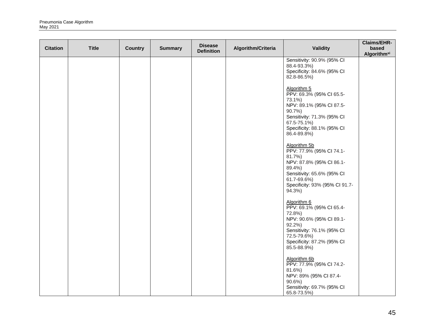| <b>Citation</b> | <b>Title</b> | <b>Country</b> | <b>Summary</b> | <b>Disease</b><br><b>Definition</b> | Algorithm/Criteria | <b>Validity</b>                                                                                                                                                                   | <b>Claims/EHR-</b><br>based<br>Algorithm <sup>xi</sup> |
|-----------------|--------------|----------------|----------------|-------------------------------------|--------------------|-----------------------------------------------------------------------------------------------------------------------------------------------------------------------------------|--------------------------------------------------------|
|                 |              |                |                |                                     |                    | Sensitivity: 90.9% (95% CI<br>88.4-93.3%)<br>Specificity: 84.6% (95% CI<br>82.8-86.5%)                                                                                            |                                                        |
|                 |              |                |                |                                     |                    | Algorithm 5<br>PPV: 69.3% (95% CI 65.5-<br>73.1%)<br>NPV: 89.1% (95% CI 87.5-<br>90.7%<br>Sensitivity: 71.3% (95% CI<br>67.5-75.1%)<br>Specificity: 88.1% (95% CI<br>86.4-89.8%)  |                                                        |
|                 |              |                |                |                                     |                    | Algorithm 5b<br>PPV: 77.9% (95% Cl 74.1-<br>81.7%)<br>NPV: 87.8% (95% CI 86.1-<br>89.4%)<br>Sensitivity: 65.6% (95% CI<br>61.7-69.6%)<br>Specificity: 93% (95% CI 91.7-<br>94.3%) |                                                        |
|                 |              |                |                |                                     |                    | Algorithm 6<br>PPV: 69.1% (95% CI 65.4-<br>72.8%)<br>NPV: 90.6% (95% CI 89.1-<br>92.2%<br>Sensitivity: 76.1% (95% CI<br>72.5-79.6%)<br>Specificity: 87.2% (95% CI<br>85.5-88.9%)  |                                                        |
|                 |              |                |                |                                     |                    | Algorithm 6b<br>PPV: 77.9% (95% Cl 74.2-<br>81.6%)<br>NPV: 89% (95% CI 87.4-<br>90.6%<br>Sensitivity: 69.7% (95% CI<br>65.8-73.5%)                                                |                                                        |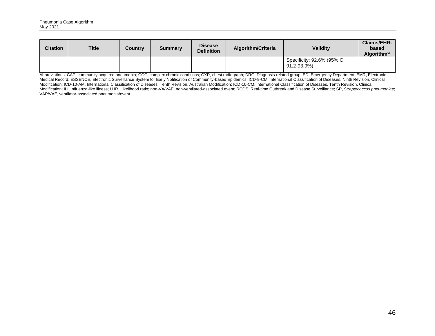| <b>Citation</b> | <b>Title</b> | Country | Summary | <b>Disease</b><br><b>Definition</b> | Algorithm/Criteria | <b>Validity</b>                           | <b>Claims/EHR-</b><br>based<br><b>Algorithm</b> <sup>xi</sup> |
|-----------------|--------------|---------|---------|-------------------------------------|--------------------|-------------------------------------------|---------------------------------------------------------------|
|                 |              |         |         |                                     |                    | Specificity: 92.6% (95% CI<br>91.2-93.9%) |                                                               |

Abbreviations: CAP, community acquired pneumonia; CCC, complex chronic conditions; CXR, chest radiograph; DRG, Diagnosis-related group; ED, Emergency Department; EMR, Electronic Medical Record; ESSENCE, Electronic Surveillance System for Early Notification of Community-based Epidemics; ICD-9-CM, International Classification of Diseases, Ninth Revision, Clinical Modification; ICD-10-AM, International Classification of Diseases, Tenth Revision, Australian Modification; ICD-10-CM, International Classification of Diseases, Tenth Revision, Clinical Modification; ILI, Influenza-like illness; LHR, Likelihood ratio; non-VA/VAE, non-ventilated-associated event; RODS, Real-time Outbreak and Disease Surveillance; SP, *Streptococcus pneumoniae*; VAP/VAE, ventilator-associated pneumonia/event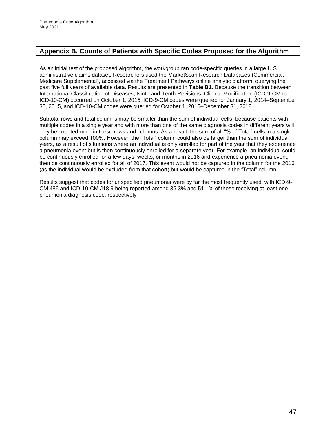#### <span id="page-46-0"></span>**Appendix B. Counts of Patients with Specific Codes Proposed for the Algorithm**

As an initial test of the proposed algorithm, the workgroup ran code-specific queries in a large U.S. administrative claims dataset. Researchers used the MarketScan Research Databases (Commercial, Medicare Supplemental), accessed via the Treatment Pathways online analytic platform, querying the past five full years of available data. Results are presented in **[Table B1](#page-47-0)**. Because the transition between International Classification of Diseases, Ninth and Tenth Revisions, Clinical Modification (ICD-9-CM to ICD-10-CM) occurred on October 1, 2015, ICD-9-CM codes were queried for January 1, 2014–September 30, 2015, and ICD-10-CM codes were queried for October 1, 2015–December 31, 2018.

Subtotal rows and total columns may be smaller than the sum of individual cells, because patients with multiple codes in a single year and with more than one of the same diagnosis codes in different years will only be counted once in these rows and columns. As a result, the sum of all "% of Total" cells in a single column may exceed 100%. However, the "Total" column could also be larger than the sum of individual years, as a result of situations where an individual is only enrolled for part of the year that they experience a pneumonia event but is then continuously enrolled for a separate year. For example, an individual could be continuously enrolled for a few days, weeks, or months in 2016 and experience a pneumonia event, then be continuously enrolled for all of 2017. This event would not be captured in the column for the 2016 (as the individual would be excluded from that cohort) but would be captured in the "Total" column.

Results suggest that codes for unspecified pneumonia were by far the most frequently used, with ICD-9- CM 486 and ICD-10-CM J18.9 being reported among 36.3% and 51.1% of those receiving at least one pneumonia diagnosis code, respectively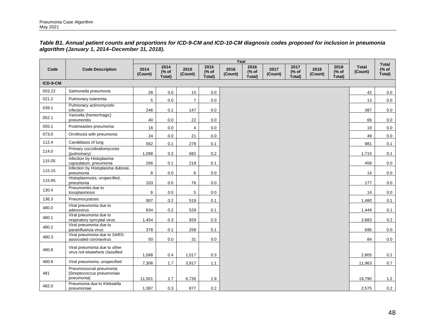#### *Table B1. Annual patient counts and proportions for ICD-9-CM and ICD-10-CM diagnosis codes proposed for inclusion in pneumonia algorithm (January 1, 2014–December 31, 2018).*

<span id="page-47-0"></span>

|          |                                                                   |                 |                         |                 |                         | Year            |                         |                 |                         |                 |                         |                         |                                 |
|----------|-------------------------------------------------------------------|-----------------|-------------------------|-----------------|-------------------------|-----------------|-------------------------|-----------------|-------------------------|-----------------|-------------------------|-------------------------|---------------------------------|
| Code     | <b>Code Description</b>                                           | 2014<br>(Count) | 2014<br>(% of<br>Total) | 2015<br>(Count) | 2015<br>(% of<br>Total) | 2016<br>(Count) | 2016<br>(% of<br>Total) | 2017<br>(Count) | 2017<br>(% of<br>Total) | 2018<br>(Count) | 2018<br>(% of<br>Total) | <b>Total</b><br>(Count) | <b>Total</b><br>(% of<br>Total) |
| ICD-9-CM |                                                                   |                 |                         |                 |                         |                 |                         |                 |                         |                 |                         |                         |                                 |
| 003.22   | Salmonella pneumonia                                              | 28              | 0.0                     | 15              | 0.0                     |                 |                         |                 |                         |                 |                         | 42                      | 0.0                             |
| 021.2    | Pulmonary tularemia                                               | 5               | 0.0                     | $\overline{7}$  | 0.0                     |                 |                         |                 |                         |                 |                         | 13                      | 0.0                             |
| 039.1    | Pulmonary actinomycotic<br>infection                              | 246             | 0.1                     | 147             | $0.0\,$                 |                 |                         |                 |                         |                 |                         | 387                     | 0.0                             |
| 052.1    | Varicella (hemorrhagic)<br>pneumonitis                            | 40              | 0.0                     | 22              | 0.0                     |                 |                         |                 |                         |                 |                         | 66                      | 0.0                             |
| 055.1    | Postmeasles pneumonia                                             | 16              | 0.0                     | $\overline{4}$  | 0.0                     |                 |                         |                 |                         |                 |                         | 19                      | 0.0                             |
| 073.0    | Ornithosis with pneumonia                                         | 24              | 0.0                     | 21              | 0.0                     |                 |                         |                 |                         |                 |                         | 49                      | $0.0\,$                         |
| 112.4    | Candidiasis of lung                                               | 562             | 0.1                     | 278             | 0.1                     |                 |                         |                 |                         |                 |                         | 981                     | 0.1                             |
| 114.0    | Primary coccidioidomycosis<br>(pulmonary)                         | 1,098           | 0.3                     | 682             | 0.2                     |                 |                         |                 |                         |                 |                         | 1,715                   | 0.1                             |
| 115.05   | Infection by Histoplasma<br>capsulatum, pneumonia                 | 266             | 0.1                     | 218             | 0.1                     |                 |                         |                 |                         |                 |                         | 458                     | 0.0                             |
| 115.15   | Infection by Histoplasma duboisii,<br>pneumonia                   | 8               | 0.0                     | 6               | 0.0                     |                 |                         |                 |                         |                 |                         | 14                      | 0.0                             |
| 115.95   | Histoplasmosis, unspecified,<br>pneumonia                         | 103             | 0.0                     | 76              | 0.0                     |                 |                         |                 |                         |                 |                         | 177                     | 0.0                             |
| 130.4    | Pneumonitis due to<br>toxoplasmosis                               | 8               | 0.0                     | 5               | 0.0                     |                 |                         |                 |                         |                 |                         | 14                      | 0.0                             |
| 136.3    | Pneumocystosis                                                    | 907             | 0.2                     | 519             | 0.1                     |                 |                         |                 |                         |                 |                         | 1,480                   | 0.1                             |
| 480.0    | Viral pneumonia due to<br>adenovirus                              | 834             | 0.2                     | 529             | 0.1                     |                 |                         |                 |                         |                 |                         | 1,449                   | 0.1                             |
| 480.1    | Viral pneumonia due to<br>respiratory syncytial virus             | 1,454           | 0.3                     | 929             | 0.3                     |                 |                         |                 |                         |                 |                         | 2,683                   | 0.2                             |
| 480.2    | Viral pneumonia due to<br>parainfluenza virus                     | 378             | 0.1                     | 258             | 0.1                     |                 |                         |                 |                         |                 |                         | 695                     | 0.0                             |
| 480.3    | Viral pneumonia due to SARS-<br>associated coronavirus            | 50              | 0.0                     | 31              | 0.0                     |                 |                         |                 |                         |                 |                         | 84                      | 0.0                             |
| 480.8    | Viral pneumonia due to other<br>virus not elsewhere classified    | 1,588           | 0.4                     | 1,017           | 0.3                     |                 |                         |                 |                         |                 |                         | 2,805                   | 0.2                             |
| 480.9    | Viral pneumonia, unspecified                                      | 7,306           | 1.7                     | 3,917           | 1.1                     |                 |                         |                 |                         |                 |                         | 11,963                  | 0.7                             |
| 481      | Pneumococcal pneumonia<br>[Streptococcus pneumoniae<br>pneumonia] | 11,501          | 2.7                     | 6,735           | 1.9                     |                 |                         |                 |                         |                 |                         | 19,790                  | 1.2                             |
| 482.0    | Pneumonia due to Klebsiella<br>pneumoniae                         | 1,387           | 0.3                     | 877             | 0.2                     |                 |                         |                 |                         |                 |                         | 2,575                   | 0.2                             |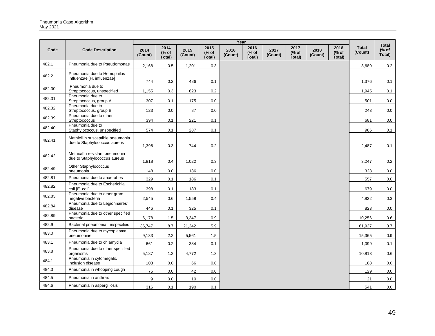|        |                                                                   |                 |                         |                 |                         | Year            |                         |                 |                         |                 |                         |                         |                          |
|--------|-------------------------------------------------------------------|-----------------|-------------------------|-----------------|-------------------------|-----------------|-------------------------|-----------------|-------------------------|-----------------|-------------------------|-------------------------|--------------------------|
| Code   | <b>Code Description</b>                                           | 2014<br>(Count) | 2014<br>(% of<br>Total) | 2015<br>(Count) | 2015<br>(% of<br>Total) | 2016<br>(Count) | 2016<br>(% of<br>Total) | 2017<br>(Count) | 2017<br>(% of<br>Total) | 2018<br>(Count) | 2018<br>(% of<br>Total) | <b>Total</b><br>(Count) | Total<br>(% of<br>Total) |
| 482.1  | Pneumonia due to Pseudomonas                                      | 2,168           | 0.5                     | 1,201           | 0.3                     |                 |                         |                 |                         |                 |                         | 3,689                   | 0.2                      |
| 482.2  | Pneumonia due to Hemophilus<br>influenzae [H. influenzae]         | 744             | 0.2                     | 486             | 0.1                     |                 |                         |                 |                         |                 |                         | 1,376                   | 0.1                      |
| 482.30 | Pneumonia due to<br>Streptococcus, unspecified                    | 1,155           | 0.3                     | 623             | 0.2                     |                 |                         |                 |                         |                 |                         | 1,945                   | 0.1                      |
| 482.31 | Pneumonia due to<br>Streptococcus, group A                        | 307             | 0.1                     | 175             | 0.0                     |                 |                         |                 |                         |                 |                         | 501                     | 0.0                      |
| 482.32 | Pneumonia due to<br>Streptococcus, group B                        | 123             | 0.0                     | 87              | 0.0                     |                 |                         |                 |                         |                 |                         | 243                     | 0.0                      |
| 482.39 | Pneumonia due to other<br>Streptococcus                           | 394             | 0.1                     | 221             | 0.1                     |                 |                         |                 |                         |                 |                         | 681                     | 0.0                      |
| 482.40 | Pneumonia due to<br>Staphylococcus, unspecified                   | 574             | 0.1                     | 287             | 0.1                     |                 |                         |                 |                         |                 |                         | 986                     | 0.1                      |
| 482.41 | Methicillin susceptible pneumonia<br>due to Staphylococcus aureus | 1,396           | 0.3                     | 744             | 0.2                     |                 |                         |                 |                         |                 |                         | 2,487                   | 0.1                      |
| 482.42 | Methicillin resistant pneumonia<br>due to Staphylococcus aureus   | 1,818           | 0.4                     | 1,022           | 0.3                     |                 |                         |                 |                         |                 |                         | 3,247                   | 0.2                      |
| 482.49 | Other Staphylococcus<br>pneumonia                                 | 148             | 0.0                     | 136             | 0.0                     |                 |                         |                 |                         |                 |                         | 323                     | 0.0                      |
| 482.81 | Pneumonia due to anaerobes                                        | 329             | 0.1                     | 186             | 0.1                     |                 |                         |                 |                         |                 |                         | 557                     | 0.0                      |
| 482.82 | Pneumonia due to Escherichia<br>coli [E. coli]                    | 398             | 0.1                     | 183             | 0.1                     |                 |                         |                 |                         |                 |                         | 679                     | 0.0                      |
| 482.83 | Pneumonia due to other gram-<br>negative bacteria                 | 2,545           | 0.6                     | 1,558           | 0.4                     |                 |                         |                 |                         |                 |                         | 4,822                   | 0.3                      |
| 482.84 | Pneumonia due to Legionnaires'<br>disease                         | 446             | 0.1                     | 325             | 0.1                     |                 |                         |                 |                         |                 |                         | 823                     | 0.0                      |
| 482.89 | Pneumonia due to other specified<br>bacteria                      | 6,178           | 1.5                     | 3,347           | 0.9                     |                 |                         |                 |                         |                 |                         | 10,256                  | 0.6                      |
| 482.9  | Bacterial pneumonia, unspecified                                  | 36,747          | 8.7                     | 21,242          | 5.9                     |                 |                         |                 |                         |                 |                         | 61,927                  | 3.7                      |
| 483.0  | Pneumonia due to mycoplasma<br>pneumoniae                         | 9,133           | 2.2                     | 5,561           | 1.5                     |                 |                         |                 |                         |                 |                         | 15,365                  | 0.9                      |
| 483.1  | Pneumonia due to chlamydia                                        | 661             | 0.2                     | 384             | 0.1                     |                 |                         |                 |                         |                 |                         | 1,099                   | 0.1                      |
| 483.8  | Pneumonia due to other specified<br>organisms                     | 5,187           | $1.2$                   | 4,772           | 1.3                     |                 |                         |                 |                         |                 |                         | 10,813                  | 0.6                      |
| 484.1  | Pneumonia in cytomegalic<br>inclusion disease                     | 103             | 0.0                     | 66              | 0.0                     |                 |                         |                 |                         |                 |                         | 188                     | 0.0                      |
| 484.3  | Pneumonia in whooping cough                                       | 75              | 0.0                     | 42              | 0.0                     |                 |                         |                 |                         |                 |                         | 129                     | 0.0                      |
| 484.5  | Pneumonia in anthrax                                              | 9               | 0.0                     | 10              | 0.0                     |                 |                         |                 |                         |                 |                         | 21                      | 0.0                      |
| 484.6  | Pneumonia in aspergillosis                                        | 316             | 0.1                     | 190             | 0.1                     |                 |                         |                 |                         |                 |                         | 541                     | 0.0                      |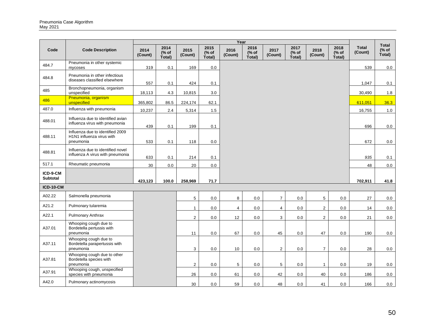|                      |                                                                            |                 |                         |                 |                         | Year            |                         |                 |                         |                 |                         |                         |                                 |
|----------------------|----------------------------------------------------------------------------|-----------------|-------------------------|-----------------|-------------------------|-----------------|-------------------------|-----------------|-------------------------|-----------------|-------------------------|-------------------------|---------------------------------|
| Code                 | <b>Code Description</b>                                                    | 2014<br>(Count) | 2014<br>(% of<br>Total) | 2015<br>(Count) | 2015<br>(% of<br>Total) | 2016<br>(Count) | 2016<br>(% of<br>Total) | 2017<br>(Count) | 2017<br>(% of<br>Total) | 2018<br>(Count) | 2018<br>(% of<br>Total) | <b>Total</b><br>(Count) | <b>Total</b><br>(% of<br>Total) |
| 484.7                | Pneumonia in other systemic<br>mycoses                                     | 319             | 0.1                     | 169             | 0.0                     |                 |                         |                 |                         |                 |                         | 539                     | 0.0                             |
| 484.8                | Pneumonia in other infectious<br>diseases classified elsewhere             | 557             | 0.1                     | 424             | 0.1                     |                 |                         |                 |                         |                 |                         | 1,047                   | 0.1                             |
| 485                  | Bronchopneumonia, organism<br>unspecified                                  | 18,113          | 4.3                     | 10,815          | 3.0                     |                 |                         |                 |                         |                 |                         | 30,490                  | 1.8                             |
| 486                  | Pneumonia, organism<br>unspecified                                         | 365,802         | 86.5                    | 224,174         | 62.1                    |                 |                         |                 |                         |                 |                         | 611,051                 | 36.3                            |
| 487.0                | Influenza with pneumonia                                                   | 10,237          | 2.4                     | 5,314           | 1.5                     |                 |                         |                 |                         |                 |                         | 16,755                  | 1.0                             |
| 488.01               | Influenza due to identified avian<br>influenza virus with pneumonia        | 439             | 0.1                     | 199             | 0.1                     |                 |                         |                 |                         |                 |                         | 696                     | 0.0                             |
| 488.11               | Influenza due to identified 2009<br>H1N1 influenza virus with<br>pneumonia | 533             | 0.1                     | 118             | 0.0                     |                 |                         |                 |                         |                 |                         | 672                     | 0.0                             |
| 488.81               | Influenza due to identified novel<br>influenza A virus with pneumonia      | 633             | 0.1                     | 214             | 0.1                     |                 |                         |                 |                         |                 |                         | 935                     | 0.1                             |
| 517.1                | Rheumatic pneumonia                                                        | 30              | 0.0                     | 20              | 0.0                     |                 |                         |                 |                         |                 |                         | 48                      | 0.0                             |
| ICD-9-CM<br>Subtotal |                                                                            | 423,123         | 100.0                   | 258,969         | 71.7                    |                 |                         |                 |                         |                 |                         | 702,911                 | 41.8                            |
| <b>ICD-10-CM</b>     |                                                                            |                 |                         |                 |                         |                 |                         |                 |                         |                 |                         |                         |                                 |
| A02.22               | Salmonella pneumonia                                                       |                 |                         | 5               | 0.0                     | 8               | 0.0                     | $\overline{7}$  | 0.0                     | 5               | 0.0                     | 27                      | 0.0                             |
| A21.2                | Pulmonary tularemia                                                        |                 |                         | $\mathbf{1}$    | 0.0                     | $\overline{4}$  | 0.0                     | 4               | 0.0                     | 2               | 0.0                     | 14                      | 0.0                             |
| A22.1                | Pulmonary Anthrax                                                          |                 |                         | $\overline{2}$  | 0.0                     | 12              | 0.0                     | 3               | 0.0                     | $\overline{2}$  | 0.0                     | 21                      | 0.0                             |
| A37.01               | Whooping cough due to<br>Bordetella pertussis with<br>pneumonia            |                 |                         | 11              | 0.0                     | 67              | 0.0                     | 45              | 0.0                     | 47              | 0.0                     | 190                     | 0.0                             |
| A37.11               | Whooping cough due to<br>Bordetella parapertussis with<br>pneumonia        |                 |                         | 3               | 0.0                     | 10              | 0.0                     | $\overline{2}$  | 0.0                     | $\overline{7}$  | 0.0                     | 28                      | 0.0                             |
| A37.81               | Whooping cough due to other<br>Bordetella species with<br>pneumonia        |                 |                         | $\overline{2}$  | 0.0                     | 5               | 0.0                     | 5               | 0.0                     | $\mathbf{1}$    | 0.0                     | 19                      | 0.0                             |
| A37.91               | Whooping cough, unspecified<br>species with pneumonia                      |                 |                         | 26              | 0.0                     | 61              | 0.0                     | 42              | 0.0                     | 40              | 0.0                     | 186                     | 0.0                             |
| A42.0                | Pulmonary actinomycosis                                                    |                 |                         | 30              | 0.0                     | 59              | 0.0                     | 48              | 0.0                     | 41              | 0.0                     | 166                     | 0.0                             |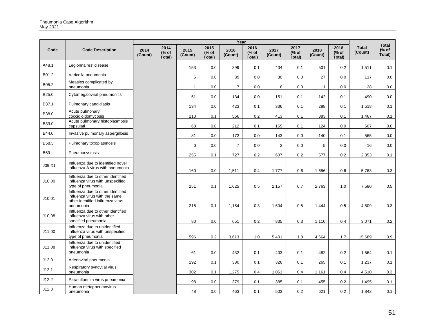|            |                                                                                                                     |                 |                         |                 |                         | Year            |                         |                 |                         |                 |                         |                         |                                 |
|------------|---------------------------------------------------------------------------------------------------------------------|-----------------|-------------------------|-----------------|-------------------------|-----------------|-------------------------|-----------------|-------------------------|-----------------|-------------------------|-------------------------|---------------------------------|
| Code       | <b>Code Description</b>                                                                                             | 2014<br>(Count) | 2014<br>(% of<br>Total) | 2015<br>(Count) | 2015<br>(% of<br>Total) | 2016<br>(Count) | 2016<br>(% of<br>Total) | 2017<br>(Count) | 2017<br>(% of<br>Total) | 2018<br>(Count) | 2018<br>(% of<br>Total) | <b>Total</b><br>(Count) | <b>Total</b><br>(% of<br>Total) |
| A48.1      | Legionnaires' disease                                                                                               |                 |                         | 153             | 0.0                     | 399             | 0.1                     | 404             | 0.1                     | 501             | 0.2                     | 1,511                   | 0.1                             |
| B01.2      | Varicella pneumonia                                                                                                 |                 |                         | 5               | 0.0                     | 39              | 0.0                     | 30              | 0.0                     | 27              | 0.0                     | 117                     | 0.0                             |
| B05.2      | Measles complicated by<br>pneumonia                                                                                 |                 |                         | $\mathbf{1}$    | 0.0                     | $\overline{7}$  | 0.0                     | 8               | 0.0                     | 11              | 0.0                     | 28                      | 0.0                             |
| B25.0      | Cytomegaloviral pneumonitis                                                                                         |                 |                         | 51              | 0.0                     | 134             | 0.0                     | 151             | 0.1                     | 142             | 0.1                     | 490                     | $0.0\,$                         |
| B37.1      | Pulmonary candidiasis                                                                                               |                 |                         | 134             | 0.0                     | 423             | 0.1                     | 336             | 0.1                     | 288             | 0.1                     | 1,518                   | 0.1                             |
| B38.0      | Acute pulmonary<br>coccidioidomycosis                                                                               |                 |                         | 210             | 0.1                     | 566             | 0.2                     | 413             | 0.1                     | 383             | 0.1                     | 1,467                   | 0.1                             |
| B39.0      | Acute pulmonary histoplasmosis<br>capsulati                                                                         |                 |                         | 68              | 0.0                     | 212             | 0.1                     | 165             | 0.1                     | 124             | 0.0                     | 607                     | 0.0                             |
| B44.0      | Invasive pulmonary aspergillosis                                                                                    |                 |                         | 81              | 0.0                     | 172             | 0.0                     | 143             | 0.0                     | 140             | 0.1                     | 565                     | 0.0                             |
| B58.3      | Pulmonary toxoplasmosis                                                                                             |                 |                         | $\mathbf 0$     | 0.0                     | $\overline{7}$  | 0.0                     | $\overline{2}$  | 0.0                     | 5               | 0.0                     | 16                      | 0.0                             |
| <b>B59</b> | Pneumocystosis                                                                                                      |                 |                         | 255             | 0.1                     | 727             | 0.2                     | 607             | 0.2                     | 577             | 0.2                     | 2,353                   | 0.1                             |
| J09.X1     | Influenza due to identified novel<br>influenza A virus with pneumonia                                               |                 |                         | 160             | 0.0                     | 1,511           | 0.4                     | 1,777           | 0.6                     | 1,656           | 0.6                     | 5,763                   | 0.3                             |
| J10.00     | Influenza due to other identified<br>influenza virus with unspecified<br>type of pneumonia                          |                 |                         | 251             | 0.1                     | 1,625           | 0.5                     | 2,157           | 0.7                     | 2,763           | 1.0                     | 7,580                   | 0.5                             |
| J10.01     | Influenza due to other identified<br>influenza virus with the same<br>other identified influenza virus<br>pneumonia |                 |                         | 215             | 0.1                     | 1,154           | 0.3                     | 1,604           | $0.5\,$                 | 1,444           | 0.5                     | 4,809                   | 0.3                             |
| J10.08     | Influenza due to other identified<br>influenza virus with other<br>specified pneumonia                              |                 |                         | 80              | $0.0\,$                 | 651             | 0.2                     | 835             | 0.3                     | 1,110           | 0.4                     | 3,071                   | 0.2                             |
| J11.00     | Influenza due to unidentified<br>influenza virus with unspecified<br>type of pneumonia                              |                 |                         | 596             | 0.2                     | 3,613           | 1.0                     | 5,401           | 1.8                     | 4,664           | 1.7                     | 15,689                  | 0.9                             |
| J11.08     | Influenza due to unidentified<br>influenza virus with specified<br>pneumonia                                        |                 |                         | 61              | 0.0                     | 432             | 0.1                     | 403             | 0.1                     | 482             | 0.2                     | 1,564                   | 0.1                             |
| J12.0      | Adenoviral pneumonia                                                                                                |                 |                         | 192             | 0.1                     | 380             | 0.1                     | 326             | 0.1                     | 265             | 0.1                     | 1,237                   | 0.1                             |
| J12.1      | Respiratory syncytial virus<br>pneumonia                                                                            |                 |                         | 302             | 0.1                     | 1,275           | 0.4                     | 1,061           | 0.4                     | 1,161           | 0.4                     | 4,510                   | 0.3                             |
| J12.2      | Parainfluenza virus pneumonia                                                                                       |                 |                         | 98              | 0.0                     | 379             | 0.1                     | 385             | 0.1                     | 455             | 0.2                     | 1,495                   | 0.1                             |
| J12.3      | Human metapneumovirus<br>pneumonia                                                                                  |                 |                         | 48              | 0.0                     | 463             | 0.1                     | 503             | 0.2                     | 621             | 0.2                     | 1,842                   | 0.1                             |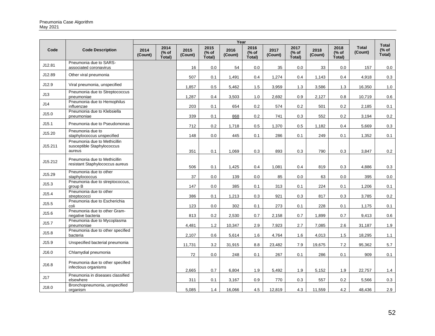|         |                                                                      |                 |                         |                 |                         | Year            |                         |                 |                         |                 |                         |                         |                          |
|---------|----------------------------------------------------------------------|-----------------|-------------------------|-----------------|-------------------------|-----------------|-------------------------|-----------------|-------------------------|-----------------|-------------------------|-------------------------|--------------------------|
| Code    | <b>Code Description</b>                                              | 2014<br>(Count) | 2014<br>(% of<br>Total) | 2015<br>(Count) | 2015<br>(% of<br>Total) | 2016<br>(Count) | 2016<br>(% of<br>Total) | 2017<br>(Count) | 2017<br>(% of<br>Total) | 2018<br>(Count) | 2018<br>(% of<br>Total) | <b>Total</b><br>(Count) | Total<br>(% of<br>Total) |
| J12.81  | Pneumonia due to SARS-<br>associated coronavirus                     |                 |                         | 16              | 0.0                     | 54              | 0.0                     | 35              | 0.0                     | 33              | 0.0                     | 157                     | 0.0                      |
| J12.89  | Other viral pneumonia                                                |                 |                         | 507             | 0.1                     | 1,491           | 0.4                     | 1,274           | 0.4                     | 1,143           | 0.4                     | 4,918                   | 0.3                      |
| J12.9   | Viral pneumonia, unspecified                                         |                 |                         | 1,857           | 0.5                     | 5,462           | 1.5                     | 3,959           | 1.3                     | 3,586           | 1.3                     | 16,350                  | 1.0                      |
| J13     | Pneumonia due to Streptococcus<br>pneumoniae                         |                 |                         | 1,287           | 0.4                     | 3,503           | 1.0                     | 2,692           | 0.9                     | 2,127           | 0.8                     | 10,719                  | 0.6                      |
| J14     | Pneumonia due to Hemophilus<br>influenzae                            |                 |                         | 203             | 0.1                     | 654             | 0.2                     | 574             | 0.2                     | 501             | 0.2                     | 2,185                   | 0.1                      |
| J15.0   | Pneumonia due to Klebsiella<br>pneumoniae                            |                 |                         | 339             | 0.1                     | 868             | 0.2                     | 741             | 0.3                     | 552             | 0.2                     | 3,194                   | 0.2                      |
| J15.1   | Pneumonia due to Pseudomonas                                         |                 |                         | 712             | 0.2                     | 1.718           | 0.5                     | 1,370           | 0.5                     | 1.182           | 0.4                     | 5,669                   | 0.3                      |
| J15.20  | Pneumonia due to<br>staphylococcus unspecified                       |                 |                         | 148             | 0.0                     | 445             | 0.1                     | 286             | 0.1                     | 249             | 0.1                     | 1,352                   | 0.1                      |
| J15.211 | Pneumonia due to Methicillin<br>susceptible Staphylococcus<br>aureus |                 |                         | 351             | 0.1                     | 1,069           | 0.3                     | 893             | 0.3                     | 790             | 0.3                     | 3,847                   | 0.2                      |
| J15.212 | Pneumonia due to Methicillin<br>resistant Staphylococcus aureus      |                 |                         | 506             | 0.1                     | 1,425           | 0.4                     | 1,081           | 0.4                     | 819             | 0.3                     | 4,886                   | 0.3                      |
| J15.29  | Pneumonia due to other<br>staphylococcus                             |                 |                         | 37              | 0.0                     | 139             | 0.0                     | 85              | 0.0                     | 63              | 0.0                     | 395                     | 0.0                      |
| J15.3   | Pneumonia due to streptococcus,<br>aroup B                           |                 |                         | 147             | 0.0                     | 385             | 0.1                     | 313             | 0.1                     | 224             | 0.1                     | 1,206                   | 0.1                      |
| J15.4   | Pneumonia due to other<br>streptococci                               |                 |                         | 386             | 0.1                     | 1,213           | 0.3                     | 921             | 0.3                     | 817             | 0.3                     | 3,785                   | 0.2                      |
| J15.5   | Pneumonia due to Escherichia<br>coli                                 |                 |                         | 123             | 0.0                     | 302             | 0.1                     | 273             | 0.1                     | 228             | 0.1                     | 1,175                   | 0.1                      |
| J15.6   | Pneumonia due to other Gram-<br>negative bacteria                    |                 |                         | 813             | 0.2                     | 2,530           | 0.7                     | 2,158           | 0.7                     | 1.899           | 0.7                     | 9,413                   | 0.6                      |
| J15.7   | Pneumonia due to Mycoplasma<br>pneumoniae                            |                 |                         | 4,481           | 1.2                     | 10,347          | 2.9                     | 7,923           | 2.7                     | 7,085           | 2.6                     | 31,187                  | 1.9                      |
| J15.8   | Pneumonia due to other specified<br>bacteria                         |                 |                         | 2,107           | 0.6                     | 5,614           | 1.6                     | 4,764           | 1.6                     | 4,013           | 1.5                     | 18,295                  | 1.1                      |
| J15.9   | Unspecified bacterial pneumonia                                      |                 |                         | 11,731          | 3.2                     | 31,915          | 8.8                     | 23,482          | 7.9                     | 19,675          | 7.2                     | 95,362                  | 5.7                      |
| J16.0   | Chlamydial pneumonia                                                 |                 |                         | 72              | 0.0                     | 248             | 0.1                     | 267             | 0.1                     | 286             | 0.1                     | 909                     | 0.1                      |
| J16.8   | Pneumonia due to other specified<br>infectious organisms             |                 |                         | 2,665           | 0.7                     | 6,804           | 1.9                     | 5,492           | 1.9                     | 5,152           | 1.9                     | 22,757                  | 1.4                      |
| J17     | Pneumonia in diseases classified<br>elsewhere                        |                 |                         | 311             | 0.1                     | 3,167           | 0.9                     | 770             | 0.3                     | 557             | 0.2                     | 5,566                   | 0.3                      |
| J18.0   | Bronchopneumonia, unspecified<br>organism                            |                 |                         | 5,085           | 1.4                     | 16,066          | 4.5                     | 12,819          | 4.3                     | 11,559          | 4.2                     | 48,436                  | 2.9                      |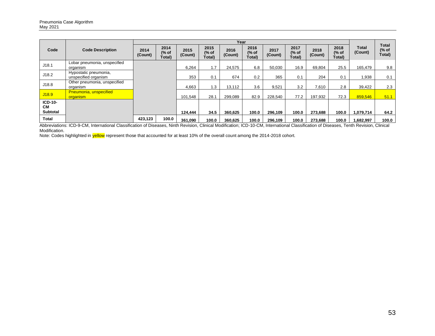|                                         |                                               |                 |                         |                 |                         | Year            |                         |                 |                         |                 |                         |                  |                                 |
|-----------------------------------------|-----------------------------------------------|-----------------|-------------------------|-----------------|-------------------------|-----------------|-------------------------|-----------------|-------------------------|-----------------|-------------------------|------------------|---------------------------------|
| Code                                    | <b>Code Description</b>                       | 2014<br>(Count) | 2014<br>(% of<br>Total) | 2015<br>(Count) | 2015<br>(% of<br>Total) | 2016<br>(Count) | 2016<br>(% of<br>Total) | 2017<br>(Count) | 2017<br>(% of<br>Total) | 2018<br>(Count) | 2018<br>(% of<br>Total) | Total<br>(Count) | <b>Total</b><br>(% of<br>Total) |
| J18.1                                   | Lobar pneumonia, unspecified<br>organism      |                 |                         | 6,264           | 1.7                     | 24,575          | 6.8                     | 50,030          | 16.9                    | 69,804          | 25.5                    | 165,479          | 9.8                             |
| J18.2                                   | Hypostatic pneumonia,<br>unspecified organism |                 |                         | 353             | 0.1                     | 674             | 0.2                     | 365             | 0.1                     | 204             | 0.1                     | 1,938            | 0.1                             |
| J18.8                                   | Other pneumonia, unspecified<br>organism      |                 |                         | 4,663           | 1.3                     | 13,112          | 3.6                     | 9,521           | 3.2                     | 7,610           | 2.8                     | 39,422           | 2.3                             |
| J18.9                                   | <b>Pneumonia, unspecified</b><br>organism     |                 |                         | 101.548         | 28.1                    | 299.089         | 82.9                    | 228,540         | 77.2                    | 197,932         | 72.3                    | 859,546          | 51.1                            |
| ICD-10-<br><b>CM</b><br><b>Subtotal</b> |                                               |                 |                         | 124,444         | 34.5                    | 360.625         | 100.0                   | 296,109         | 100.0                   | 273,688         | 100.0                   | 1,079,714        | 64.2                            |
| <b>Total</b>                            |                                               | 423,123         | 100.0                   | 361.090         | 100.0                   | 360.625         | 100.0                   | 296.109         | 100.0                   | 273.688         | 100.0                   | 1,682,997        | 100.0                           |

Abbreviations: ICD-9-CM, International Classification of Diseases, Ninth Revision, Clinical Modification; ICD-10-CM, International Classification of Diseases, Tenth Revision, Clinical Modification.

Note: Codes highlighted in yellow represent those that accounted for at least 10% of the overall count among the 2014-2018 cohort.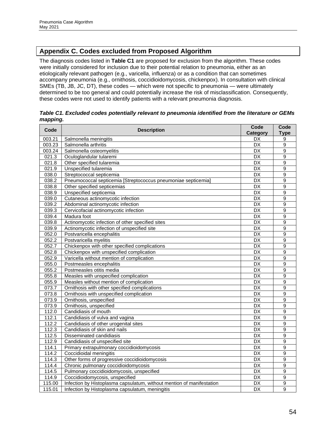## <span id="page-53-0"></span>**Appendix C. Codes excluded from Proposed Algorithm**

The diagnosis codes listed in **[Table C1](#page-53-1)** are proposed for exclusion from the algorithm. These codes were initially considered for inclusion due to their potential relation to pneumonia, either as an etiologically relevant pathogen (e.g., varicella, influenza) or as a condition that can sometimes accompany pneumonia (e.g., ornithosis, coccidioidomycosis, chickenpox). In consultation with clinical SMEs (TB, JB, JC, DT), these codes — which were not specific to pneumonia — were ultimately determined to be too general and could potentially increase the risk of misclassification. Consequently, these codes were not used to identify patients with a relevant pneumonia diagnosis.

<span id="page-53-1"></span>

| mapping. | Table C1. Excluded codes potentially relevant to pneumonia identified from the literature or GEMs |                  |                 |
|----------|---------------------------------------------------------------------------------------------------|------------------|-----------------|
| Code     | <b>Description</b>                                                                                | Code<br>Category | Code<br>$T$ ype |

| Code                | <b>Description</b>                                                    | coae            | coae             |
|---------------------|-----------------------------------------------------------------------|-----------------|------------------|
|                     |                                                                       | <b>Category</b> | <b>Type</b>      |
| 003.21              | Salmonella meningitis                                                 | DX              | 9                |
| 003.23              | Salmonella arthritis                                                  | <b>DX</b>       | 9                |
| 003.24              | Salmonella osteomyelitis                                              | DX              | $\overline{9}$   |
| $\overline{0}$ 21.3 | Oculoglandular tularemi                                               | DX              | 9                |
| 021.8               | Other specified tularemia                                             | DX              | 9                |
| 021.9               | Unspecified tularemia                                                 | <b>DX</b>       | 9                |
| 038.0               | Streptococcal septicemia                                              | DX              | 9                |
| 038.2               | Pneumococcal septicemia [Streptococcus pneumoniae septicemia]         | DX              | 9                |
| 038.8               | Other specified septicemias                                           | DX              | $\overline{9}$   |
| 038.9               | Unspecified septicemia                                                | <b>DX</b>       | 9                |
| 039.0               | Cutaneous actinomycotic infection                                     | $\overline{DX}$ | 9                |
| 039.2               | Abdominal actinomycotic infection                                     | DX              | 9                |
| 039.3               | Cervicofacial actinomycotic infection                                 | DX              | $\overline{9}$   |
| 039.4               | Madura foot                                                           | DX              | $\overline{9}$   |
| 039.8               | Actinomycotic infection of other specified sites                      | DX              | $\overline{9}$   |
| 039.9               | Actinomycotic infection of unspecified site                           | $\overline{DX}$ | 9                |
| 052.0               | Postvaricella encephalitis                                            | <b>DX</b>       | 9                |
| 052.2               | Postvaricella myelitis                                                | DX              | $\overline{9}$   |
| 052.7               | Chickenpox with other specified complications                         | DX              | $\mathsf g$      |
| 052.8               | Chickenpox with unspecified complication                              | DX              | $\overline{9}$   |
| 052.9               | Varicella without mention of complication                             | DX              | $\overline{9}$   |
| 055.0               | Postmeasles encephalitis                                              | DX              | $\overline{9}$   |
| 055.2               | Postmeasles otitis media                                              | DX              | 9                |
| 055.8               | Measles with unspecified complication                                 | <b>DX</b>       | 9                |
| 055.9               | Measles without mention of complication                               | DX              | $\boldsymbol{9}$ |
| 073.7               | Ornithosis with other specified complications                         | DX              | $\overline{9}$   |
| 073.8               | Ornithosis with unspecified complication                              | <b>DX</b>       | $\overline{9}$   |
| 073.9               | Ornithosis, unspecified                                               | DX              | 9                |
| 073.9               | Ornithosis, unspecified                                               | <b>DX</b>       | $\overline{9}$   |
| 112.0               | Candidiasis of mouth                                                  | <b>DX</b>       | $\overline{9}$   |
| 112.1               | Candidiasis of vulva and vagina                                       | DX              | $\overline{9}$   |
| 112.2               | Candidiasis of other urogenital sites                                 | DX              | $\mathsf g$      |
| 112.3               | Candidiasis of skin and nails                                         | DX              | $\overline{9}$   |
| 112.5               | Disseminated candidiasis                                              | <b>DX</b>       | 9                |
| 112.9               | Candidiasis of unspecified site                                       | DX              | 9                |
| 114.1               | Primary extrapulmonary coccidioidomycosis                             | DX              | $\overline{9}$   |
| 114.2               | Coccidioidal meningitis                                               | <b>DX</b>       | 9                |
| 114.3               | Other forms of progressive coccidioidomycosis                         | DX              | 9                |
| 114.4               | Chronic pulmonary coccidioidomycosis                                  | <b>DX</b>       | 9                |
| 114.5               | Pulmonary coccidioidomycosis, unspecified                             | <b>DX</b>       | $\overline{9}$   |
| 114.9               | Coccidioidomycosis, unspecified                                       | DX              | 9                |
| 115.00              | Infection by Histoplasma capsulatum, without mention of manifestation | <b>DX</b>       | $\overline{9}$   |
| 115.01              | Infection by Histoplasma capsulatum, meningitis                       | <b>DX</b>       | 9                |
|                     |                                                                       |                 |                  |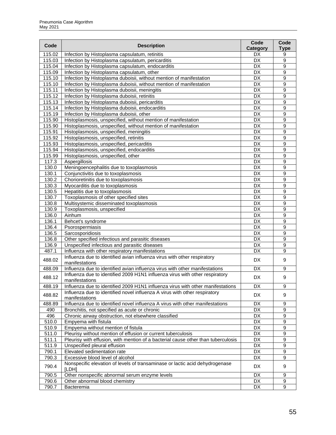| Code   | <b>Description</b>                                                                           | Code<br>Category | Code<br><b>Type</b> |
|--------|----------------------------------------------------------------------------------------------|------------------|---------------------|
| 115.02 | Infection by Histoplasma capsulatum, retinitis                                               | DX               | 9                   |
| 115.03 | Infection by Histoplasma capsulatum, pericarditis                                            | DX               | $\overline{9}$      |
| 115.04 | Infection by Histoplasma capsulatum, endocarditis                                            | DX               | $\boldsymbol{9}$    |
| 115.09 | Infection by Histoplasma capsulatum, other                                                   | DX               | $\overline{9}$      |
| 115.10 | Infection by Histoplasma duboisii, without mention of manifestation                          | DX               | $\overline{9}$      |
| 115.10 | Infection by Histoplasma duboisii, without mention of manifestation                          | DX               | 9                   |
| 115.11 | Infection by Histoplasma duboisii, meningitis                                                | DX               | 9                   |
| 115.12 | Infection by Histoplasma duboisii, retinitis                                                 | DX               | 9                   |
| 115.13 | Infection by Histoplasma duboisii, pericarditis                                              | DX               | 9                   |
| 115.14 | Infection by Histoplasma duboisii, endocarditis                                              | DX               | $\mathsf g$         |
| 115.19 | Infection by Histoplasma duboisii, other                                                     | <b>DX</b>        | 9                   |
| 115.90 | Histoplasmosis, unspecified, without mention of manifestation                                | DX               | $\overline{9}$      |
| 115.90 | Histoplasmosis, unspecified, without mention of manifestation                                | DX               | $\boldsymbol{9}$    |
| 115.91 | Histoplasmosis, unspecified, meningitis                                                      | DX               | 9                   |
| 115.92 | Histoplasmosis, unspecified, retinitis                                                       | <b>DX</b>        | $\overline{9}$      |
| 115.93 | Histoplasmosis, unspecified, pericarditis                                                    | DX               | $\overline{9}$      |
| 115.94 | Histoplasmosis, unspecified, endocarditis                                                    | <b>DX</b>        | 9                   |
| 115.99 | Histoplasmosis, unspecified, other                                                           | DX               | $\overline{9}$      |
| 117.3  | Aspergillosis                                                                                | DX               | $\mathsf g$         |
| 130.0  | Meningoencephalitis due to toxoplasmosis                                                     | DX               | $\overline{9}$      |
| 130.1  | Conjunctivitis due to toxoplasmosis                                                          | <b>DX</b>        | $\overline{9}$      |
| 130.2  | Chorioretinitis due to toxoplasmosis                                                         | DX               | 9                   |
| 130.3  | Myocarditis due to toxoplasmosis                                                             | <b>DX</b>        | 9                   |
| 130.5  | Hepatitis due to toxoplasmosis                                                               | DX               | 9                   |
| 130.7  | Toxoplasmosis of other specified sites                                                       | DX               | $\overline{9}$      |
| 130.8  | Multisystemic disseminated toxoplasmosis                                                     | DX               | $\overline{9}$      |
| 130.9  | Toxoplasmosis, unspecified                                                                   | DX               | $\overline{9}$      |
| 136.0  | Ainhum                                                                                       | <b>DX</b>        | $\mathsf g$         |
| 136.1  | Behcet's syndrome                                                                            | DX               | $\overline{9}$      |
| 136.4  | Psorospermiasis                                                                              | DX               | 9                   |
| 136.5  | Sarcosporidiosis                                                                             | DX               | $\overline{9}$      |
| 136.8  | Other specified infectious and parasitic diseases                                            | DX               | $\overline{9}$      |
| 136.9  | Unspecified infectious and parasitic diseases                                                | DX               | $\boldsymbol{9}$    |
| 487.1  | Influenza with other respiratory manifestations                                              | <b>DX</b>        | 9                   |
|        | Influenza due to identified avian influenza virus with other respiratory                     |                  |                     |
| 488.02 | manifestations                                                                               | <b>DX</b>        | $\boldsymbol{9}$    |
| 488.09 | Influenza due to identified avian influenza virus with other manifestations                  | DX               | 9                   |
|        | Influenza due to identified 2009 H1N1 influenza virus with other respiratory                 |                  |                     |
| 488.12 | manifestations                                                                               | DX               | 9                   |
| 488.19 | Influenza due to identified 2009 H1N1 influenza virus with other manifestations              | DX.              | 9                   |
| 488.82 | Influenza due to identified novel influenza A virus with other respiratory<br>manifestations | DX               | 9                   |
| 488.89 | Influenza due to identified novel influenza A virus with other manifestations                | DX               | 9                   |
| 490    | Bronchitis, not specified as acute or chronic                                                | DX               | 9                   |
| 496    | Chronic airway obstruction, not elsewhere classified                                         | DX               | $\boldsymbol{9}$    |
| 510.0  | Empyema with fistula                                                                         | DX               | $\overline{9}$      |
| 510.9  | Empyema without mention of fistula                                                           | DX               | $\boldsymbol{9}$    |
|        |                                                                                              |                  |                     |
| 511.0  | Pleurisy without mention of effusion or current tuberculosis                                 | DX<br>DX         | 9                   |
| 511.1  | Pleurisy with effusion, with mention of a bacterial cause other than tuberculosis            |                  | 9                   |
| 511.9  | Unspecified pleural effusion                                                                 | DX               | 9                   |
| 790.1  | Elevated sedimentation rate                                                                  | DX               | 9                   |
| 790.3  | Excessive blood level of alcohol                                                             | DX               | 9                   |
| 790.4  | Nonspecific elevation of levels of transaminase or lactic acid dehydrogenase<br>[LDH]        | DX               | 9                   |
| 790.5  | Other nonspecific abnormal serum enzyme levels                                               | DX               | 9                   |
| 790.6  | Other abnormal blood chemistry                                                               | DX               | 9                   |
| 790.7  | Bacteremia                                                                                   | DX               | 9                   |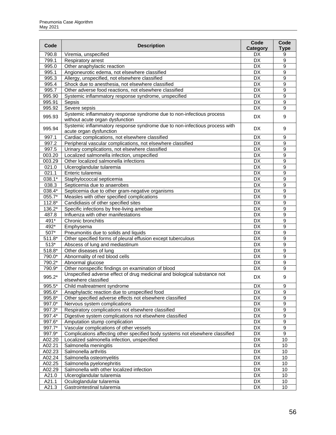| Code     | <b>Description</b>                                                                                       | Code<br>Category | Code<br><b>Type</b> |
|----------|----------------------------------------------------------------------------------------------------------|------------------|---------------------|
| 790.8    | Viremia, unspecified                                                                                     | DX               | 9                   |
| 799.1    | Respiratory arrest                                                                                       | DX               | 9                   |
| 995.0    | Other anaphylactic reaction                                                                              | DX               | 9                   |
| 995.1    | Angioneurotic edema, not elsewhere classified                                                            | DX               | $\overline{9}$      |
| 995.3    | Allergy, unspecified, not elsewhere classified                                                           | DX               | 9                   |
| 995.4    | Shock due to anesthesia, not elsewhere classified                                                        | DX               | 9                   |
| 995.7    | Other adverse food reactions, not elsewhere classified                                                   | DX               | 9                   |
| 995.90   | Systemic inflammatory response syndrome, unspecified                                                     | DX               | 9                   |
| 995.91   | Sepsis                                                                                                   | DX               | 9                   |
| 995.92   | Severe sepsis                                                                                            | DX               | 9                   |
| 995.93   | Systemic inflammatory response syndrome due to non-infectious process<br>without acute organ dysfunction | DX               | 9                   |
| 995.94   | Systemic inflammatory response syndrome due to non-infectious process with<br>acute organ dysfunction    | <b>DX</b>        | 9                   |
| 997.1    | Cardiac complications, not elsewhere classified                                                          | DX               | 9                   |
| 997.2    | Peripheral vascular complications, not elsewhere classified                                              | DX               | 9                   |
| 997.5    | Urinary complications, not elsewhere classified                                                          | DX               | 9                   |
| 003.20   | Localized salmonella infection, unspecified                                                              | DX               | $\overline{9}$      |
| 003.29   | Other localized salmonella infections                                                                    | $\overline{DX}$  | $\overline{9}$      |
| 021.0    | Ulceroglandular tularemia                                                                                | <b>DX</b>        | 9                   |
| 021.1    | Enteric tularemia                                                                                        | DX               | 9                   |
| 038.1*   | Staphylococcal septicemia                                                                                | <b>DX</b>        | 9                   |
| 038.3    | Septicemia due to anaerobes                                                                              | DX               | $\overline{9}$      |
| 038.4*   | Septicemia due to other gram-negative organisms                                                          | DX               | 9                   |
| 055.7*   | Measles with other specified complications                                                               | DX               | 9                   |
| $112.8*$ | Candidiasis of other specified sites                                                                     | <b>DX</b>        | 9                   |
| 136.2*   | Specific infections by free-living amebae                                                                | DX               | 9                   |
| 487.8    | Influenza with other manifestations                                                                      | DX               | 9                   |
| 491*     | Chronic bronchitis                                                                                       | DX               | 9                   |
| 492*     | Emphysema                                                                                                | DX               | 9                   |
| $507*$   | Pneumonitis due to solids and liquids                                                                    | DX               | 9                   |
| $511.8*$ | Other specified forms of pleural effusion except tuberculous                                             | DX               | 9                   |
| $513*$   | Abscess of lung and mediastinum                                                                          | DX               | 9                   |
| 518.8*   | Other diseases of lung                                                                                   | DX               | $\overline{9}$      |
| 790.0*   | Abnormality of red blood cells                                                                           | <b>DX</b>        | 9                   |
| 790.2*   | Abnormal glucose                                                                                         | DX               | 9                   |
| 790.9*   | Other nonspecific findings on examination of blood                                                       | DX               | 9                   |
| 995.2*   | Unspecified adverse effect of drug medicinal and biological substance not<br>elsewhere classified        | DX               | 9                   |
| $995.5*$ | Child maltreatment syndrome                                                                              | DX               | 9                   |
| 995.6*   | Anaphylactic reaction due to unspecified food                                                            | DX               | 9                   |
| 995.8*   | Other specified adverse effects not elsewhere classified                                                 | DX               | 9                   |
| 997.0*   | Nervous system complications                                                                             | DX               | $\boldsymbol{9}$    |
| 997.3*   | Respiratory complications not elsewhere classified                                                       | DX               | $\overline{9}$      |
| 997.4*   | Digestive system complications not elsewhere classified                                                  | $\overline{DX}$  | 9                   |
| $997.6*$ | Amputation stump complication                                                                            | DX               | $\overline{9}$      |
| 997.7*   | Vascular complications of other vessels                                                                  | DX               | $\boldsymbol{9}$    |
| 997.9*   | Complications affecting other specified body systems not elsewhere classified                            | DX               | 9                   |
| A02.20   | Localized salmonella infection, unspecified                                                              | DX               | 10                  |
| A02.21   | Salmonella meningitis                                                                                    | DX               | 10                  |
| A02.23   | Salmonella arthritis                                                                                     | DX               | 10                  |
| A02.24   | Salmonella osteomyelitis                                                                                 | DX               | 10                  |
| A02.25   | Salmonella pyelonephritis                                                                                | DX               | 10                  |
| A02.29   | Salmonella with other localized infection                                                                | DX               | 10                  |
| A21.0    | Ulceroglandular tularemia                                                                                | <b>DX</b>        | 10                  |
| A21.1    | Oculoglandular tularemia                                                                                 | DX               | 10                  |
| A21.3    | Gastrointestinal tularemia                                                                               | DX               | 10                  |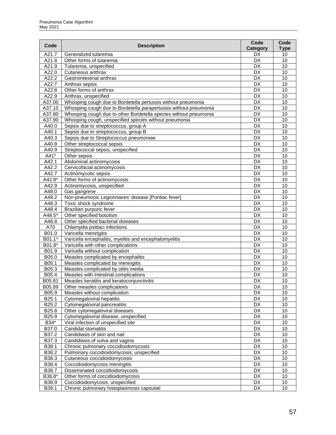| Code               | <b>Description</b>                                               | Code<br>Category | Code<br><b>Type</b> |
|--------------------|------------------------------------------------------------------|------------------|---------------------|
| A21.7              | Generalized tularemia                                            |                  | 10                  |
| A <sub>21.8</sub>  | Other forms of tularemia                                         | DX<br>DX         | 10                  |
| A21.9              | Tularemia, unspecified                                           | DX               | 10                  |
| A22.0              | Cutaneous anthrax                                                | $\overline{DX}$  | 10                  |
| A22.2              | Gastrointestinal anthrax                                         | DX               | 10                  |
| A22.7              | Anthrax sepsis                                                   | DX               | 10                  |
| A22.8              | Other forms of anthrax                                           | DX               | 10                  |
| A22.9              | Anthrax, unspecified                                             | DX               | 10                  |
| A37.00             | Whooping cough due to Bordetella pertussis without pneumonia     | DX               | 10                  |
| A37.10             | Whooping cough due to Bordetella parapertussis without pneumonia | <b>DX</b>        | 10                  |
| A37.80             | Whooping cough due to other Bordetella species without pneumonia | $\overline{DX}$  | 10                  |
| A37.90             | Whooping cough, unspecified species without pneumonia            | DX               | 10                  |
| A40.0              | Sepsis due to streptococcus, group A                             | DX               | 10                  |
| A40.1              | Sepsis due to streptococcus, group B                             | DX               | 10                  |
| A40.3              | Sepsis due to Streptococcus pneumoniae                           | $\overline{DX}$  | 10                  |
| A40.8              | Other streptococcal sepsis                                       | DX               | $\overline{10}$     |
| A40.9              | Streptococcal sepsis, unspecified                                | DX               | 10                  |
| A41*               | Other sepsis                                                     | DX               | 10                  |
| A42.1              | Abdominal actinomycosis                                          | <b>DX</b>        | 10                  |
| A42.2              | Cervicofacial actinomycosis                                      | $\overline{DX}$  | $\overline{10}$     |
| $\overline{A42.7}$ | Actinomycotic sepsis                                             | <b>DX</b>        | 10                  |
| A42.8*             | Other forms of actinomycosis                                     | $\overline{DX}$  | 10                  |
| A42.9              | Actinomycosis, unspecified                                       | DX               | 10                  |
| A48.0              | Gas gangrene                                                     | DX               | 10                  |
| A48.2              | Non-pneumonic Legionnaires' disease [Pontiac fever]              | $\overline{DX}$  | $\overline{10}$     |
| A48.3              | Toxic shock syndrome                                             | DX               | 10                  |
| A48.4              | Brazilian purpuric fever                                         | DX               | 10                  |
| A48.5*             | Other specified botulism                                         | DX               | 10                  |
| A48.8              | Other specified bacterial diseases                               | DX               | 10                  |
| A70                | Chlamydia psittaci infections                                    | DX               | 10                  |
| B01.0              | Varicella meningitis                                             | DX               | $\overline{10}$     |
| B01.1*             | Varicella encephalitis, myelitis and encephalomyelitis           | <b>DX</b>        | 10                  |
| B01.8*             | Varicella with other complications                               | DX               | 10                  |
| B01.9              | Varicella without complication                                   | DX               | 10                  |
| B05.0              | Measles complicated by encephalitis                              | DX               | 10                  |
| B05.1              | Measles complicated by meningitis                                | DX               | 10                  |
| B05.3              | Measles complicated by otitis media                              | DX               | 10                  |
| B <sub>05.4</sub>  | Measles with intestinal complications                            | DX               | 10                  |
| B05.81             | Measles keratitis and keratoconjunctivitis                       | DX               | 10                  |
| B05.89             | Other measles complications                                      | DX               | 10                  |
| B05.9              | Measles without complication                                     | DX               | 10                  |
| B25.1              | Cytomegaloviral hepatitis                                        | DX               | 10                  |
| B25.2              | Cytomegaloviral pancreatitis                                     | DX               | 10                  |
| B25.8              | Other cytomegaloviral diseases                                   | DX               | 10                  |
| B25.9              | Cytomegaloviral disease, unspecified                             | DX               | 10                  |
| B34*               | Viral infection of unspecified site                              | DX               | $\overline{10}$     |
| B37.0              | Candidal stomatitis                                              | DX               | 10                  |
| B37.2              | Candidiasis of skin and nail                                     | DX               | 10                  |
| B37.3              | Candidiasis of vulva and vagina                                  | DX               | 10                  |
| B38.1              | Chronic pulmonary coccidioidomycosis                             | DX               | 10                  |
| B38.2              | Pulmonary coccidioidomycosis, unspecified                        | DX               | 10                  |
| B38.3              | Cutaneous coccidioidomycosis                                     | DX               | 10                  |
| B38.4              | Coccidioidomycosis meningitis                                    | DX               | 10                  |
| B38.7              | Disseminated coccidioidomycosis                                  | DX               | 10                  |
| B38.8*             | Other forms of coccidioidomycosis                                | DX               | 10                  |
| B38.9              | Coccidioidomycosis, unspecified                                  | DX               | 10                  |
| B39.1              | Chronic pulmonary histoplasmosis capsulati                       | DX               | 10                  |
|                    |                                                                  |                  |                     |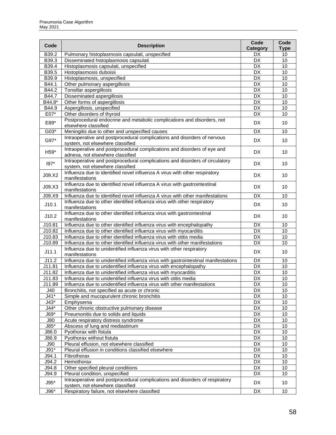| Code                    | <b>Description</b>                                                                                               | Code<br><b>Category</b> | Code<br><b>Type</b> |
|-------------------------|------------------------------------------------------------------------------------------------------------------|-------------------------|---------------------|
| B39.2                   | Pulmonary histoplasmosis capsulati, unspecified                                                                  | DX                      | 10                  |
| B39.3                   | Disseminated histoplasmosis capsulati                                                                            | DX                      | 10                  |
| B39.4                   | Histoplasmosis capsulati, unspecified                                                                            | DX                      | 10                  |
| B39.5                   | Histoplasmosis duboisii                                                                                          | DX                      | 10                  |
| B39.9                   | Histoplasmosis, unspecified                                                                                      | <b>DX</b>               | 10                  |
| B44.1                   | Other pulmonary aspergillosis                                                                                    | DX                      | 10                  |
| B44.2                   | Tonsillar aspergillosis                                                                                          | DX                      | 10                  |
| B44.7                   | Disseminated aspergillosis                                                                                       | DX                      | 10                  |
| B44.8*                  | Other forms of aspergillosis                                                                                     | DX                      | 10                  |
| B44.9                   | Aspergillosis, unspecified                                                                                       | DX                      | 10                  |
| E07*                    | Other disorders of thyroid                                                                                       | DX                      | 10                  |
|                         | Postprocedural endocrine and metabolic complications and disorders, not                                          |                         |                     |
| E89*                    | elsewhere classified                                                                                             | DX                      | 10                  |
| G03*                    | Meningitis due to other and unspecified causes                                                                   | DX                      | 10                  |
|                         | Intraoperative and postprocedural complications and disorders of nervous                                         |                         |                     |
| G97*                    | system, not elsewhere classified                                                                                 | DX                      | 10                  |
| H59*                    | Intraoperative and postprocedural complications and disorders of eye and                                         | DX                      | 10 <sup>1</sup>     |
|                         | adnexa, not elsewhere classified                                                                                 |                         |                     |
| $197*$                  | Intraoperative and postprocedural complications and disorders of circulatory<br>system, not elsewhere classified | DX                      | 10                  |
|                         | Influenza due to identified novel influenza A virus with other respiratory                                       |                         |                     |
| J09.X2                  | manifestations                                                                                                   | <b>DX</b>               | 10                  |
|                         | Influenza due to identified novel influenza A virus with gastrointestinal                                        |                         |                     |
| J09.X3                  | manifestations                                                                                                   | DX                      | 10 <sup>1</sup>     |
| $\overline{J09}$ . $X9$ | Influenza due to identified novel influenza A virus with other manifestations                                    | DX                      | 10                  |
|                         | Influenza due to other identified influenza virus with other respiratory                                         |                         |                     |
| J10.1                   | manifestations                                                                                                   | DX                      | 10                  |
|                         | Influenza due to other identified influenza virus with gastrointestinal                                          |                         |                     |
| J10.2                   | manifestations                                                                                                   | DX                      | 10                  |
| J10.81                  | Influenza due to other identified influenza virus with encephalopathy                                            | DX                      | 10                  |
| J10.82                  | Influenza due to other identified influenza virus with myocarditis                                               | DX                      | 10                  |
| J10.83                  | Influenza due to other identified influenza virus with otitis media                                              | DX                      | 10                  |
| J10.89                  | Influenza due to other identified influenza virus with other manifestations                                      | <b>DX</b>               | 10                  |
|                         | Influenza due to unidentified influenza virus with other respiratory                                             |                         |                     |
| J11.1                   | manifestations                                                                                                   | DX                      | 10 <sup>1</sup>     |
| J11.2                   | Influenza due to unidentified influenza virus with gastrointestinal manifestations                               | DX                      | 10                  |
| J11.81                  | Influenza due to unidentified influenza virus with encephalopathy                                                | $\overline{DX}$         | 10                  |
| J11.82                  | Influenza due to unidentified influenza virus with myocarditis                                                   | DX                      | $\overline{10}$     |
| J11.83                  | Influenza due to unidentified influenza virus with otitis media                                                  | DX                      | 10                  |
| J11.89                  | Influenza due to unidentified influenza virus with other manifestations                                          | DX                      | 10                  |
| J40                     | Bronchitis, not specified as acute or chronic                                                                    | DX                      | 10                  |
| $J41*$                  | Simple and mucopurulent chronic bronchitis                                                                       | DX                      | 10                  |
| $J43*$                  | Emphysema                                                                                                        | DX                      | 10                  |
| $J44*$                  | Other chronic obstructive pulmonary disease                                                                      | DX                      | 10                  |
| $J69*$                  | Pneumonitis due to solids and liquids                                                                            | DX                      | 10                  |
|                         | Acute respiratory distress syndrome                                                                              | DX                      | 10                  |
| J80<br>$J85*$           | Abscess of lung and mediastinum                                                                                  | DX                      | 10                  |
| J86.0                   |                                                                                                                  | DX                      | 10                  |
|                         | Pyothorax with fistula                                                                                           |                         |                     |
| J86.9                   | Pyothorax without fistula                                                                                        | DX                      | 10                  |
| J90                     | Pleural effusion, not elsewhere classified                                                                       | DX                      | 10                  |
| $J91*$                  | Pleural effusion in conditions classified elsewhere                                                              | DX                      | 10                  |
| J94.1                   | Fibrothorax                                                                                                      | DX                      | 10                  |
| J94.2                   | Hemothorax                                                                                                       | DX                      | 10                  |
| J94.8                   | Other specified pleural conditions                                                                               | DX                      | 10                  |
| J94.9                   | Pleural condition, unspecified                                                                                   | DX                      | 10                  |
| $J95*$                  | Intraoperative and postprocedural complications and disorders of respiratory<br>system, not elsewhere classified | DX                      | 10                  |
| J96*                    | Respiratory failure, not elsewhere classified                                                                    | DX                      | 10                  |
|                         |                                                                                                                  |                         |                     |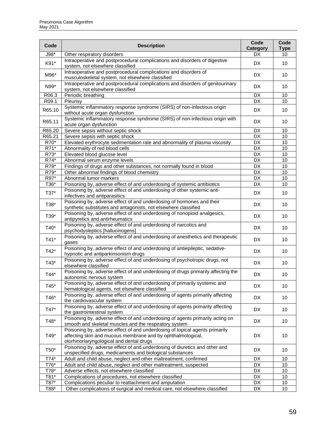| Code         | <b>Description</b>                                                                                                                                                                     | Code<br><b>Category</b> | Code<br><b>Type</b> |
|--------------|----------------------------------------------------------------------------------------------------------------------------------------------------------------------------------------|-------------------------|---------------------|
| $J98*$       | Other respiratory disorders                                                                                                                                                            | DX                      | 10                  |
| K91*         | Intraoperative and postprocedural complications and disorders of digestive<br>system, not elsewhere classified                                                                         | DX                      | 10                  |
| M96*         | Intraoperative and postprocedural complications and disorders of<br>musculoskeletal system, not elsewhere classified                                                                   | DX                      | 10                  |
| N99*         | Intraoperative and postprocedural complications and disorders of genitourinary<br>system, not elsewhere classified                                                                     | DX                      | 10                  |
| R06.3        | Periodic breathing                                                                                                                                                                     | DX                      | 10                  |
| R09.1        | Pleurisy                                                                                                                                                                               | $\overline{DX}$         | 10                  |
| R65.10       | Systemic inflammatory response syndrome (SIRS) of non-infectious origin<br>without acute organ dysfunction                                                                             | DX                      | 10                  |
| R65.11       | Systemic inflammatory response syndrome (SIRS) of non-infectious origin with<br>acute organ dysfunction                                                                                | <b>DX</b>               | 10                  |
| R65.20       | Severe sepsis without septic shock                                                                                                                                                     | DX                      | 10                  |
| R65.21       | Severe sepsis with septic shock                                                                                                                                                        | DX                      | 10                  |
| R70*         | Elevated erythrocyte sedimentation rate and abnormality of plasma viscosity                                                                                                            | DX                      | 10                  |
| R71*         | Abnormality of red blood cells                                                                                                                                                         | DX                      | 10                  |
| R73*         | Elevated blood glucose level                                                                                                                                                           | DX                      | 10                  |
| R74*         | Abnormal serum enzyme levels                                                                                                                                                           | $\overline{DX}$         | $\overline{10}$     |
| R78*         | Findings of drugs and other substances, not normally found in blood                                                                                                                    | <b>DX</b>               | 10                  |
| R79*         | Other abnormal findings of blood chemistry                                                                                                                                             | <b>DX</b>               | 10                  |
| R97*<br>T36* | Abnormal tumor markers                                                                                                                                                                 | DX<br><b>DX</b>         | 10<br>10            |
| T37*         | Poisoning by, adverse effect of and underdosing of systemic antibiotics<br>Poisoning by, adverse effect of and underdosing of other systemic anti-<br>infectives and antiparasitics    | DX                      | 10                  |
| T38*         | Poisoning by, adverse effect of and underdosing of hormones and their<br>synthetic substitutes and antagonists, not elsewhere classified                                               | DX                      | 10                  |
| T39*         | Poisoning by, adverse effect of and underdosing of nonopioid analgesics,<br>antipyretics and antirheumatics                                                                            | DX                      | 10                  |
| T40*         | Poisoning by, adverse effect of and underdosing of narcotics and<br>psychodysleptics [hallucinogens]                                                                                   | DX                      | 10                  |
| T41*         | Poisoning by, adverse effect of and underdosing of anesthetics and therapeutic<br>gases                                                                                                | DX                      | 10                  |
| T42*         | Poisoning by, adverse effect of and underdosing of antiepileptic, sedative-<br>hypnotic and antiparkinsonism drugs                                                                     | DX                      | 10                  |
| T43*         | Poisoning by, adverse effect of and underdosing of psychotropic drugs, not<br>elsewhere classified                                                                                     | DX                      | 10                  |
| $T44*$       | Poisoning by, adverse effect of and underdosing of drugs primarily affecting the<br>autonomic nervous system                                                                           | DX                      | 10                  |
| $T45*$       | Poisoning by, adverse effect of and underdosing of primarily systemic and<br>hematological agents, not elsewhere classified                                                            | DX                      | 10                  |
| T46*         | Poisoning by, adverse effect of and underdosing of agents primarily affecting<br>the cardiovascular system                                                                             | DX                      | 10                  |
| T47*         | Poisoning by, adverse effect of and underdosing of agents primarily affecting<br>the gastrointestinal system                                                                           | DX                      | 10                  |
| T48*         | Poisoning by, adverse effect of and underdosing of agents primarily acting on<br>smooth and skeletal muscles and the respiratory system                                                | DX                      | 10                  |
| T49*         | Poisoning by, adverse effect of and underdosing of topical agents primarily<br>affecting skin and mucous membrane and by ophthalmological,<br>otorhinorlaryngological and dental drugs | DX                      | 10                  |
| T50*         | Poisoning by, adverse effect of and underdosing of diuretics and other and<br>unspecified drugs, medicaments and biological substances                                                 | DX                      | 10                  |
| T74*         | Adult and child abuse, neglect and other maltreatment, confirmed                                                                                                                       | DX                      | 10                  |
| T76*         | Adult and child abuse, neglect and other maltreatment, suspected                                                                                                                       | DX                      | 10                  |
| T78*         | Adverse effects, not elsewhere classified                                                                                                                                              | DX                      | 10                  |
| $T81*$       | Complications of procedures, not elsewhere classified                                                                                                                                  | $\overline{DX}$         | 10                  |
| T87*         | Complications peculiar to reattachment and amputation                                                                                                                                  | DX                      | 10                  |
| T88*         | Other complications of surgical and medical care, not elsewhere classified                                                                                                             | DX                      | 10                  |